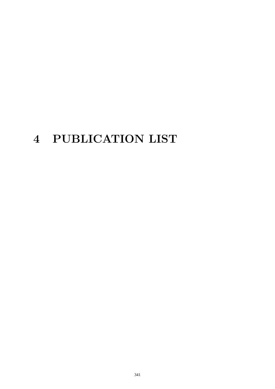# 4 PUBLICATION LIST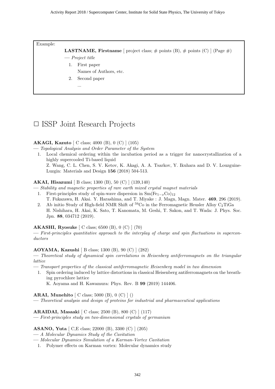Example:

**LASTNAME, Firstname** [ project class;  $\#$  points (B),  $\#$  points (C) ] (Page  $\#$ )

- Project title
	- 1. First paper
		- Names of Authors, etc.
	- 2. Second paper
		- ...

# □ ISSP Joint Research Projects

#### AKAGI, Kazuto [ C class; 4000 (B), 0 (C) ] (105)

- Topological Analysis and Order Parameter of the System
- 1. Local chemical ordering within the incubation period as a trigger for nanocrystallization of a highly supercooled Ti-based liquid Z. Wang, C. L. Chen, S. V. Ketov, K. Akagi, A. A. Tsarkov, Y. Ikuhara and D. V. Louzguine-

#### AKAI, Hisazumi [ B class; 1300 (B), 50 (C) ] (139,140)

Luzgin: Materials and Design 156 (2018) 504-513.

— Stability and magnetic properties of rare earth mixed crystal magnet materials

- 1. First-principles study of spin-wave dispersion in  $Sm(Fe_{1-x}Co)_{12}$ T. Fukazawa, H. Akai. Y. Harashima, and T. Miyake : J. Magn, Magn. Mater. 469, 296 (2019).
- 2. Ab initio Study of High-field NMR Shift of  ${}^{59}Co$  in the Ferromagnetic Heusler Alloy C<sub>2</sub>TiGa H. Nishihara, H. Akai, K. Sato, T. Kanomata, M. Geshi, T. Sakon, and T. Wada: J. Phys. Soc. Jpn. 88, 034712 (2019).

#### AKASHI, Ryosuke [ C class; 6500 (B), 0 (C) ] (70)

— First-principles quantitative approach to the interplay of charge and spin fluctuations in superconductors

#### AOYAMA, Kazushi [ B class; 1300 (B), 90 (C) ] (282)

— Theoretical study of dynamical spin correlations in Heisenberg antiferromagnets on the triangular lattice

- Transport properties of the classical antiferromagnetic Heisenberg model in two dimension
	- 1. Spin ordering induced by lattice distortions in classical Heisenberg antiferromagnets on the breathing pyrochlore lattice K. Aoyama and H. Kawamura: Phys. Rev. B 99 (2019) 144406.

ARAI, Munehito [ C class; 5000 (B), 0 (C) ] ()

— Theoretical analysis and design of proteins for industrial and pharmaceutical applications

ARAIDAI, Masaaki [ C class; 2500 (B), 800 (C) ] (117)

— First-principles study on two-dimensional crystals of germanium

#### ASANO, Yuta [ C,E class; 22000 (B), 3300 (C) ] (205)

- A Molecular Dynamics Study of the Cavitation
- Molecular Dynamics Simulation of a Karman-Vortex Cavitation
- 1. Polymer effects on Karman vortex: Molecular dynamics study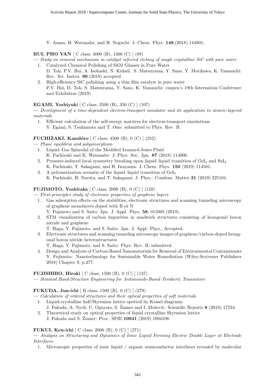Y. Asano, H. Watanabe, and H. Noguchi: J. Chem. Phys. 148,(2018) 144901.

#### BUI, PHO VAN [ C class; 4000 (B), 1300 (C) ] (88)

- Study on removal mechanism in catalyst referred etching of single crystalline SiC with pure water
	- 1. Catalyzed Chemical Polishing of SiO2 Glasses in Pure Water D. Toh, P.V. Bui, A. Isohashi, N. Kidadi. S. Matsuyama, Y. Sano, Y. Morikawa, K. Yamauchi: Rev. Sci. Instru. 90 (2019) accepted
	- 2. High-efficiency SiC polishing using a thin film catalyst in pure water P.V. Bui, D. Toh, S. Matsuyama, Y. Sano, K. Yamauchi: euspen's 19th Internation Conference and Exhibition (2019)

#### EGAMI, Yoshiyuki [ C class; 3500 (B), 350 (C) ] (107)

— Development of a time-dependent electron-transport simulator and its application to atomic-layered materials

1. Efficient calculation of the self-energy matrices for electron-transport simulations Y. Egami, S. Tsukamoto and T. Ono: submitted to Phys. Rev. B.

#### FUCHIZAKI, Kazuhiro [ C class; 4500 (B), 0 (C) ] (252)

- Phase equilibria and polyamorphism
- 1. Liquid–Gas Spinodal of the Modified Lennard-Jones Fluid
	- K. Fuchizaki and K. Watanabe: J. Phys. Soc. Jpn. 87 (2018) 114006.
- 2. Pressure-induced local symmetry breaking upon liquid–liquid transition of  $\text{GeI}_4$  and  $\text{SnI}_4$ K. Fuchizaki, T. Sakagami, and H. Iwayama: J. Chem. Phys. 150 (2019) 114501.
- 3. A polymerization scenario of the liquid–liquid transition of  $GeI<sub>4</sub>$ K. Fuchizaki, H. Naruta, and T. Sakagami: J. Phys.: Condens. Matter 31 (2019) 225101.

# FUJIMOTO, Yoshitaka [ C class; 2000 (B), 0 (C) ] (128)

— First-principles study of electronic properties of graphene layers

- 1. Gas adsorption effects on the stabilities, electronic structures and scanning tunneling microscopy of graphene monolayers doped with B or N
	- Y. Fujimoto and S. Saito: Jpn. J. Appl. Phys. 58, 015005 (2019).
- 2. STM visualization of carbon impurities in sandwich structures consisting of hexagonal boron nitride and graphene
	- T. Haga, Y. Fujimoto, and S. Saito: Jpn. J. Appl. Phys., Accepted.
- 3. Electronic structures and scanning tunneling microscopy images of graphene/carbon-doped hexagonal boron nitride heterostructures
	- T. Haga, Y. Fujimoto, and S. Saito: Phys. Rev. B, submitted.
- 4. Design and Analysis of Carbon-Based Nanomaterials for Removal of Environmental Contaminants Y. Fujimoto: Nanotechnology for Sustainable Water Remediation (Wiley-Scrivener Publishers 2018) Chapter 9, p.277.

#### FUJISHIRO, Hiroki [ C class; 1500 (B), 0 (C) ] (137)

— Strained Band-Structure Engineering for Antimonide-Based Terahertz Transistors

# FUKUDA, Jun-ichi [ B class; 1500 (B), 0 (C) ] (279)

- Calculation of ordered structures and their optical properties of soft materials
	- 1. Liquid-crystalline half-Skyrmion lattice spotted by Kossel diagrams J. Fukuda, A. Nych, U. Ognysta, S. Žumer and I. Muševič: Scientific Reports 8 (2018) 17234.
	- 2. Theoretical study on optical properties of liquid crystalline Skyrmion lattice J. Fukuda and S. Žumer: Proc. SPIE 10941 (2019) 1094108.

# FUKUI, Ken-ichi [ C class; 2000 (B), 0 (C) ] (271)

— Analysis on Structuring and Dynamics of Ionic Liquid Forming Electric Double Layer at Electrode Interfaces

1. Microscopic properties of ionic liquid / organic semiconductor interfaces revealed by molecular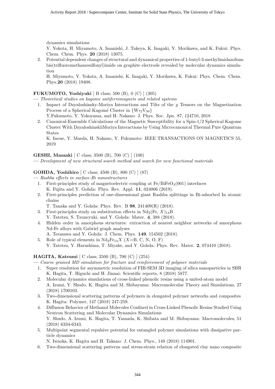dynamics simulations

Y. Yokota, H. Miyamoto, A. Imanishi, J. Takeya, K. Inagaki, Y. Morikawa, and K. Fukui: Phys. Chem. Chem. Phys. 20 (2018) 13075.

2. Potential dependent changes of structural and dynamical properties of 1-butyl-3-methylimidazolium bis(trifluoromethanesulfonyl)imide on graphite electrode revealed by molecular dynamics simulation

H. Miyamoto, Y. Yokota, A. Imanishi, K. Inagaki, Y. Morikawa, K. Fukui: Phys. Chem. Chem. Phys.20 (2018) 19408.

# FUKUMOTO, Yoshiyuki [ B class; 500 (B), 0 (C) ] (305)

— Theoretical studies on kagome antiferromagnets and related systems

1. Impact of Dzyaloshinsky-Moriya Interactions and Tilts of the g Tensors on the Magnetization Process of a Spherical Kagomé Cluster in  ${W_{72}V_{30}}$ 

Y.Fukumoto, Y. Yokoyama, and H. Nakano: J. Phys. Soc. Jpn. 87, 124710, 2018

2. Canonical-Ensemble Calculations of the Magnetic Susceptibility for a Spin-1/2 Spherical Kagome Cluster With DzyaloshinskiiMoriya Interactions by Using Microcanonical Thermal Pure Quantum States

K. Inoue, Y. Maeda, H. Nakano, Y. Fukumoto: IEEE TRANSACTIONS ON MAGNETICS 55, 2019

#### GESHI, Masaaki [ C class; 3500 (B), 700 (C) ] (100)

— Development of new structural search method and search for new functional materials

# GOHDA, Yoshihiro [ C class; 4500 (B), 800 (C) ] (87)

— Rashba effects in surface-Bi nanostructures

- 1. First-principles study of magnetoelectric coupling at  $Fe/BiFeO<sub>3</sub>(001)$  interfaces K. Fujita and Y. Gohda: Phys. Rev. Appl. 11, 024006 (2019).
- 2. First-principles prediction of one-dimensional giant Rashba splittings in Bi-adsorbed In atomic chains

T. Tanaka and Y. Gohda: Phys. Rev. B 98, 241409(R) (2018).

- 3. First-principles study on substitution effects in  $Nd_2$ (Fe,  $X)_{14}B$ Y. Tatetsu, S. Tsuneyuki, and Y. Gohda: Mater. 4, 388 (2018).
- 4. Hidden order in amorphous structures: extraction of nearest neighbor networks of amorphous Nd-Fe alloys with Gabriel graph analyses A. Terasawa and Y. Gohda: J. Chem. Phys. 149, 154502 (2018).
- 5. Role of typical elements in  $Nd_2Fe_{14}X$  (X=B, C, N, O, F) Y. Tatetsu, Y. Harashima, T. Miyake, and Y. Gohda: Phys. Rev. Mater. 2, 074410 (2018).

# HAGITA, Katsumi [ C class; 3500 (B), 700 (C) ] (254)

— Coarse grained MD simulation for fracture and reinforcement of polymer materials

- 1. Super resolution for asymmetric resolution of FIB-SEM 3D imaging of silica nanoparticles in SBR K. Hagita, T. Higuchi and H. Jinnai: Scientific reports, 8 (2018) 5877.
- 2. Molecular dynamics simulations of cross-linked phenolic resins using a united-atom model A. Izumi, Y. Shudo, K. Hagita and M. Shibayama: Macromolecular Theory and Simulations, 27 (2018) 1700103.
- 3. Two-dimensional scattering patterns of polymers in elongated polymer networks and composites K. Hagita: Polymer, 147 (2018) 247-259.
- 4. Diffusion Behavior of Methanol Molecules Confined in Cross-Linked Phenolic Resins Studied Using Neutron Scattering and Molecular Dynamics Simulations Y. Shudo, A. Izumi, K. Hagita, T. Yamada, K. Shibata and M. Shibayama: Macromolecules, 51 (2018) 6334-6343.
- 5. Multipoint segmental repulsive potential for entangled polymer simulations with dissipative particle dynamics

N. Iwaoka, K. Hagita and H. Takano: J. Chem. Phys., 149 (2018) 114901.

6. Two-dimensional scattering patterns and stress-strain relation of elongated clay nano composite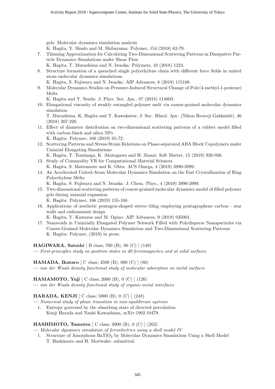gels: Molecular dynamics simulation analysis

K. Hagita, Y. Shudo and M. Shibayama: Polymer, 154 (2018) 62-79.

- 7. Thinning Approximation for Calculating Two-Dimensional Scattering Patterns in Dissipative Particle Dynamics Simulations under Shear Flow
	- K. Hagita, T. Murashima and N. Iwaoka: Polymers, 10 (2018) 1224.
- 8. Structure formation of a quenched single polyethylene chain with different force fields in united atom molecular dynamics simulations
	- K. Hagita, S. Fujiwara and N. Iwaoka: AIP Advances, 8 (2018) 115108.
- 9. Molecular Dynamics Studies on Pressure-Induced Structural Change of Poly(4-methyl-1-pentene) Melts

K. Hagita and Y. Senda: J. Phys. Soc. Jpn., 87 (2018) 114803.

10. Elongational viscosity of weakly entangled polymer melt via coarse-grained molecular dynamics simulation

T. Murashima, K. Hagita and T. Kawakatsu: J. Soc. Rheol. Jpn. (Nihon Reoroji Gakkaishi), 46 (2018) 207-220.

- 11. Effect of diameter distribution on two-dimensional scattering patterns of a rubber model filled with carbon black and silica NPs K. Hagita: Polymer, 160 (2019) 65-72.
- 12. Scattering Patterns and Stress-Strain Relations on Phase-separated ABA Block Copolymers under Uniaxial Elongating Simulations

K. Hagita, T. Tominaga, K. Akutagawa and H. Jinnai: Soft Matter, 15 (2019) 926-936.

- 13. Study of Commodity VR for Computational Material Sciences K. Hagita, S. Matsumoto and K. Ohta: ACS Omega, 4 (2019) 3990-3999.
- 14. An Accelerated United-Atom Molecular Dynamics Simulation on the Fast Crystallization of Ring Polyethylene Melts

K. Hagita, S. Fujiwara and N. Iwaoka: J. Chem. Phys., 4 (2019) 3990-3999.

15. Two-dimensional scattering patterns of coarse-grained molecular dynamics model of filled polymer gels during uniaxial expansion

K. Hagita: Polymer, 166 (2019) 155-168.

16. Applications of aesthetic pentagon-shaped stereo tiling employing pentagraphene carbon - star walls and embossment design

K. Hagita, Y. Kawazoe and M. Ogino: AIP Advances, 9 (2019) 035001.

17. Nanovoids in Uniaxially Elongated Polymer Network Filled with Polydisperse Nanoparticles via Coarse-Grained Molecular Dynamics Simulation and Two-Dimensional Scattering Patterns K. Hagita: Polymer, (2019) in press.

HAGIWARA, Satoshi [ B class; 700 (B), 90 (C) ] (149)

— First-principles study on positron states in d0 ferromagnetics and at solid surfaces

HAMADA, Ikutaro [ C class; 4500 (B), 800 (C) ] (86) — van der Waals density functional study of molecular adsorption on metal surfaces

HAMAMOTO, Yuji [ C class; 2000 (B), 0 (C) ] (126)

— van der Waals density functional study of organic-metal interfaces

# HARADA, KENJI [ C class; 5000 (B), 0 (C) ] (248)

— Numerical study of phase transition in non-equilibrium systems

1. Entropy governed by the absorbing state of directed percolation Kenji Harada and Naoki Kawashima, arXiv:1902.10479.

# HASHIMOTO, Tamotsu [ C class; 3000 (B), 0 (C) ] (262)

— Molecular dynamics simulation of ferroelectrics using a shell model IV

1. Structure of Amorphous Ba $TiO<sub>3</sub>$  by Molecular Dynamics Simulations Using a Shell Model T. Hashimoto and H. Moriwake: submitted.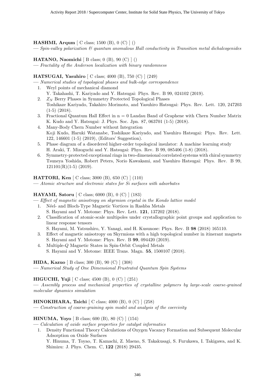#### HASHMI, Arqum [ C class; 1500 (B), 0 (C) ] ()

 $S_{pin-valley}$  polarization  $\mathcal B$  quantum anomalous Hall conductivity in Transition metal dichalcogenides

HATANO, Naomichi [ B class; 0 (B), 90 (C) ] ()

— Fractality of the Anderson localization with binary randomness

#### HATSUGAI, Yasuhiro [ C class; 4000 (B), 750 (C) ] (249)

— Numerical studies of topological phases and bulk-edge correspondence

- 1. Weyl points of mechanical diamond Y. Takahashi, T. Kariyado and Y. Hatsugai: Phys. Rev. B 99, 024102 (2019).
- 2.  $Z_N$  Berry Phases in Symmetry Protected Topological Phases Toshikaze Kariyado, Takahiro Morimoto, and Yasuhiro Hatsugai: Phys. Rev. Lett. 120, 247203
- (1-5) (2018).
- 3. Fractional Quantum Hall Effect in  $n = 0$  Landau Band of Graphene with Chern Number Matrix K. Kudo and Y. Hatsugai: J. Phys. Soc. Jpn. 87, 063701 (1-5) (2018).
- 4. Many-Body Chern Number without Integration Koji Kudo, Haruki Watanabe, Toshikaze Kariyado, and Yasuhiro Hatsugai: Phys. Rev. Lett. 122, 146601 (1-5) (2019), (Editors' Suggestion).
- 5. Phase diagram of a disordered higher-order topological insulator: A machine learning study H. Araki, T. Mizoguchi and Y. Hatsugai: Phys. Rev. B 99, 085406 (1-8) (2018).
- 6. Symmetry-protected exceptional rings in two-dimensional correlated systems with chiral symmetry Tsuneya Yoshida, Robert Peters, Norio Kawakami, and Yasuhiro Hatsugai: Phys. Rev. B 99,  $121101(R)(1-5)$  (2019).

# HATTORI, Ken [ C class; 3000 (B), 650 (C) ] (110)

— Atomic structure and electronic states for Si surfaces with adsorbates

#### HAYAMI, Satoru [ C class; 6000 (B), 0 (C) ] (183)

- Effect of magnetic anisotropy on skyrmion crystal in the Kondo lattice model
	- 1. Néel- and Bloch-Type Magnetic Vortices in Rashba Metals S. Hayami and Y. Motome: Phys. Rev. Lett. 121, 137202 (2018).
	- 2. Classification of atomic-scale multipoles under crystallographic point groups and application to linear response tensors
		- S. Hayami, M. Yatsushiro, Y. Yanagi, and H. Kusunose: Phys. Rev. B 98 (2018) 165110.
	- 3. Effect of magnetic anisotropy on Skyrmions with a high topological number in itinerant magnets S. Hayami and Y. Motome: Phys. Rev. B 99, 094420 (2019).
	- 4. Multiple-Q Magnetic States in Spin-Orbit Coupled Metals S. Hayami and Y. Motome: IEEE Trans. Magn. 55, 1500107 (2018).

HIDA, Kazuo [ B class; 300 (B), 90 (C) ] (308)

— Numerical Study of One Dimensional Frustrated Quantum Spin Systems

# HIGUCHI, Yuji [ C class; 4500 (B), 0 (C) ] (251)

— Assembly process and mechanical properties of crystalline polymers by large-scale coarse-grained molecular dynamics simulation

#### HINOKIHARA, Taichi [ C class; 4000 (B), 0 (C) ] (258)

— Construction of coarse-graining spin model and analysis of the coercivity

# HINUMA, Yoyo [ B class; 600 (B), 80 (C) ] (154)

- Calculation of oxide surface properties for catalyst informatics
	- 1. Density Functional Theory Calculations of Oxygen Vacancy Formation and Subsequent Molecular Adsorption on Oxide Surfaces
		- Y. Hinuma, T. Toyao, T. Kamachi, Z. Maeno, S. Takakusagi, S. Furukawa, I. Takigawa, and K. Shimizu: J. Phys. Chem. C, 122 (2018) 29435.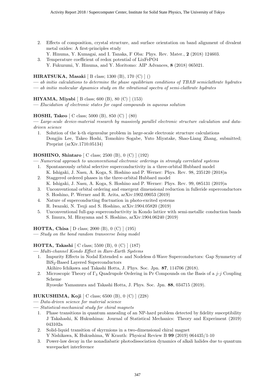- 2. Effects of composition, crystal structure, and surface orientation on band alignment of divalent metal oxides: A first-principles study
	- Y. Hinuma, Y. Kumagai, and I. Tanaka, F Oba: Phys. Rev. Mater., 2 (2018) 124603.
- 3. Temperature coefficient of redox potential of LixFePO4 Y. Fukuzumi, Y. Hinuma, and Y. Moritomo: AIP Advances, 8 (2018) 065021.

# HIRATSUKA, Masaki [ B class; 1300 (B), 170 (C) ] ()

- ab initio calculations to determine the phase equilibrium conditions of TBAB semiclathrate hydrates
- ab initio molecular dynamics study on the vibrational spectra of semi-clathrate hydrates

#### HIYAMA, Miyabi [ B class; 600 (B), 80 (C) ] (153)

— Elucidation of electronic states for caged compounds in aqueous solution

# HOSHI, Takeo [ C class; 5000 (B), 850 (C) ] (80)

— Large-scale device-material research by massively parallel electronic structure calculation and datadriven science

1. Solution of the k-th eigenvalue problem in large-scale electronic structure calculations Dongjin Lee, Takeo Hoshi, Tomohiro Sogabe, Yuto Miyatake, Shao-Liang Zhang, submitted; Preprint (arXiv.1710.05134)

# HOSHINO, Shintaro [ C class; 2500 (B), 0 (C) ] (192)

— Numerical approach to unconventional electronic orderings in strongly correlated systems

- 1. Spontaneously orbital selective superconductivity in a three-orbital Hubbard model K. Ishigaki, J. Nasu, A. Koga, S. Hoshino and P. Werner: Phys. Rev. 98, 235120 (2018)a
- 2. Staggered ordered phases in the three-orbital Hubbard model K. Ishigaki, J. Nasu, A. Koga, S. Hoshino and P. Werner: Phys. Rev. 99, 085131 (2019)a
- 3. Unconventional orbital ordering and emergent dimensional reduction in fulleride superconductors S. Hoshino, P. Werner and R. Arita, arXiv:1902.09053 (2019)
- 4. Nature of superconducting fluctuation in photo-excited systems R. Iwazaki, N. Tsuji and S. Hoshino, arXiv:1904.05820 (2019)
- 5. Unconventional full-gap superconductivity in Kondo lattice with semi-metallic conduction bands S. Iimura, M. Hirayama and S. Hoshino, arXiv:1904.06240 (2019)

HOTTA, Chisa [ D class; 2000 (B), 0 (C) ] (195)

— Study on the bond random transverse Ising model

# HOTTA, Takashi [ C class; 5500 (B), 0 (C) ] (187)

- Multi-channel Kondo Effect in Rare-Earth Systems
	- 1. Impurity Effects in Nodal Extended s- and Nodeless d-Wave Superconductors: Gap Symmetry of BiS2-Based Layered Superconductors
		- Akihiro Ichikawa and Takashi Hotta, J. Phys. Soc. Jpn. 87, 114706 (2018).
	- 2. Microscopic Theory of  $\Gamma_3$  Quadrupole Ordering in Pr Compounds on the Basis of a j-j Coupling Scheme

Ryosuke Yamamura and Takashi Hotta, J. Phys. Soc. Jpn. 88, 034715 (2019).

# HUKUSHIMA, Koji [ C class; 6500 (B), 0 (C) ] (228)

- Data-driven science for material science
- Statistical-mechanical study for chiral magnets
	- 1. Phase transitions in quantum annealing of an NP-hard problem detected by fidelity susceptibility J Takahashi, K Hukushima: Journal of Statistical Mechanics: Theory and Experiment (2019) 043102a
	- 2. Solid-liquid transition of skyrmions in a two-dimensional chiral magnet Y Nishikawa, K Hukushima, W Krauth: Physical Review B 99 (2019) 064435/1-10
	- 3. Power-law decay in the nonadiabatic photodissociation dynamics of alkali halides due to quantum wavepacket interference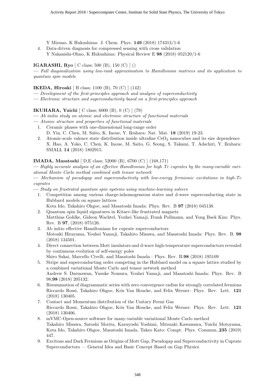Y Mizuno, K Hukushima: J. Chem. Phys. 149 (2018) 174313/1-6

4. Data-driven diagnosis for compressed sensing with cross validation Y Nakanishi-Ohno, K Hukushima: Physical Review E 98 (2018) 052120/1-6

#### IGARASHI, Ryo [ C class; 500 (B), 150 (C) ] ()

— Full diagonalization using low-rank approximation to Hamiltonian matrices and its application to quantum spin models

#### IKEDA, Hiroaki [ B class; 1100 (B), 70 (C) ] (142)

- Development of the first-principles approach and analysis of superconductivity
- Electronic structure and superconductivity based on a first-principles approach

#### IKUHARA, Yuichi [ C class; 6000 (B), 0 (C) ] (79)

- Ab initio study on atomic and electronic structure of functional materials
- Atomic structure and properties of functional materials
- 1. Ceramic phases with one-dimensional long-range order D. Yin, C. Chen, M. Saito, K. Inoue, Y. Ikuhara: Nat. Mat. 18 (2019) 19-23.
- 2. Atomic-scale valence state distribution inside ultrafine  $CeO<sub>2</sub>$  nanocubes and its size dependence X. Hao, A. Yoko, C. Chen, K. Inoue, M. Saito, G. Seong, S. Takami, T. Adschiri, Y. Ikuhara: SMALL 14 (2018) 1802915.

#### IMADA, Masatoshi [ D,E class; 52000 (B), 6700 (C) ] (168,171)

— Highly accurate analysis of an effective Hamiltonian for high Tc cuprates by the many-variable variational Monte Carlo method combined with tensor network

— Mechanism of pseudogap and superconductivity with low-energy fermionic excitations in high-Tc cuprates

- Study on frustrated quantum spin systems using machine-learning solvers
	- 1. Competition among various charge-inhomogeneous states and d-wave superconducting state in Hubbard models on square lattices

Kota Ido, Takahiro Ohgoe, and Masatoshi Imada: Phys. Rev. B 97 (2018) 045138.

- 2. Quantum spin liquid signatures in Kitaev-like frustrated magnets Matthias Gohlke, Gideon Wachtel, Youhei Yamaji, Frank Pollmann, and Yong Baek Kim: Phys. Rev. B 97, (2018) 075126.
- 3. Ab initio effective Hamiltonians for cuprate superconductors Motoaki Hirayama, Youhei Yamaji, Takahiro Misawa, and Masatoshi Imada: Phys. Rev. B. 98 (2018) 134501.
- 4. Direct connection between Mott insulators and d-wave high-temperature superconductors revealed by continuous evolution of self-energy poles
	- Shiro Sakai, Marcello Civelli, and Masatoshi Imada : Phys. Rev. B.98 (2018) 195109
- 5. Stripe and superconducting order competing in the Hubbard model on a square lattice studied by a combined variational Monte Carlo and tensor network method Andrew S. Darmawan, Yusuke Nomura, Youhei Yamaji, and Masatoshi Imada: Phys. Rev. B 98,98 (2018) 205132.
- 6. Resummation of diagrammatic series with zero convergence radius for strongly correlated fermions Riccardo Rossi, Takahiro Ohgoe, Kris Van Houcke, and Felix Werner: Phys. Rev. Lett. 121 (2018) 130405.
- 7. Contact and Momentum distribution of the Unitary Fermi Gas Riccardo Rossi, Takahiro Ohgoe, Kris Van Houcke, and Felix Werner: Phys. Rev. Lett. 121 (2018) 130406.
- 8. mVMC-Open-source software for many-variable variational Monte Carlo method Takahiro Misawa, Satoshi Morita, Kazuyoshi Yoshimi, Mitsuaki Kawamura, Yuichi Motoyama, Kota Ido, Takahiro Ohgoe, Masatoshi Imada, Takeo Kato: Compt. Phys. Commun.,235 (2019) 447.
- 9. Excitons and Dark Fermions as Origins of Mott Gap, Pseudogap and Superconductivity in Cuprate Superconductors — General Idea and Basic Concept Based on Gap Physics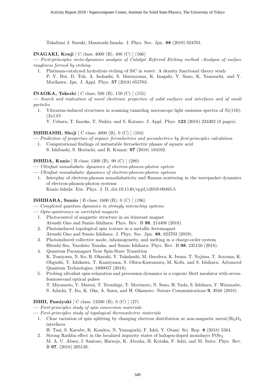Takafumi J. Suzuki, Masatoshi Imada: J. Phys. Soc. Jpn. 88 (2019) 024701.

# INAGAKI, Kouji [ C class; 4000 (B), 400 (C) ] (166)

— First-principles meta-dynamics analysis of Catalyst Referred Etching method -Analysis of surface roughness formed by etching-

1. Platinum-catalyzed hydrolysis etching of SiC in water: A density functional theory study P. V. Bui, D. Toh, A. Isohashi, S. Matsuyama, K. Inagaki, Y. Sano, K. Yamauchi, and Y. Morikawa: Jpn. J. Appl. Phys. 57 (2018) 055703.

#### INAOKA, Takeshi [ C class; 500 (B), 150 (C) ] (155)

— Search and realization of novel electronic properties of solid surfaces and interfaces and of small particles

1. Vibration-induced structures in scanning tunneling microscope light emission spectra of Ni(110)-  $(2x1)$ O

Y. Uehara, T. Inaoka, T. Nishio, and S. Katano: J. Appl. Phys. 123 (2018) 224302 (8 pages).

#### ISHIBASHI, Shoji [ C class; 4000 (B), 0 (C) ] (104)

- Prediction of properties of organic ferroelectrics and piezoelectrics by first-principles calculation 1. Computational findings of metastable ferroelectric phases of squaric acid
	- S. Ishibashi, S. Horiuchi, and R. Kumai: 97 (2018) 184102.

#### ISHIDA, Kunio [ B class; 1300 (B), 90 (C) ] (280)

- Ultrafast nonadiabatic dynamics of electron-phonon-photon system
- Ultrafast nonadiabatic dynamics of electron-phonon-photon systems
	- 1. Interplay of electron-phonon nonadiabaticity and Raman scattering in the wavepacket dynamics of electron-phonon-photon systems Kunio Ishida: Eur. Phys. J. D, doi:10.1140/epjd/e2019-09485-5

# ISHIHARA, Sumio [ B class; 1600 (B), 0 (C) ] (196)

— Complexed quantum dynamics in strongly interacting systems

- Opto-spintronics in correlated magnets
- 1. Photocontrol of magnetic structure in an itinerant magnet Atsushi Ono and Sumio Ishihara: Phys. Rev. B 98, 214408 (2018).
- 2. Photoinduced topological spin texture in a metallic ferromagnet Atsushi Ono and Sumio Ishihara: J. Phys. Soc. Jpn. 88, 023703 (2019).
- 3. Photoinduced collective mode, inhomogeneity, and melting in a charge-order system Hitoshi Seo, Yasuhiro Tanaka, and Sumio Ishihara: Phys. Rev. B 98, 235150 (2018).
- 4. Quantum Paramagnet Near Spin-State Transition K. Tomiyasu, N. Ito, R. Okazaki, Y. Takahashi, M. Onodera, K. Iwasa, T. Nojima, T. Aoyama, K. Ohgushi, Y. Ishikawa, T. Kamiyama, S. Ohira-Kawamura, M. Kofu, and S. Ishihara: Advanced Quantum Technologies, 1800057 (2018).
- 5. Probing ultrafast spin-relaxation and precession dynamics in a cuprate Mott insulator with sevenfemtosecond optical pulses T. Miyamoto, Y. Matsui, T. Terashige, T. Morimoto, N. Sono, H. Yada, S. Ishihara, Y. Watanabe,
	- S. Adachi, T. Ito, K. Oka, A. Sawa, and H. Okamoto: Nature Communications 9, 3948 (2018).

# ISHII, Fumiyuki [ C class; 13500 (B), 0 (C) ] (27)

- First-principles study of spin conversion materials
- First-principles study of topological thermoelectric materials
- 1. Clear variation of spin splitting by changing electron distribution at non-magnetic metal/ $\text{Bi}_2\text{O}_3$ interfaces

H. Tsai, S. Karube, K. Kondou, N. Yamaguchi, F. Ishii, Y. Otani: Sci. Rep. 8 (2018) 5564.

2. Strong Rashba effect in the localized impurity states of halogen-doped monolayer  $PtSe<sub>2</sub>$ M. A. U. Absor, I. Santoso, Harsojo, K. Abraha, H. Kotaka, F. Ishii, and M. Saito: Phys. Rev. B 97, (2018) 205138.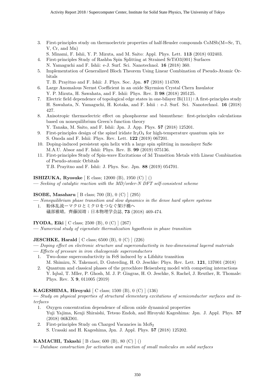- 3. First-principles study on thermoelectric properties of half-Heusler compounds CoMSb(M=Sc, Ti, V, Cr, and Mn)
	- S. Minami, F. Ishii, Y. P. Mizuta, and M. Saito: Appl. Phys. Lett. 113 (2018) 032403.
- 4. First-principles Study of Rashba Spin Splitting at Strained SrTiO3(001) Surfaces N. Yamaguchi and F. Ishii: e-J. Surf. Sci. Nanotechnol. 16 (2018) 360.
- 5. Implementation of Generalized Bloch Theorem Using Linear Combination of Pseudo-Atomic Orbitals
	- T. B. Prayitno and F. Ishii: J. Phys. Soc. Jpn. 87 (2018) 114709.
- 6. Large Anomalous Nernst Coefficient in an oxide Skyrmion Crystal Chern Insulator Y. P. Mizuta, H. Sawahata, and F. Ishii: Phys. Rev. B 98 (2018) 205125.
- 7. Electric field dependence of topological edge states in one-bilayer Bi(111):A first-principles study H. Sawahata, N. Yamaguchi, H. Kotaka, and F. Ishii : e-J. Surf. Sci. Nanotechnol. 16 (2018) 427.
- 8. Anisotropic thermoelectric effect on phosphorene and bismuthene: first-principles calculations based on nonequilibrium Green's function theory
	- Y. Tanaka, M. Saito, and F. Ishii: Jpn. J. App. Phys. 57 (2018) 125201.
- 9. First-principles design of the spinel iridate  $Ir_2O_4$  for high-temperature quantum spin ice S. Onoda and F. Ishii: Phys. Rev. Lett. 122 (2019) 067201.
- 10. Doping-induced persistent spin helix with a large spin splitting in monolayer SnSe M.A.U. Absor and F. Ishii: Phys. Rev. B. 99 (2019) 075136.
- 11. First-principles Study of Spin-wave Excitations of 3d Transition Metals with Linear Combination of Pseudo-atomic Orbitals
	- T.B. Prayitno and F. Ishii: J. Phys. Soc. Jpn. 88 (2019) 054701.

#### ISHIZUKA, Ryosuke [ E class; 12000 (B), 1950 (C) ] ()

— Seeking of catalytic reaction with the MD/order-N DFT self-consistent scheme

#### ISOBE, Masaharu [ B class; 700 (B), 0 (C) ] (295)

— Nonequilibrium phase transition and slow dynamics in the dense hard sphere systems 1. 粉体乱流ーマクロとミクロをつなぐ架け橋へ 礒部雅晴,齊藤国靖:日本物理学会誌, 73 (2018) 469-474.

# IYODA, Eiki [ C class; 2500 (B), 0 (C) ] (267)

— Numerical study of eigenstate thermalization hypothesis in phase transition

# JESCHKE, Harald [ C class; 6500 (B), 0 (C) ] (226)

- Doping effect on electronic structure and superconductivity in two-dimensional layered materials
- Effects of pressure in iron chalcogenide superconductors
- 1. Two-dome superconductivity in FeS induced by a Lifshitz transition M. Shimizu, N. Takemori, D. Guterding, H. O. Jeschke: Phys. Rev. Lett. 121, 137001 (2018)
- 2. Quantum and classical phases of the pyrochlore Heisenberg model with competing interactions Y. Iqbal, T. Mller, P. Ghosh, M. J. P. Gingras, H. O. Jeschke, S. Rachel, J. Reuther, R. Thomale: Phys. Rev. X 9, 011005 (2019)

# KAGESHIMA, Hiroyuki [ C class; 1500 (B), 0 (C) ] (136)

— Study on physical properties of structural elementary excitations of semiconductor surfaces and interfaces

- 1. Oxygen concentration dependence of silicon oxide dynamical properties Yuji Yajima, Kenji Shiraishi, Tetsuo Endoh, and Hiroyuki Kageshima: Jpn. J. Appl. Phys. 57 (2018) 06KD01.
- 2. First-principles Study on Charged Vacancies in  $MoS<sub>2</sub>$ S. Urasaki and H. Kageshima, Jpn. J. Appl. Phys. 57 (2018) 125202.

# KAMACHI, Takashi [ B class; 600 (B), 80 (C)  $|$  ()

— Database construction for activation and reaction of small molecules on solid surfaces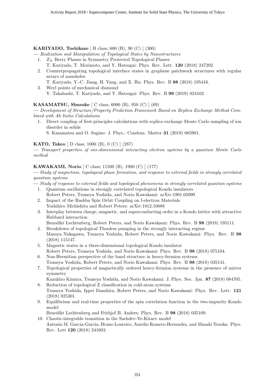#### KARIYADO, Toshikaze [ B class; 600 (B), 90 (C) ] (300)

- Realization and Manipulation of Topological States by Nanostructures
	- 1.  $Z_N$  Berry Phases in Symmetry Protected Topological Phases
		- T. Kariyado, T. Morimoto, and Y. Hatsugai: Phys. Rev. Lett. 120 (2018) 247202.
	- 2. Counterpropagating topological interface states in graphene patchwork structures with regular arrays of nanoholes
		- T. Kariyado, Y.-C. Jiang, H. Yang, and X. Hu: Phys. Rev. B 98 (2018) 195416.
	- 3. Weyl points of mechanical diamond Y. Takahashi, T. Kariyado, and Y. Hatsugai: Phys. Rev. B 99 (2019) 024102.

#### KASAMATSU, Shusuke [ C class; 6000 (B), 950 (C) ] (69)

— Development of Structure/Property Prediction Framework Based on Replica Exchange Method Combined with Ab Initio Calculations

- 1. Direct coupling of first-principles calculations with replica exchange Monte Carlo sampling of ion disorder in solids
	- S. Kasamatsu and O. Sugino: J. Phys.: Condens. Matter 31 (2019) 085901.

# KATO, Takeo [ D class; 1000 (B), 0 (C) ] (287)

— Transport properties of one-dimensional interacting electron systems by a quantum Monte Carlo method

#### KAWAKAMI, Norio [ C class; 11500 (B), 1900 (C) ] (177)

— Study of magnetism, topological phase formation, and response to external fields in strongly correlated quantum systems

- Study of response to external fields and topological phenomena in strongly correlated quantum systems
	- 1. Quantum oscillations in strongly correlated topological Kondo insulators Robert Peters, Tsuneya Yoshida, and Norio Kawakami: arXiv:1901.05099
	- 2. Impact of the Rashba Spin Orbit Coupling on f-electron Materials Yoshihiro Michishita and Robert Peters: arXiv:1812.10888
	- 3. Interplay between charge, magnetic, and superconducting order in a Kondo lattice with attractive Hubbard interaction

Benedikt Lechtenberg, Robert Peters, and Norio Kawakami: Phys. Rev. B 98 (2018) 195111.

- 4. Breakdown of topological Thouless pumping in the strongly interacting regime Masaya Nakagawa, Tsuneya Yoshida, Robert Peters, and Norio Kawakami: Phys. Rev. B 98 (2018) 115147.
- 5. Magnetic states in a three-dimensional topological Kondo insulator Robert Peters, Tsuneya Yoshida, and Norio Kawakami: Phys. Rev. B 98 (2018) 075104.
- 6. Non-Hermitian perspective of the band structure in heavy-fermion systems Tsuneya Yoshida, Robert Peters, and Norio Kawakami: Phys. Rev. B 98 (2018) 035141.
- 7. Topological properties of magnetically ordered heavy-fermion systems in the presence of mirror symmetry

Kazuhiro Kimura, Tsuneya Yoshida, and Norio Kawakami: J. Phys. Soc. Jpn. 87 (2018) 084705. 8. Reduction of topological Z classification in cold-atom systems

- Tsuneya Yoshida, Ippei Danshita, Robert Peters, and Norio Kawakami: Phys. Rev. Lett. 121 (2018) 025301.
- 9. Equilibrium and real-time properties of the spin correlation function in the two-impurity Kondo model

Benedikt Lechtenberg and Frithjof B. Anders: Phys. Rev. B 98 (2018) 035109.

10. Chaotic-integrable transition in the Sachdev-Ye-Kitaev model Antonio M. Garcia-Garcia, Bruno Loureiro, Aurelio Romero-Bermudez, and Masaki Tezuka: Phys. Rev. Lett 120 (2018) 241603.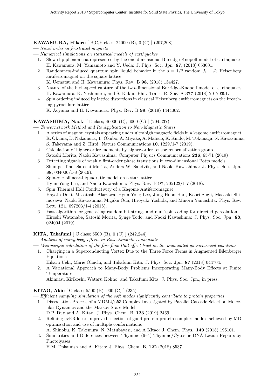# KAWAMURA, Hikaru [ B,C,E class; 24000 (B), 0 (C) ] (207,208)

- Novel order in frustrated magnets
- Numerical simulations on statistical models of earthquakes
	- 1. Slow-slip phenomena represented by the one-dimensional Burridge-Knopoff model of earthquakes H. Kawamura, M. Yamamoto and Y. Ueda: J. Phys. Soc. Jpn. 87, (2018) 053001.
	- 2. Randomness-induced quantum spin liquid behavior in the  $s = 1/2$  random  $J_1 J_2$  Heisenberg antiferromagnet on the square lattice
		- K. Uematsu and H. Kawamura: Phys. Rev. B 98, (2018) 134427.
	- 3. Nature of the high-speed rupture of the two-dimensional Burridge-Knopoff model of earthquakes H. Kawamura, K. Yoshimura, and S. Kakui: Phil. Trans. R. Soc. A 377 (2018) 20170391.
	- 4. Spin ordering induced by lattice distortions in classical Heisenberg antiferromagnets on the breathing pyrochlore lattice
		- K. Aoyama and H. Kawamura: Phys. Rev. B 99, (2019) 1444062.

#### KAWASHIMA, Naoki [ E class; 46000 (B), 6000 (C) ] (204,337)

— Tensornetwork Method and Its Application to Non-Magnetic States

- 1. A series of magnon crystals appearing under ultrahigh magnetic fields in a kagome antiferromagnet R. Okuma, D. Nakamura, T. Okubo, A. Miyake, A. Matsuo, K. Kindo, M. Tokunaga, N. Kawashima, S. Takeyama and Z. Hiroi: Nature Communications 10, 1229/1-7 (2019).
- 2. Calculation of higher-order moments by higher-order tensor renormalization group Satoshi Morita, Naoki Kawashima: Computer Physics Communications 236, 65-71 (2019)
- 3. Detecting signals of weakly first-order phase transitions in two-dimensional Potts models Shumpei Iino, Satoshi Morita, Anders W. Sandvik, and Naoki Kawashima: J. Phys. Soc. Jpn. 88, 034006/1-8 (2019).
- 4. Spin-one bilinear-biquadratic model on a star lattice Hyun-Yong Lee, and Naoki Kawashima: Phys. Rev. B 97, 205123/1-7 (2018).
- 5. Spin Thermal Hall Conductivity of a Kagome Antiferromagnet Hayato Doki, Masatoshi Akazawa, Hyun-Yong Lee, Jung Hoon Han, Kaori Sugii, Masaaki Shimozawa, Naoki Kawashima, Migaku Oda, Hiroyuki Yoshida, and Minoru Yamashita: Phys. Rev. Lett. 121, 097203/1-4 (2018).
- 6. Fast algorithm for generating random bit strings and multispin coding for directed percolation Hiroshi Watanabe, Satoshi Morita, Synge Todo, and Naoki Kawashima: J. Phys. Soc. Jpn. 88, 024004 (2019).

#### KITA, Takafumi [ C class; 5500 (B), 0 (C) ] (242,244)

- Analysis of many-body effects in Bose-Einstein condensate
- Microscopic calculation of the flux-flow Hall effect baed on the augmented quasiclassical equations
	- 1. Charging in a Superconducting Vortex Due to the Three Force Terms in Augmented Eilenberger Equations

Hikaru Ueki, Marie Ohuchi, and Takafumi Kita: J. Phys. Soc. Jpn. 87 (2018) 044704.

2. A Variational Approach to Many-Body Problems Incorporating Many-Body Effects at Finite Temperature

Akimitsu Kirikoshi, Wataru Kohno, and Takafumi Kita: J. Phys. Soc. Jpn., in press.

KITAO, Akio [ C class; 5500 (B), 900 (C) ] (235)

- Efficient sampling simulation of the soft modes significantly contribute to protein properties
	- 1. Dissociation Process of a MDM2/p53 Complex Investigated by Parallel Cascade Selection Molecular Dynamics and the Markov State Model D.P. Duy and A. Kitao: J. Phys. Chem. B, 123 (2019) 2469.
	- 2. Refining evERdock: Improved selection of good protein-protein complex models achieved by MD optimization and use of multiple conformations

A. Shinobu, K. Takemura, N. Matubayasi, and A Kitao: J. Chem. Phys., 149 (2018) 195101.

3. Similarities and Differences between Thymine (6–4) Thymine/Cytosine DNA Lesion Repairs by Photolyases

H.M. Dokainish and A. Kitao: J. Phys. Chem. B, 122 (2018) 8537.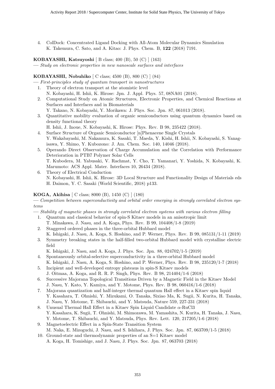4. ColDock: Concentrated Ligand Docking with All-Atom Molecular Dynamics Simulation K. Takemura, C. Sato, and A. Kitao: J. Phys. Chem. B, 122 (2018) 7191.

KOBAYASHI, Katsuyoshi [ B class; 400 (B), 50 (C) ] (163)

— Study on electronic properties in new nanoscale surfaces and interfaces

#### KOBAYASHI, Nobuhiko [ C class; 4500 (B), 800 (C) ] (84)

— First-principles study of quantum transport in nanostructures

- 1. Theory of electron transport at the atomistic level
- N. Kobayashi, H. Ishii, K. Hirose: Jpn. J. Appl. Phys. 57, 08NA01 (2018).
- 2. Computational Study on Atomic Structures, Electronic Properties, and Chemical Reactions at Surfaces and Interfaces and in Biomaterials
	- Y. Takano, N. Kobayashi, Y. Morikawa: J. Phys. Soc. Jpn. 87, 061013 (2018).
- 3. Quantitative mobility evaluation of organic semiconductors using quantum dynamics based on density functional theory

H. Ishii, J. Inoue, N. Kobayashi, K. Hirose: Phys. Rev. B 98, 235422 (2018).

- 4. Surface Structure of Organic Semiconductor [n]Phenacene Single Crystals Y. Wakabayashi, M. Nakamura, K. Sasaki, T. Maeda, Y. Kishi, H. Ishii, N. Kobayashi, S. Yanagisawa, Y. Shimo, Y. Kubozono: J. Am. Chem. Soc. 140, 14046 (2018).
- 5. Operando Direct Observation of Charge Accumulation and the Correlation with Performance Deterioration in PTB7 Polymer Solar Cells T. Kubodera, M. Yabusaki, V. Rachmat, Y. Cho, T. Yamanari, Y. Yoshida, N. Kobayashi, K. Marumoto: ACS Appl. Mater. Interfaces 10, 26434 (2018).
- 6. Theory of Electrical Conduction N. Kobayashi, H. Ishii, K. Hirose: 3D Local Structure and Functionality Design of Materials eds H. Daimon, Y. C. Sasaki (World Scientific, 2018) p133.

#### KOGA, Akihisa [ C class; 8000 (B), 1450 (C) ] (180)

— Competition between superconductivity and orbital order emerging in strongly correlated electron systems

— Stability of magnetic phases in strongly correlated electron systems with various electron filling

- 1. Quantum and classical behavior of spin-S Kitaev models in an anisotropic limit
- T. Minakawa, J. Nasu, and A. Koga, Phys. Rev. B 99, 104408/1-8 (2019)
- 2. Staggered ordered phases in the three-orbital Hubbard model
- K. Ishigaki, J. Nasu, A. Koga, S. Hoshino, and P. Werner, Phys. Rev. B 99, 085131/1-11 (2019) 3. Symmetry breaking states in the half-filled two-orbital Hubbard model with crystalline electric field
	- K. Ishigaki, J. Nasu, and A. Koga, J. Phys. Soc. Jpn. 88, 024702/1-5 (2019)
- 4. Spontaneously orbital-selective superconductivity in a three-orbital Hubbard model K. Ishigaki, J. Nasu, A. Koga, S. Hoshino, and P. Werner, Phys. Rev. B 98, 235120/1-7 (2018)
- 5. Incipient and well-developed entropy plateaus in spin-S Kitaev models J. Oitmaa, A. Koga, and R. R. P. Singh, Phys. Rev. B 98, 214404/1-6 (2018)
- 6. Successive Majorana Topological Transitions Driven by a Magnetic Field in the Kitaev Model J. Nasu, Y. Kato, Y. Kamiya, and Y. Motome, Phys. Rev. B 98, 060416/1-6 (2018)
- 7. Majorana quantization and half-integer thermal quantum Hall effect in a Kitaev spin liquid Y. Kasahara, T. Ohnishi, Y. Mizukami, O. Tanaka, Sixiao Ma, K. Sugii, N. Kurita, H. Tanaka, J. Nasu, Y. Motome, T. Shibauchi, and Y. Matsuda, Nature 559, 227-231 (2018)
- 8. Unusual Thermal Hall Effect in a Kitaev Spin Liquid Candidate  $\alpha$ -RuCl3 Y. Kasahara, K. Sugii, T. Ohnishi, M. Shimozawa, M. Yamashita, N. Kurita, H. Tanaka, J. Nasu, Y. Motome, T. Shibauchi, and Y. Matsuda, Phys. Rev. Lett. 120, 217205/1-6 (2018)
- 9. Magnetoelectric Effect in a Spin-State Transition System M. Naka, E. Mizoguchi, J. Nasu, and S. Ishihara, J. Phys. Soc. Jpn. 87, 063709/1-5 (2018)
- 10. Ground-state and thermodynamic properties of an S=1 Kitaev model A. Koga, H. Tomishige, and J. Nasu, J. Phys. Soc. Jpn. 87, 063703 (2018)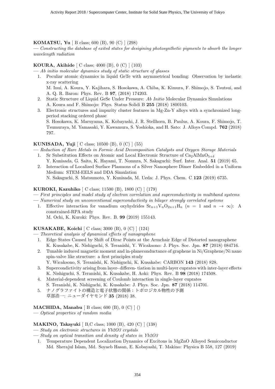#### KOMATSU, Yu [ B class; 600 (B), 90 (C) ] (298)

— Constructing the database of exited states for desigining photosynthetic pigments to absorb the longer wavelength radiation

#### KOURA, Akihide [ C class; 4000 (B), 0 (C) ] (103)

— Ab initio molecular dynamics study of static structure of glasses

- 1. Peculiar atomic dynamics in liquid GeTe with asymmetrical bonding: Observation by inelastic x-ray scattering M. Inui, A. Koura, Y. Kajihara, S. Hosokawa, A. Chiba, K. Kimura, F. Shimojo, S. Tsutsui, and A. Q. R. Baron: Phys. Rev. B 97, (2018) 174203.
- 2. Static Structure of Liquid GeSe Under Pressure: Ab Initio Molecular Dynamics Simulations A. Koura and F. Shimojo: Phys. Status Solidi B 255 (2018) 1800103.
- 3. Electronic structures and impurity cluster features in Mg-Zn-Y alloys with a synchronized longperiod stacking ordered phase S. Hosokawa, K. Maruyama, K. Kobayashi, J. R. Stellhorn, B. Paulus, A. Koura, F. Shimojo, T. Tsumuraya, M. Yamasaki, Y. Kawamura, S. Yoshioka, and H. Sato: J. Alloys Compd. 762 (2018) 797.

#### KUNISADA, Yuji [ C class; 10500 (B), 0 (C) ] (55)

- Reduction of Rare Metals in Formic Acid Decomposition Catalysts and Oxygen Storage Materials 1. Sr Substitution Effects on Atomic and Local Electronic Structure of  $\text{Ca}_2\text{AlMnO}_{5+\delta}$
- Y. Kunisada, G. Saito, K. Hayami, T. Nomura, N. Sakaguchi: Surf. Inter. Anal. 51 (2019) 65. 2. Interaction of Localized Surface Plasmons of a Silver Nanosphere Dimer Embedded in a Uniform
- Medium: STEM-EELS and DDA Simulation N. Sakaguchi, S. Matsumoto, Y. Kunisada, M. Ueda: J. Phys. Chem. C 123 (2019) 6735.

#### KUROKI, Kazuhiko [ C class; 11500 (B), 1800 (C) ] (179)

- First principles and model study of electron correlation and superconductivity in multiband systems
- Numerical study on unconventional superconductivity in bilayer strongly correlated systems
	- 1. Effective interaction for vanadium oxyhydrides  $S_{n+1}V_nO_{2n+1}H_n$   $(n = 1 \text{ and } n \to \infty)$ : A constrained-RPA study

M. Ochi, K. Kuroki: Phys. Rev. B. 99 (2019) 155143.

#### KUSAKABE, Koichi [ C class; 3000 (B), 0 (C) ] (124)

- Theoretical analysis of dynamical effects of nanographene
	- 1. Edge States Caused by Shift of Dirac Points at the Armchair Edge of Distorted nanographene K. Kusakabe, K. Nishiguchi, S. Teranishi, Y. Wicaksono: J. Phys. Soc. Jpn. 87 (2018) 084716.
	- 2. Tunable induced magnetic moment and in-planeconductance of graphene in Ni/Graphene/Ni nano spin-valve like structure: a first principles study

Y. Wicaksono, S. Teranishi, K. Nishiguchi, K. Kusakabe: CARBON 143 (2018) 828.

- 3. Supercondictivity arising from layer- differen- tiation in multi-layer cuprates with inter-layer effects K. Nishiguchi, S. Teranishi, K. Kusakabe, H. Aoki: Phys. Rev. B 98 (2018) 174508.
- 4. Material-dependent screening of Coulomb interaction in single-layer cuprates S. Teranishi, K. Nishiguchi, K. Kusakabe: J. Phys. Soc. Jpn. 87 (2018) 114701.
- 5. ナノグラファイトの構造と電子状態の関係:トポロジカル物性の予測 草部浩一: ニューダイヤモンド 35 (2018) 38.

#### MACHIDA, Manabu [ B class; 600 (B),  $0$  (C) ] ()

— Optical properties of random media

#### MAKINO, Takayuki [ B,C class; 1000 (B), 420 (C) ] (138)

— Study on electronic structures in Yb2O3 crystals

- Study on optical transition and density of states in Yb2O3
	- 1. Temperature Dependent Localization Dynamics of Excitons in MgZnO Alloyed Semiconductor Md. Sherajul Islam, Md. Soyaeb Hasan, E. Kobayashi, T. Makino: Physica B 558, 127 (2019)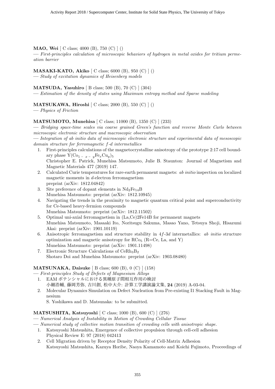#### MAO, Wei [ C class; 4000 (B), 750 (C) ] ()

— First-principles calculation of microscopic behaviors of hydrogen in metal oxides for tritium permeation barrier

MASAKI-KATO, Akiko [ C class; 6000 (B), 950 (C) ] ()

— Study of excitation dynamics of Heisenberg models

MATSUDA, Yasuhiro [ B class; 500 (B), 70 (C) ] (304)

— Estimation of the density of states using Maximum entropy method and Sparse modeling

MATSUKAWA, Hiroshi  $\vert$  C class; 2000 (B), 550 (C)  $\vert$  ()

— Physics of Friction

# MATSUMOTO, Munehisa [ C class; 11000 (B), 1350 (C) ] (233)

— Bridging space-time scales via coarse grained Green's function and reverse Monte Carlo between microscopic electronic structure and macroscopic observation

— Integration of ab initio data of microscopic electronic structure and experimental data of mesoscopic domain structure for ferromagnetic f-d intermetallics

- 1. First-principles calculations of the magnetocrystalline anisotropy of the prototype 2:17 cell boundary phase  $Y(Co_{1-x} - \mu \text{Fe}_{x}Cu_{y})_{5}$ Christopher E. Patrick, Munehisa Matsumoto, Julie B. Staunton: Journal of Magnetism and Magnetic Materials 477 (2019) 147.
- 2. Calculated Curie temperatures for rare-earth permanent magnets: ab initio inspection on localized magnetic moments in d-electron ferromagnetism preprint (arXiv: 1812.04842)
- 3. Site preference of dopant elements in  $Nd_2Fe_{14}B$ Munehisa Matsumoto: preprint (arXiv: 1812.10945)
- 4. Navigating the trends in the proximity to magnetic quantum critical point and superconductivity for Ce-based heavy-fermion compounds
	- Munehisa Matsumoto: preprint (arXiv: 1812.11502)
- 5. Optimal uni-axial ferromagnetism in (La,Ce)2Fe14B for permanent magnets Munehisa Matsumoto, Masaaki Ito, Noritsugu Sakuma, Masao Yano, Tetsuya Shoji, Hisazumi Akai: preprint (arXiv: 1901.10119)
- 6. Anisotropic ferromagnetism and structure stability in  $4f-3d$  intermetallics: ab initio structure optimization and magnetic anisotropy for  $RCo<sub>5</sub>$  (R=Ce, La, and Y) Munehisa Matsumoto: preprint (arXiv: 1901.11498)
- 7. Electronic Structure Calculations of CeRh3B<sup>2</sup> Shotaro Doi and Munehisa Matsumoto: preprint (arXiv: 1903.08480)

# **MATSUNAKA, Daisuke** [ B class; 600 (B), 0 (C) ] (158)

- First-principles Study of Defects of Magnesium Alloys
- 1. EAM ポテンシャルにおける異種原子間相互作用の検討 小細浩輔, 藤岡芳弥, 吉川創, 松中大介: 計算工学講演論文集, 24 (2019) A-03-04.
- 2. Molecular Dynamics Simulation on Defect Nucleation from Pre-existing I1 Stacking Fault in Magnesium

S. Yoshikawa and D. Matsunaka: to be submitted.

# MATSUSHITA, Katsuyoshi [ C class; 1000 (B), 600 (C) ] (276)

- Numerical Analysis of Instability in Motion of Crowding Cellular Tissue
- Numerical study of collective motion transition of crowding cells with anisotropic shape.
	- 1. Katsuyoshi Matsushita, Emergence of collective propulsion through cell-cell adhesion Physical Review E: 97 (2018) 042413
	- 2. Cell Migration driven by Receptor Density Polarity of Cell-Matrix Adhesion Katsuyoshi Matsushita, Kazuya Horibe, Naoya Kamamoto and Koichi Fujimoto, Proceedings of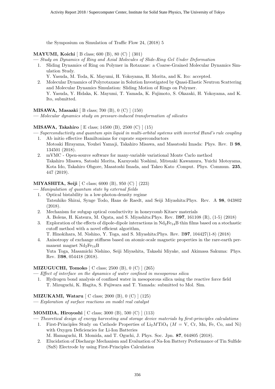the Symposium on Simulation of Traffic Flow 24, (2018) 5

# MAYUMI, Koichi [ B class; 600 (B), 80 (C) ] (301)

- Study on Dynamics of Ring and Axial Molecules of Slide-Ring Gel Under Deformation
	- 1. Sliding Dynamics of Ring on Polymer in Rotaxane: a Coarse-Grained Molecular Dynamics Simulation Study.
		- Y. Yasuda, M. Toda, K. Mayumi, H. Yokoyama, H. Morita, and K. Ito: accepted.
	- 2. Molecular Dynamics of Polyrotaxane in Solution Investigated by Quasi-Elastic Neutron Scattering and Molecular Dynamics Simulation: Sliding Motion of Rings on Polymer. Y. Yasuda, Y. Hidaka, K. Mayumi, T. Yamada, K. Fujimoto, S. Okazaki, H. Yokoyama, and K. Ito, submitted.

MISAWA, Masaaki [ B class; 700 (B), 0 (C) ] (150)

— Molecular dynamics study on pressure-induced transformation of silicates

# MISAWA, Takahiro [ E class; 14500 (B), 2500 (C) ] (15)

- Superconductivity and quantum spin liquid in multi-orbital systems with inverted Hund's rule coupling 1. Ab initio effective Hamiltonians for cuprate superconductors
	- Motoaki Hirayama, Youhei Yamaji, Takahiro Misawa, and Masatoshi Imada: Phys. Rev. B 98, 134501 (2018).
	- 2. mVMC Open-source software for many-variable variational Monte Carlo method Takahiro Misawa, Satoshi Morita, Kazuyoshi Yoshimi, Mitsuaki Kawamura, Yuichi Motoyama, Kota Ido, Takahiro Ohgore, Masatoshi Imada, and Takeo Kato :Comput. Phys. Commun. 235, 447 (2019).

# MIYASHITA, Seiji [ C class; 6000 (B), 950 (C) ] (223)

- Manipulation of quantum state by external fields
	- 1. Optical bistability in a low-photon-density regime Tatsuhiko Shirai, Synge Todo, Hans de Raedt, and Seiji Miyashita:Phys. Rev. A 98, 043802 (2018).
	- 2. Mechanism for subgap optical conductivity in honeycomb Kitaev materials A. Bolens, H. Katsura, M. Ogata, and S. Miyashita:Phys. Rev. B97, 161108 (R), (1-5) (2018)
	- 3. Exploration of the effects of dipole-dipole interactions in  $Nd_2Fe_{14}B$  thin films based on a stochastic cutoff method with a novel efficient algorithm, T. Hinokihara, M. Nishino, Y. Toga, and S. Miyashita:Phys. Rev. B97, 104427(1-8) (2018)
	- 4. Anisotropy of exchange stiffness based on atomic-scale magnetic properties in the rare-earth permanent magnet  $Nd_2Fe_{14}B$ Yuta Toga, Masamichi Nishino, Seiji Miyashita, Takashi Miyake, and Akimasa Sakuma: Phys. Rev. B98, 054418 (2018).

# MIZUGUCHI, Tomoko [ C class; 2500 (B), 0 (C) ] (265)

- Effect of interface on the dynamics of water confined in mesoporous silica
- 1. Hydrogen bond analysis of confined water in mesoporous silica using the reactive force field T. Mizuguchi, K. Hagita, S. Fujiwara and T. Yamada: submitted to Mol. Sim.

# MIZUKAMI, Wataru [ C class; 2000 (B), 0 (C) ] (125)

— Exploration of surface reactions on model real catalyst

# MOMIDA, Hiroyoshi [ C class; 3000 (B), 500 (C) ] (113)

- Theoretical design of energy harvesting and storage device materials by first-principles calculations
	- 1. First-Principles Study on Cathode Properties of  $Li<sub>2</sub>MTiO<sub>4</sub>$  ( $M = V$ , Cr, Mn, Fe, Co, and Ni) with Oxygen Deficiencies for Li-Ion Batteries

M. Hamaguchi, H. Momida, and T. Oguchi, J. Phys. Soc. Jpn. 87, 044805 (2018).

2. Elucidation of Discharge Mechanism and Evaluation of Na-Ion Battery Performance of Tin Sulfide (SnS) Electrode by using First-Principles Calculation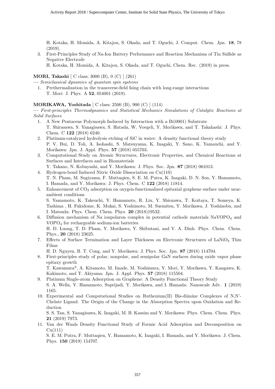H. Kotaka, H. Momida, A. Kitajou, S. Okada, and T. Oguchi, J. Comput. Chem. Jpn. 18, 78 (2019).

3. First-Principles Study of Na-Ion Battery Performance and Reaction Mechanism of Tin Sulfide as Negative Electrode

H. Kotaka, H. Momida, A. Kitajou, S. Okada, and T. Oguchi, Chem. Rec. (2019) in press.

#### MORI, Takashi [ C class; 3000 (B), 0 (C) ] (261)

— Semiclassical dynamics of quantum spin systems

1. Prethermalization in the transverse-field Ising chain with long-range interactions T. Mori: J. Phys. A 52, 054001 (2019).

#### MORIKAWA, Yoshitada [ C class; 2500 (B), 900 (C) ] (114)

— First-principles Thermodynamics and Statistical Mechanics Simulations of Catalytic Reactions at Solid Surfaces

- 1. A New Pentacene Polymorph Induced by Interaction with a Bi(0001) Substrate T. Shirasawa, S. Yanagisawa, S. Hatada, W. Voegeli, Y. Morikawa, and T. Takahashi: J. Phys. Chem. C 122 (2018) 6240.
- 2. Platinum-catalyzed hydrolysis etching of SiC in water: A density functional theory study P. V. Bui, D. Toh, A. Isohashi, S. Matsuyama, K. Inagaki, Y. Sano, K. Yamauchi, and Y. Morikawa: Jpn. J. Appl. Phys. 57 (2018) 055703.
- 3. Computational Study on Atomic Structures, Electronic Properties, and Chemical Reactions at Surfaces and Interfaces and in Biomaterials
	- Y. Takano, N. Kobayashi, and Y. Morikawa: J. Phys. Soc. Jpn. 87 (2018) 061013.
- 4. Hydrogen-bond Induced Nitric Oxide Dissociation on Cu(110) T. N. Pham, M. Sugiyama, F. Muttaqien, S. E. M. Putra, K. Inagaki, D. N. Son, Y. Hamamoto, I. Hamada, and Y. Morikawa: J. Phys. Chem. C 122 (2018) 11814.
- 5. Enhancement of  $CO<sub>2</sub>$  adsorption on oxygen-functionalized epitaxial graphene surface under nearambient conditions

S. Yamamoto, K. Takeuchi, Y. Hamamoto, R. Liu, Y. Shiozawa, T. Koitaya, T. Someya, K. Tashima , H. Fukidome, K. Mukai, S. Yoshimoto, M. Suemitsu, Y. Morikawa, J. Yoshinobu, and I. Matsuda: Phys. Chem. Chem. Phys. 20 (2018)19532.

- 6. Diffusion mechanism of Na ionpolaron complex in potential cathode materials  $\text{NaVOPO}_4$  and VOPO<sup>4</sup> for rechargeable sodium-ion batteries H. D. Luong, T. D. Pham, Y. Morikawa, Y. Shibutani, and V. A. Dinh: Phys. Chem. Chem. Phys., 20 (2018) 23625.
- 7. Effects of Surface Termination and Layer Thickness on Electronic Structures of LaNiO<sup>3</sup> Thin Films

H. D. Nguyen, B. T. Cong, and Y. Morikawa: J. Phys. Soc. Jpn. 87 (2018) 114704.

8. First-principles study of polar, nonpolar, and semipolar GaN surfaces during oxide vapor phase epitaxy growth

T. Kawamura\*, A. Kitamoto, M. Imade, M. Yoshimura, Y. Mori, Y. Morikawa, Y. Kangawa, K. Kakimoto, and T. Akiyama: Jpn. J. Appl. Phys. 57 (2018) 115504.

- 9. Platinum Single-atom Adsorption on Graphene: A Density Functional Theory Study S. A. Wella, Y. Hamamoto, Suprijadi, Y. Morikawa, and I. Hamada: Nanoscale Adv. 1 (2019) 1165.
- 10. Experimental and Computational Studies on Ruthenium(II) Bis-diimine Complexes of N,N'- Chelate Ligand: The Origin of the Change in the Absorption Spectra upon Oxidation and Reduction

S. S. Tan, S. Yanagisawa, K. Inagaki, M. B. Kassim and Y. Morikawa: Phys. Chem. Chem. Phys. 21 (2019) 7973.

11. Van der Waals Density Functional Study of Formic Acid Adsorption and Decomposition on  $Cu(111)$ 

S. E. M. Putra, F. Muttaqien, Y. Hamamoto, K. Inagaki, I. Hamada, and Y. Morikawa: J. Chem. Phys. 150 (2019) 154707.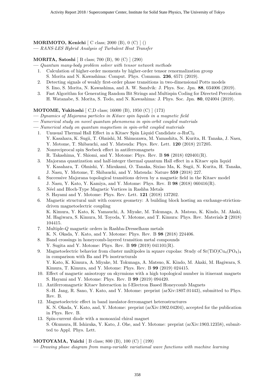# MORIMOTO, Kenichi [ C class; 2000 (B), 0 (C) ] ()

— RANS-LES Hybrid Analysis of Turbulent Heat Transfer

MORITA, Satoshi [ B class; 700 (B), 90 (C) ] (290)

- Quantum many-body problem solver with tensor network methods
- 1. Calculation of higher-order moments by higher-order tensor renormalization group
- S. Morita and N. Kawashima: Comput. Phys. Commun. 236, 6571 (2019).
- 2. Detecting signals of weakly first-order phase transitions in two-dimensional Potts models S. Iino, S. Morita, N. Kawashima, and A. W. Sandvik: J. Phys. Soc. Jpn. 88, 034006 (2019).
- 3. Fast Algorithm for Generating Random Bit Strings and Multispin Coding for Directed Percolation H. Watanabe, S. Morita, S. Todo, and N. Kawashima: J. Phys. Soc. Jpn. 80, 024004 (2019).

MOTOME, Yukitoshi [ C,D class; 16000 (B), 1950 (C) ] (173)

- Dynamics of Majorana particles in Kitaev spin liquids in a magnetic field
- Numerical study on novel quantum phenomena in spin-orbit coupled materials
- Numerical study on quantum magnetism in spin-orbit coupled materials
	- 1. Unusual Thermal Hall Effect in a Kitaev Spin Liquid Candidate  $\alpha$ -RuCl<sub>3</sub> Y. Kasahara, K. Sugii, T. Ohnishi, M. Shimozawa, M. Yamashita, N. Kurita, H. Tanaka, J. Nasu, Y. Motome, T. Shibauchi, and Y. Matsuda: Phys. Rev. Lett. 120 (2018) 217205.
	- 2. Nonreciprocal spin Seebeck effect in antiferromagnets
	- R. Takashima, Y. Shiomi, and Y. Motome: Phys. Rev. B 98 (2018) 020401(R).
	- 3. Majorana quantization and half-integer thermal quantum Hall effect in a Kitaev spin liquid Y. Kasahara, T. Ohnishi, Y. Mizukami, O. Tanaka, Sixiao Ma, K. Sugii, N. Kurita, H. Tanaka, J. Nasu, Y. Motome, T. Shibauchi, and Y. Matsuda: Nature 559 (2018) 227.
	- 4. Successive Majorana topological transitions driven by a magnetic field in the Kitaev model J. Nasu, Y. Kato, Y. Kamiya, and Y. Motome: Phys. Rev. B 98 (2018) 060416(R).
	- 5. Néel and Bloch-Type Magnetic Vortices in Rashba Metals S. Hayami and Y. Motome: Phys. Rev. Lett. 121 (2018) 137202.
	- 6. Magnetic structural unit with convex geometry: A building block hosting an exchange-strictiondriven magnetoelectric coupling K. Kimura, Y. Kato, K. Yamauchi, A. Miyake, M. Tokunaga, A. Matsuo, K. Kindo, M. Akaki, M. Hagiwara, S. Kimura, M. Toyoda, Y. Motome, and T. Kimura: Phys. Rev. Materials 2 (2018) 104415.
	- 7. Multiple-Q magnetic orders in Rashba-Dresselhaus metals
	- K. N. Okada, Y. Kato, and Y. Motome: Phys. Rev. B 98 (2018) 224406.
	- 8. Band crossings in honeycomb-layered transition metal compounds Y. Sugita and Y. Motome: Phys. Rev. B 99 (2019) 041101(R).
	- 9. Magnetoelectric behavior from cluster multipoles in square cupolas: Study of  $Sr(TiO)Cu_4(PO_4)_4$ in comparison with Ba and Pb isostructurals Y. Kato, K. Kimura, A. Miyake, M. Tokunaga, A. Matsuo, K. Kindo, M. Akaki, M. Hagiwara, S. Kimura, T. Kimura, and Y. Motome: Phys. Rev. B 99 (2019) 024415.
	- 10. Effect of magnetic anisotropy on skyrmions with a high topological number in itinerant magnets S. Hayami and Y. Motome: Phys. Rev. B 99 (2019) 094420.
	- 11. Antiferromagnetic Kitaev Interaction in f-Electron Based Honeycomb Magnets S.-H. Jang, R. Sano, Y. Kato, and Y. Motome: preprint (arXiv:1807.01443), submitted to Phys. Rev. B.
	- 12. Magnetoelectric effect in band insulator-ferromagnet heterostructures K. N. Okada, Y. Kato, and, Y. Motome: preprint (arXiv:1902.04204), accepted for the publication in Phys. Rev. B.
	- 13. Spin-current diode with a monoaxial chiral magnet S. Okumura, H. Ishizuka, Y. Kato, J. Ohe, and Y. Motome: preprint (arXiv:1903.12358), submitted to Appl. Phys. Lett.

# MOTOYAMA, Yuichi [ B class; 800 (B), 100 (C) ] (199)

— Drawing phase diagram from many-variable variational wave functions with machine learning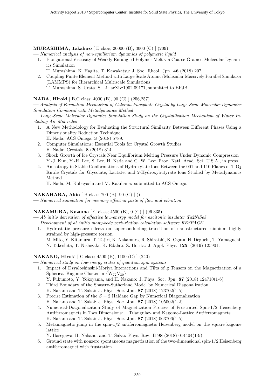#### MURASHIMA, Takahiro [ E class; 20000 (B), 3000 (C) ] (209)

— Numerical analysis of non-equilibrium dynamics of polymeric liquid

- 1. Elongational Viscosity of Weakly Entangled Polymer Melt via Coarse-Grained Molecular Dynamics Simulation
	- T. Murashima, K. Hagita, T. Kawakatsu: J. Soc. Rheol. Jpn. 46 (2018) 207.
- 2. Coupling Finite Element Method with Large Scale Atomic/Molecular Massively Parallel Simulator (LAMMPS) for Hierarchical Multiscale Simulations
	- T. Murashima, S. Urata, S. Li: arXiv:1902.09171, submitted to EPJB.

# NADA, Hiroki [ B,C class; 4000 (B), 90 (C) ] (256,257)

— Analysis of Formation Mechanism of Calcium Phosphate Crystal by Large-Scale Molecular Dynamics Simulation Combined with Metadynamics Method

— Large-Scale Molecular Dynamics Simulation Study on the Crystallization Mechanism of Water Including Air Molecules

- 1. A New Methodology for Evaluating the Structural Similarity Between Different Phases Using a Dimensionality Reduction Technique H. Nada: ACS Omega, 3 (2018) 5789.
- 2. Computer Simulations: Essential Tools for Crystal Growth Studies H. Nada: Crystals, 8 (2018) 314.
- 3. Shock Growth of Ice Crystals Near Equilibrium Melting Pressure Under Dynamic Compression Y.-J. Kim, Y.-H. Lee, S. Lee, H. Nada and G. W. Lee: Proc. Natl. Acad. Sci. U.S.A., in press.
- 4. Anisotropy in Stable Conformations of Hydroxylate Ions Between the 001 and 110 Planes of TiO<sup>2</sup> Rutile Crystals for Glycolate, Lactate, and 2-Hydroxybutyrate Ions Studied by Metadynamics Method

H. Nada, M. Kobayashi and M. Kakihana: submitted to ACS Omega.

#### NAKAHARA, Akio [ B class; 700 (B), 90 (C) ] ()

— Numerical simulation for memory effect in paste of flow and vibration

# NAKAMURA, Kazuma [ C class; 4500 (B), 0 (C) ] (96,335)

- Ab initio derivation of effective low-energy model for excitonic insulator Ta2NiSe5
- Development of ab initio many-body perturbation calculation software RESPACK
	- 1. Hydrostatic pressure effects on superconducting transition of nanostructured niobium highly strained by high-pressure torsion M. Mito, Y. Kitamura, T. Tajiri, K. Nakamura, R. Shiraishi, K. Ogata, H. Deguchi, T. Yamaguchi, N. Takeshita, T. Nishizaki, K. Edalati, Z. Horita: J. Appl. Phys. 125, (2019) 125901.

# NAKANO, Hiroki [ C class; 4500 (B), 1100 (C) ] (240)

- Numerical study on low-energy states of quantum spin systems
	- 1. Impact of Dzyaloshinskii-Moriya Interactions and Tilts of g Tensors on the Magnetization of a Spherical Kagome Cluster in  ${W_{72}V_{30}}$ 
		- Y. Fukumoto, Y. Yokoyama, and H. Nakano: J. Phys. Soc. Jpn. 87 (2018) 124710(1-6)
	- 2. Third Boundary of the Shastry-Sutherland Model by Numerical Diagonalization H. Nakano and T. Sakai: J. Phys. Soc. Jpn. 87 (2018) 123702(1-5)
	- 3. Precise Estimation of the  $S = 2$  Haldane Gap by Numerical Diagonalization H. Nakano and T. Sakai: J. Phys. Soc. Jpn. 87 (2018) 105002(1-2)
	- 4. Numerical-Diagonalization Study of Magnetization Process of Frustrated Spin-1/2 Heisenberg Antiferromagnets in Two Dimensions: – Triangular- and Kagome-Lattice Antiferromagnets– H. Nakano and T. Sakai: J. Phys. Soc. Jpn. 87 (2018) 063706(1-5)
	- 5. Metamagnetic jump in the spin-1/2 antiferromagnetic Heisenberg model on the square kagome lattice

Y. Hasegawa, H. Nakano, and T. Sakai: Phys. Rev. B 98 (2018) 014404(1-9)

6. Ground state with nonzero spontaneous magnetization of the two-dimensional spin-1/2 Heisenberg antiferromagnet with frustration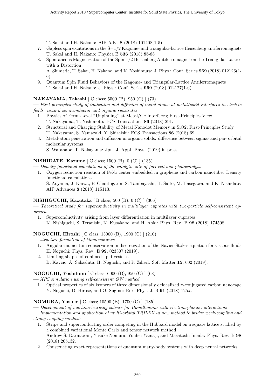T. Sakai and H. Nakano: AIP Adv. 8 (2018) 101408(1-5)

- 7. Gapless spin excitations in the  $S=1/2$  Kagome- and triangular-lattice Heisenberg antiferromagnets T. Sakai and H. Nakano: Physica B 536 (2018) 85-88
- 8. Spontaneous Magnetization of the Spin-1/2 Heisenberg Antiferromagnet on the Triangular Lattice with a Distortion
	- A. Shimada, T. Sakai, H. Nakano, and K. Yoshimura: J. Phys.: Conf. Series 969 (2018) 012126(1- 6)
- 9. Quantum Spin Fluid Behaviors of the Kagome- and Triangular-Lattice Antiferromagnets T. Sakai and H. Nakano: J. Phys.: Conf. Series 969 (2018) 012127(1-6)

# NAKAYAMA, Takashi [ C class; 5500 (B), 950 (C) ] (73)

— First-principles study of ionization and diffusion of metal atoms at metal/solid interfaces in electric fields: toward semiconductor and organic substrates

- 1. Physics of Fermi-Level "Unpinning" at Metal/Ge Interfaces; First-Principles View T. Nakayama, T. Nishimoto: ECS Transactions 86 (2018) 291.
- 2. Structural and Charging Stability of Metal Nanodot Memory in SiO2; First-Principles Study T. Nakayama, S. Yamazaki, Y. Shiraishi: ECS Transactions 86 (2018) 69.
- 3. Metal-atom penetration and diffusion in organic solids: difference between sigma- and pai- orbital molecular systems

S. Watanabe, T. Nakayama: Jpn. J. Appl. Phys. (2019) in press.

#### NISHIDATE, Kazume [ C class; 1500 (B), 0 (C) ] (135)

— Density functional calculations of the catalytic site of fuel cell and photocatalyst

1. Oxygen reduction reaction of  $FEN<sub>4</sub>$  center embedded in graphene and carbon nanotube: Density functional calculations

S. Aoyama, J. Kaiwa, P. Chantngarm, S. Tanibayashi, H. Saito, M. Hasegawa, and K. Nishidate: AIP Advances 8 (2018) 115113.

# NISHIGUCHI, Kazutaka [ B class; 500 (B), 0 (C) ] (306)

— Theoretical study for superconductivity in multilayer cuprates with two-particle self-consistent approach

1. Superconductivity arising from layer differentiation in multilayer cuprates K. Nishiguchi, S. Teranishi, K. Kusakabe, and H. Aoki: Phys. Rev. B 98 (2018) 174508.

# NOGUCHI, Hiroshi [ C class; 13000 (B), 1900 (C) ] (210)

- structure formation of biomembranes
	- 1. Angular-momentum conservation in discretization of the Navier-Stokes equation for viscous fluids H. Noguchi: Phys. Rev. E 99, 023307 (2019).
	- 2. Limiting shapes of confined lipid vesicles
		- B. Kavčič, A. Sakashita, H. Noguchi, and P. Ziherl: Soft Matter 15, 602 (2019).

# NOGUCHI, Yoshifumi [ C class; 6000 (B), 950 (C) ] (68)

— XPS simulation using self-consistent GW method

1. Optical properties of six isomers of three dimensionally delocalized  $\pi$ -conjugated carbon nanocage Y. Noguchi, D. Hirose, and O. Sugino: Eur. Phys. J. B 91 (2018) 125.a

# NOMURA, Yusuke [ C class; 10500 (B), 1700 (C) ] (185)

— Development of machine-learning solvers for Hamiltonians with electron-phonon interactions

- Implementation and application of multi-orbital TRILEX -a new method to bridge weak-coupling and strong coupling methods-
	- 1. Stripe and superconducting order competing in the Hubbard model on a square lattice studied by a combined variational Monte Carlo and tensor network method Andrew S. Darmawan, Yusuke Nomura, Youhei Yamaji, and Masatoshi Imada: Phys. Rev. B 98 (2018) 205132.
	- 2. Constructing exact representations of quantum many-body systems with deep neural networks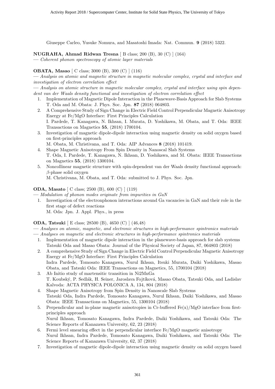Giuseppe Carleo, Yusuke Nomura, and Masatoshi Imada: Nat. Commun. 9 (2018) 5322.

NUGRAHA, Ahmad Ridwan Tresna [ B class: 200 (B), 30 (C)  $(164)$ 

— Coherent phonon spectroscopy of atomic layer materials

#### OBATA, Masao [ C class; 3000 (B), 300 (C) ] (116)

— Analysis on atomic and magnetic structure in magnetic molecular complex, crystal and interface and investigation of electron correlation effect

— Analysis on atomic structure in magnetic molecular complex, crystal and interface using spin dependent van der Waals density functional and investigation of electron correlation effect

- 1. Implementation of Magnetic Dipole Interaction in the Planewave-Basis Approach for Slab Systems T. Oda and M. Obata: J. Phys. Soc. Jpn. 87 (2018) 064803.
- 2. A Comprehensive Study of Sign Change in Electric Field Control Perpendicular Magnetic Anisotropy Energy at Fe/MgO Interface: First Principles Calculation I. Pardede, T. Kanagawa, N. Ikhsan, I. Murata, D. Yoshikawa, M. Obata, and T. Oda: IEEE Transactions on Magnetics 55, (2018) 1700104.
- 3. Investigation of magnetic dipole-dipole interaction using magnetic density on solid oxygen based on first-principles approach

M. Obata, M. Christivana, and T. Oda: AIP Advances 8 (2018) 101419.

- 4. Shape Magnetic Anisotropy From Spin Density in Nanoscal Slab Systems T. Oda, I. Pardede, T. Kanagawa, N. Ikhsan, D. Yoshikawa, and M. Obata: IEEE Transactions on Magnetics 55, (2018) 1300104.
- 5. Noncollinear magnetic structure with spin-dependent van der Waals density functional approach:  $\beta$ -phase solid oxygen

M. Christivana, M. Obata, and T. Oda: submitted to J. Phys. Soc. Jpn.

#### ODA, Masato [ C class; 2500 (B), 600 (C) ] (119)

— Modulation of phonon modes originate from impurities in GaN

1. Investigation of the electronphonon interactions around Ga vacancies in GaN and their role in the first stage of defect reactions M. Oda: Jpn. J. Appl. Phys., in press

#### ODA, Tatsuki [ E class; 28500 (B), 4650 (C) ] (46,48)

— Analyses on atomic, magnetic, and electronic structures in high-performance spintronics materials

- Analyses on magnetic and electronic structures in high-performance spintronics materials
	- 1. Implementation of magnetic dipole interaction in the planewave-basis approach for slab systems Tatsuki Oda and Masao Obata: Journal of the Physical Society of Japan, 87, 064803 (2018)
	- 2. A comprehensive Study of Sign Change in Electric Field Control Perpendicular Magnetic Anisotropy Energy at Fe/MgO Interface: First Principles Calculation Indra Pardede, Tomosato Kanagawa, Nurul Ikhsan, Itsuki Murata, Daiki Yoshikawa, Masao
	- Obata, and Tatsuki Oda: IEEE Transactions on Magnetics, 55, 1700104 (2018) 3. Ab Initio study of martensitic transition in Ni2MnGa T. Koubský, P. Sedlák, H. Seiner, Jaroslava Fojtíková, Masao Obata, Tatsuki Oda, and Ladislav Kalvoda: ACTA PHYSICA POLONICA A, 134, 804 (2018)
	- 4. Shape Magnetic Anisotropy from Spin Density in Nanoscale Slab Systems Tatsuki Oda, Indra Pardede, Tomosato Kanagawa, Nurul Ikhsan, Daiki Yoshikawa, and Masao Obata: IEEE Transactions on Magnetics, 55, 1300104 (2018)
	- 5. Perpendicular and in-plane magnetic anisotropies in Cr-buffered Fe(x)/MgO interface from firstprinciples approach Nurul Ikhsan, Tomosato Kanagawa, Indra Pardede, Daiki Yoshikawa, and Tatsuki Oda: The Science Reports of Kanazawa University, 62, 23 (2018)
	- 6. Fermi level smearing effect in the perpendicular interface Fe/MgO magnetic anisotropy Nurul Ikhsan, Indra Pardede, Tomosato Kanagawa, Daiki Yoshikawa, and Tatsuki Oda: The Science Reports of Kanazawa University, 62, 37 (2018)
	- 7. Investigation of magnetic dipole-dipole interaction using magnetic density on solid oxygen based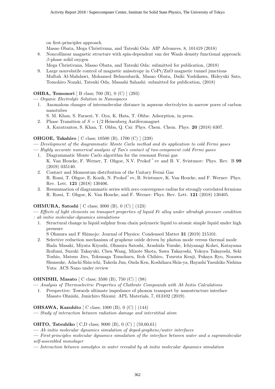on first-principles approach

Masao Obata, Mega Christivana, and Tatsuki Oda: AIP Advances, 8, 101419 (2018)

- 8. Noncollinear magnetic structure with spin-dependent van der Waals density functional approach:  $\beta$ -phase solid oxygen
- Mega Christivana, Masao Obata, and Tatsuki Oda: submitted for publication, (2018)
- 9. Large nonvolatile control of magnetic anisotropy in CoPt/ZnO magnetic tunnel junctions Muftah Al-Mahdawi, Mohamed Belmoubarik, Masao Obata, Daiki Yoshikawa, Hideyuki Sato, Tomohiro Nozaki, Tatsuki Oda, Masashi Sahashi: submitted for publication, (2018)

OHBA, Tomonori [ B class; 700 (B), 0 (C) ] (293)

— Organic Electrolyte Solution in Nanospaces

- 1. Anomalous changes of intermolecular distance in aqueous electrolytes in narrow pores of carbon nanotubes
	- S. M. Khan, S. Faraezi, Y. Oya, K. Hata, T. Ohba: Adsorption, in press.
- 2. Phase Transition of  $S = 1/2$  Heisenberg Antiferomagnet A. Karatrantos, S. Khan, T. Ohba, Q. Cai: Phys. Chem. Chem. Phys. 20 (2018) 6307.

# OHGOE, Takahiro [ C class; 10500 (B), 1700 (C) ] (239)

— Development of the diagrammatic Monte Carlo method and its application to cold Fermi gases

- Highly accurate numerical analysis of Tan's contact of two-component cold Fermi gases
	- 1. Diagrammatic Monte Carlo algorithm for the resonant Fermi gas K. Van Houcke, F. Werner, T. Ohgoe, N.V. Prokof 'ev and B. V. Svistunov: Phys. Rev. B 99 (2019) 035140.
	- 2. Contact and Momentum distribution of the Unitary Fermi Gas R. Rossi, T. Ohgoe, E. Kozik, N. Prokof 'ev, B. Svistunov, K. Van Houcke, and F. Werner: Phys. Rev. Lett. 121 (2018) 130406.
	- 3. Resummation of diagrammatic series with zero convergence radius for strongly correlated fermions R. Rossi, T. Ohgoe, K. Van Houcke, and F. Werner: Phys. Rev. Lett. 121 (2018) 130405.

# OHMURA, Satoshi [ C class; 3000 (B), 0 (C) ] (123)

— Effects of light elements on transport properties of liquid Fe alloy under ultrahigh pressure condition : ab initio molecular-dynamics simulations

1. Structural change in liquid sulphur from chain polymeric liquid to atomic simple liquid under high pressure

S Ohmura and F Shimojo: Journal of Physics: Condensed Matter 31 (2019) 215101.

2. Selective reduction mechanism of graphene oxide driven by photon mode versus thermal mode Hada Masaki, Miyata Kiyoshi, Ohmura Satoshi, Arashida Yusuke, Ichiyanagi Kohei, Katayama Ikufumi, Suzuki Takayuki, Chen Wang, Mizote Shota, Sawa Takayoshi, Yokoya Takayoshi, Seki Toshio, Matsuo Jiro, Tokunaga Tomoharu, Itoh Chihiro, Tsuruta Kenji, Fukaya Ryo, Nozawa Shunsuke, Adachi Shin-ichi, Takeda Jun, Onda Ken, Koshihara Shin-ya, Hayashi Yasuhiko Nishina Yuta: ACS Nano under review

# OHNISHI, Masato [ C class; 3500 (B), 750 (C) ] (98)

— Analysis of Thermoelectric Properties of Clathrate Compounds with Ab Initio Calculations

1. Perspective: Towards ultimate impedance of phonon transport by nanostructure interface Masato Ohnishi, Junichiro Shiomi: APL Materials, 7, 013102 (2019).

# OHSAWA, Kazuhito [ C class; 1000 (B), 0 (C) ] (144)

— Study of interaction between radiation damage and interstitial atom

# OHTO, Tatsuhiko [ C,D class; 9000 (B), 0 (C) ] (59,60,61)

— Ab initio molecular dynamics simulation of doped-graphene/water interfaces

— First-principles molecular dynamics simulation of the interface between water and a supramolecular self-assembled monolayer

— Interaction between osmolytes in water revealed by ab initio molecular dynamics simulation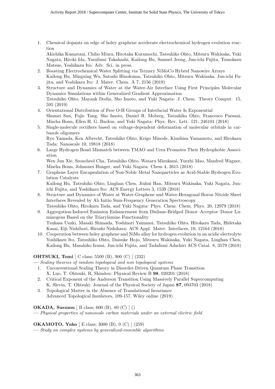1. Chemical dopants on edge of holey graphene accelerate electrochemical hydrogen evolution reaction

Akichika Kumatani, Chiho Miura, Hirotaka Kuramochi, Tatsuhiko Ohto, Mitsuru Wakisaka, Yuki Nagata, Hiroki Ida, Yasufumi Takahashi, Kailong Hu, Samuel Jeong, Jun-ichi Fujita, Tomokazu Matsue, Yoshikazu Ito: Adv. Sci. in press.

- 2. Boosting Electrochemical Water Splitting via Ternary NiMoCo Hybrid Nanowire Arrays Kailong Hu, Mingxing Wu, Satoshi Hinokuma, Tatsuhiko Ohto, Mitsuru Wakisaka, Jun-ichi Fujita, and Yoshikazu Ito: J. Mater. Chem. A 7, 2156 (2019)
- 3. Structure and Dynamics of Water at the Water-Air Interface Using First Principles Molecular Dynamics Simulations within Generalized Gradient Approximation Tatsuhiko Ohto, Mayank Dodia, Sho Imoto, and Yuki Nagata: J. Chem. Theory Comput. 15, 595 (2019)
- 4. Orientational Distribution of Free O-H Groups of Interfacial Water Is Exponential Shumei Sun, Fujie Tang, Sho Imoto, Daniel R. Moberg, Tatsuhiko Ohto, Francesco Paesani, Mischa Bonn, Ellen H. G. Backus, and Yuki Nagata: Phys. Rev. Lett. 121, 246101 (2018)
- 5. Single-molecule rectifiers based on voltage-dependent deformation of molecular orbitals in carbazole oligomers Ryo Yamada, Ken Albrecht, Tatsuhiko Ohto, Keigo Minode, Kimihisa Yamamoto, and Hirokazu Tada: Nanoscale 10, 19818 (2018)
- 6. Large Hydrogen Bond Mismatch between TMAO and Urea Promotes Their Hydrophobic Association

Wen Jun Xie, Seoncheol Cha, Tatsuhiko Ohto, Wataru Mizukami, Yuezhi Mao, Manfred Wagner, Mischa Bonn, Johannes Hunger, and Yuki Nagata: Chem 4, 2615 (2018)

7. Graphene Layer Encapsulation of Non-Noble Metal Nanoparticles as Acid-Stable Hydrogen Evolution Catalysts

Kailong Hu, Tatsuhiko Ohto, Linghan Chen, Jiuhui Han, Mitsuru Wakisaka, Yuki Nagata, Junichi Fujita, and Yoshikazu Ito: ACS Energy Letters 3, 1539 (2018)

- 8. Structure and Dynamics of Water at Water-Graphene and Water-Hexagonal Boron Nitride Sheet Interfaces Revealed by Ab Initio Sum-Frequency Generation Spectroscopy Tatsuhiko Ohto, Hirokazu Tada, and Yuki Nagata: Phys. Chem. Chem. Phys. 20, 12979 (2018)
- 9. Aggregation-Induced Emission Enhancement from Disilane-Bridged Donor–Acceptor–Donor Luminogens Based on the Triarylamine Functionality Tsukasa Usuki, Masaki Shimada, Yoshinori Yamanoi, Tatsuhiko Ohto, Hirokazu Tada, Hidetaka Kasai, Eiji Nishibori, Hiroshi Nishihara: ACS Appl. Mater. Interfaces, 10, 12164 (2018)
- 10. Cooperation between holey graphene and NiMo alloy for hydrogen evolution in an acidic electrolyte Yoshikazu Ito, Tatsuhiko Ohto, Daisuke Hojo, Mitsuru Wakisaka, Yuki Nagata, Linghan Chen, Kailong Hu, Masahiko Izumi, Jun-ichi Fujita, and Tadafumi Adschiri ACS Catal. 8, 3579 (2018)

# OHTSUKI, Tomi [ C class; 5500 (B), 900 (C) ] (232)

— Scaling theories of random topological and non topological systems

- 1. Unconventional Scaling Theory in Disorder-Driven Quantum Phase Transition X. Luo, T. Ohtsuki, R. Shindou: Physical Review B 98, 020201 (2018)
- 2. Critical Exponent of the Anderson Transition Using Massively Parallel Supercomputing K. Slevin, T. Ohtsuki: Journal of the Physical Society of Japan 87, 094703 (2018)
- 3. Topological Matter in the Absence of Translational Invariance Advanced Topological Insulators, 109-157, Wiley online (2019)

OKADA, Susumu [ B class; 600 (B), 80 (C) ] ()

— Physical properties of nanoscale carbon materials under an external electric field

# OKAMOTO, Yuko [ E class; 3000 (B), 0 (C) ] (259)

— Study on complex systems by generalized-ensemble algorithms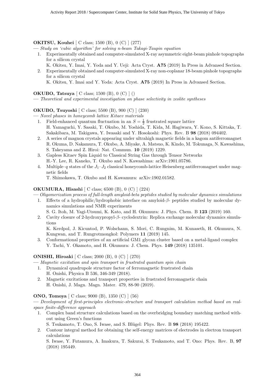# OKITSU, Kouhei [ C class; 1500 (B), 0 (C) ] (277)

— Study on 'cubic algorithm' for solving n-beam Takagi-Taupin equation

- 1. Experimentally obtained and computer-simulated X-ray asymmetric eight-beam pinhole topographs for a silicon crystal
- K. Okitsu, Y. Imai, Y. Yoda and Y. Ueji: Acta Cryst. A75 (2019) In Press in Advansed Section. 2. Experimentally obtained and computer-simulated X-ray non-coplanar 18-beam pinhole topographs
	- for a silicon crystal K. Okitsu, Y. Imai and Y. Yoda: Acta Cryst. A75 (2019) In Press in Advansed Section.

OKUBO, Tatsuya [ C class; 1500 (B), 0 (C) ] ()

— Theoretical and experimental investigation on phase selectivity in zeolite syntheses

#### OKUBO, Tsuyoshi [ C class; 5500 (B), 900 (C) ] (230)

— Novel phases in honeycomb lattice Kitaev materials

- 1. Field-enhanced quantum fluctuation in an  $S = \frac{1}{2}$  frustrated square lattice H. Yamaguchi, Y. Sasaki, T. Okubo, M. Yoshida, T. Kida, M. Hagiwara, Y. Kono, S. Kittaka, T. Sakakibara, M. Takigawa, Y. Iwasaki and Y. Hosokoshi: Phys. Rev. B 98 (2018) 094402.
- 2. A series of magnon crystals appearing under ultrahigh magnetic fields in a kagom antiferromagnet R. Okuma, D. Nakamura, T. Okubo, A. Miyake, A. Matsuo, K. Kindo, M. Tokunaga, N. Kawashima, S. Takeyama and Z. Hiroi: Nat. Commun. 10 (2019) 1229.
- 3. Gapless Kitaev Spin Liquid to Classical String Gas through Tensor Networks H.-Y. Lee, R. Kaneko, T. Okubo and N. Kawashima: arXiv:1901.05786.
- 4. Multiple–q states of the  $J_1-J_2$  classical honeycomb-lattice Heisenberg antiferromagnet under magnetic fields

T. Shimokawa, T. Okubo and H. Kawamura: arXiv:1902.01582.

#### OKUMURA, Hisashi [ C class; 6500 (B), 0 (C) ] (224)

- Oligomerization process of full-length amyloid-beta peptides studied by molecular dynamics simulations
	- 1. Effects of a hydrophilic/hydrophobic interface on amyloid-β- peptides studied by molecular dynamics simulations and NMR experiments
		- S. G. Itoh, M. Yagi-Utsumi, K. Kato, and H. Okumura: J. Phys. Chem. B 123 (2019) 160.
	- 2. Cavity closure of 2-hydroxypropyl-β- cyclodextrin: Replica exchange molecular dynamics simulations

K. Kerdpol, J. Kicuntod, P. Wolschann, S. Mori, C. Rungnim, M. Kunaseth, H. Okumura, N. Kungwan, and T. Rungrotmongkol: Polymers 11 (2019) 145.

3. Conformational properties of an artificial GM1 glycan cluster based on a metal-ligand complex Y. Tachi, Y. Okamoto, and H. Okumura: J. Chem. Phys. 149 (2018) 135101.

# ONISHI, Hiroaki [ C class; 2000 (B), 0 (C) ] (270)

— Magnetic excitation and spin transport in frustrated quantum spin chain

- 1. Dynamical quadrupole structure factor of ferromagnetic frustrated chain H. Onishi, Physica B 536, 346-349 (2018).
- 2. Magnetic excitations and transport properties in frustrated ferromagnetic chain H. Onishi, J. Magn. Magn. Mater. 479, 88-90 (2019).

# ONO, Tomoya [ C class; 9000 (B), 1350 (C) ] (56)

— Development of first-principles electronic-structure and transport calculation method based on realspace finite-difference approach

- 1. Complex band structure calculations based on the overbridging boundary matching method without using Green's functions
	- S. Tsukamoto, T. Ono, S. Iwase, and S. Blügel: Phys. Rev. B **98** (2018) 195422.
- 2. Contour integral method for obtaining the self-energy matrices of electrodes in electron transport calculations

S. Iwase, Y. Futamura, A. Imakura, T. Sakurai, S. Tsukamoto, and T. Ono: Phys. Rev. B, 97 (2018) 195449.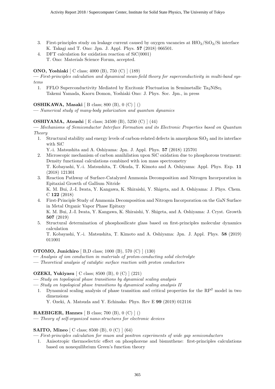- 3. First-principles study on leakage current caused by oxygen vacancies at  $HfO<sub>2</sub>/SiO<sub>2</sub>/Si$  interface K. Takagi and T. Ono: Jpn. J. Appl. Phys. 57 (2018) 066501.
- 4. DFT calculation for oxidation reaction of SiC(0001) T. Ono: Materials Science Forum, accepted.

#### ONO, Yoshiaki [ C class; 4000 (B), 750 (C) ] (189)

— First-principles calculation and dynamical mean-field theory for superconductivity in multi-band systems

1. FFLO Superconductivity Mediated by Excitonic Fluctuation in Semimetallic Ta<sub>2</sub>NiSe<sub>5</sub> Takemi Yamada, Kaoru Domon, Yoshiaki Ono: J. Phys. Soc. Jpn., in press

#### OSHIKAWA, Masaki [ B class; 800 (B), 0 (C) ] ()

— Numerical study of many-body polarization and quantum dynamics

#### OSHIYAMA, Atsushi [ E class; 34500 (B), 5250 (C) ] (44)

— Mechanisms of Semiconductor Interface Formation and its Electronic Properties based on Quantum Theory

1. Structural stability and energy levels of carbon-related defects in amorphous  $SiO<sub>2</sub>$  and its interface with SiC

Y.-i. Matsushita and A. Oshiyama: Jpn. J. Appl. Phys. 57 (2018) 125701

- 2. Microscopic mechanism of carbon annihilation upon SiC oxidation due to phosphorous treatment: Density functional calculations combined with ion mass spectrometry T. Kobayashi, Y.-i. Matsushita, T. Okuda, T. Kimoto and A. Oshiyama: Appl. Phys. Exp. 11
- (2018) 121301 3. Reaction Pathway of Surface-Catalyzed Ammonia Decomposition and Nitrogen Incorporation in Epitaxial Growth of Gallium Nitride K. M. Bui, J.-I. Iwata, Y. Kangawa, K. Shiraishi, Y. Shigeta, and A. Oshiyama: J. Phys. Chem. C 122 (2018)
- 4. First-Principle Study of Ammonia Decomposition and Nitrogen Incorporation on the GaN Surface in Metal Organic Vapor Phase Epitaxy K. M. Bui, J.-I. Iwata, Y. Kangawa, K. Shiraishi, Y. Shigeta, and A. Oshiyama: J. Cryst. Growth 507 (2019)
- 5. Structural determination of phosphosilicate glass based on first-principles molecular dynamics calculation

T. Kobayashi, Y.-i. Matsushita, T. Kimoto and A. Oshiyama: Jpn. J. Appl. Phys. 58 (2019) 011001

#### OTOMO, Junichiro [ B,D class; 1000 (B), 570 (C) ] (130)

— Analysis of ion conduction in materials of proton-conducting solid electrolyte

— Theoretical analysis of catalytic surface reaction with proton conductors

#### OZEKI, Yukiyasu [ C class; 8500 (B), 0 (C) ] (221)

- Study on topological phase transitions by dynamical scaling analysis
- Study on topological phase transitions by dynamical scaling analysis II
	- 1. Dynamical scaling analysis of phase transition and critical properties for the RP<sup>2</sup> model in two dimensions

Y. Ozeki, A. Matsuda and Y. Echinaka: Phys. Rev E 99 (2019) 012116

#### **RAEBIGER, Hannes** [ B class; 700 (B),  $0$  (C) ] ()

— Theory of self-organized nano-structures for electronic devices

#### SAITO, Mineo [ C class; 8500 (B), 0 (C) ] (64)

— First-principles calculation for muon and positron experiments of wide gap semiconductors

1. Anisotropic thermoelectric effect on phosphorene and bismuthene: first-principles calculations based on nonequilibrium Green's function theory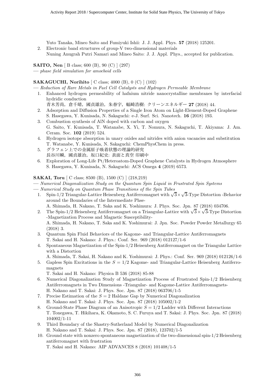Yuto Tanaka, Mineo Saito and Fumiyuki Ishii: J. J. Appl. Phys. 57 (2018) 125201.

2. Electronic band structures of group-V two-dimensional materials Nuning Anugrah Putri Namari and Mineo Saito: J. J. Appl. Phys., accepted for publication.

SAITO, Nen [ B class; 600 (B), 90 (C) ] (297)

— phase field simulation for amoeboid cells

# SAKAGUCHI, Norihito [ C class; 4000 (B), 0 (C) ] (102)

- Reduction of Rare Metals in Fuel Cell Catalysts and Hydrogen Permeable Membrane
- 1. Enhanced hydrogen permeability of hafnium nitride nanocrystalline membranes by interfacial hydridic conduction
	- 青木芳尚,倉千晴,國貞雄治,朱春宇,幅崎浩樹: クリーンエネルギー 27 (2018) 44.
- 2. Adsorption and Diffusion Properties of a Single Iron Atom on Light-Element-Doped Graphene S. Hasegawa, Y. Kunisada, N. Sakaguchi: e-J. Surf. Sci. Nanotech. 16 (2018) 193.
- 3. Combustion synthesis of AlN doped with carbon and oxygen G. Saito, Y. Kunisada, T. Watanabe, X. Yi, T. Nomura, N. Sakaguchi, T. Akiyama: J. Am. Ceram. Soc. 102 (2019) 524.
- 4. Hydrogen isotope absorption in unary oxides and nitrides with anion vacancies and substitution T. Watanabe, Y. Kunisada, N. Sakaguchi: ChemPhysChem in press.
- 5. グラフェン上での金属原子吸着状態の理論的研究 長谷川瞬,國貞雄治,坂口紀史: 表面と真空 印刷中
- 6. Exploration of Long-Life Pt/Heteroatom-Doped Graphene Catalysts in Hydrogen Atmosphere S. Hasegawa, Y. Kunisada, N. Sakaguchi: ACS Omega 4 (2019) 6573.

# SAKAI, Toru [ C class; 8500 (B), 1500 (C) ] (218,219)

- Numerical Diagonalization Study on the Quantum Spin Liquid in Frustrated Spin Systems
- Numerical Study on Quantum Phase Transitions of the Spin Tubes
	- Numerical Study on Quantum Phase Transitions of the Spin Tubes<br>1. Spin-1/2 Triangular-Lattice Heisenberg Antiferromagnet with  $\sqrt{3} \times \sqrt{3}$ -Type Distortion -Behavior around the Boundaries of the Intermediate Phse-
		- A. Shimada, H. Nakano, T. Saka and K. Yoshimura: J. Phys. Soc. Jpn. 87 (2018) 034706. √
	- A. Shimada, H. Nakano, T. Saka and K. Yoshimura: J. Phys. Soc. Jpn. 87 (2018) 034706.<br>2. The Spin-1/2 Heisenberg Antiferromagnet on a Triangular-Lattice with  $\sqrt{3} \times \sqrt{3}$ -Type Distortion -Magnetization Process and Magnetic Susceptibility-A. Shimada, H. Nakano, T. Saka and K. Yoshimurai: J. Jpn. Soc. Powder Powder Metallurgy 65
	- (2018) 3.
	- 3. Quantum Spin Fluid Behaviors of the Kagome- and Triangular-Lattice Antiferromagnets T. Sakai and H. Nakano: J. Phys.: Conf. Ser. 969 (2018) 012127/1-6
	- 4. Spontaneous Magnetization of the Spin-1/2 Heisenberg Antiferromagnet on the Triangular Lattice with a Distortion
		- A. Shimada, T. Sakai, H. Nakano and K. Yoshimurai: J. Phys.: Conf. Ser. 969 (2018) 012126/1-6
	- 5. Gapless Spin Excitations in the  $S = 1/2$  Kagome- and Triangular-Lattice Heisenberg Antiferromagnets

T. Sakai and H. Nakano: Physica B 536 (2018) 85-88

- 6. Numerical Diagonalization Study of Magnetization Process of Frustrated Spin-1/2 Heisenberg Antiferromagnets in Two Dimensions -Triangular- and Kagome-Lattice Antiferromagnets-H. Nakano and T. Sakai: J. Phys. Soc. Jpn. 87 (2018) 063706/1-5
- 7. Precise Estimation of the  $S = 2$  Haldane Gap by Numerical Diagonalization H. Nakano and T. Sakai: J. Phys. Soc. Jpn. 87 (2018) 105002/1-2
- 8. Ground-State Phase Diagram of an Anisotropic  $S = 1/2$  Ladder with Different Interactions T. Tonegawa, T. Hikihara, K. Okamoto, S. C. Furuya and T. Sakai: J. Phys. Soc. Jpn. 87 (2018) 104002/1-11
- 9. Third Boundary of the Shastry-Sutherland Model by Numerical Diagonalization H. Nakano and T. Sakai: J. Phys. Soc. Jpn. 87 (2018), 123702/1-5
- 10. Ground state with nonzero spontaneous magnetization of the two-dimensional spin-1/2 Heisenberg antiferromagnet with frustration

T. Sakai and H. Nakano: AIP ADVANCES 8 (2018) 101408/1-5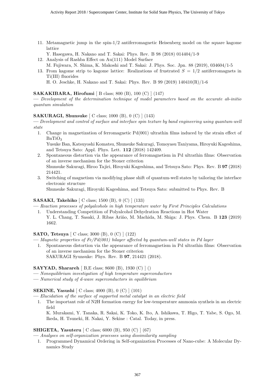11. Metamagnetic jump in the spin-1/2 antiferromagnetic Heisenberg model on the square kagome lattice

Y. Hasegawa, H. Nakano and T. Sakai: Phys. Rev. B 98 (2018) 014404/1-9

- 12. Analysis of Rashba Effect on Au(111) Model Surface
- M. Fujiwara, N. Shima, K. Makoshi and T. Sakai: J. Phys. Soc. Jpn. 88 (2019), 034604/1-5
- 13. From kagome strip to kagome lattice: Realizations of frustrated  $S = 1/2$  antiferromagnets in Ti(III) fluorides

H. O. Jeschke, H. Nakano and T. Sakai: Phys. Rev. B 99 (2019) 140410(R)/1-6

#### SAKAKIBARA, Hirofumi [ B class; 800 (B), 100 (C) ] (147)

— Development of the determination technique of model parameters based on the accurate ab-initio quantum simulation

#### SAKURAGI, Shunsuke [ C class; 1000 (B), 0 (C) ] (143)

— Development and control of surface and interface spin texture by band engineering using quantum-well state

1. Change in magnetization of ferromagnetic Pd(001) ultrathin films induced by the strain effect of  $BaTiO<sub>3</sub>$ 

Yusuke Ban, Katsuyoshi Komatsu, Shunsuke Sakuragi, Tomoyasu Taniyama, Hiroyuki Kageshima, and Tetsuya Sato: Appl. Phys. Lett. 112 (2018) 142409.

- 2. Spontaneous distortion via the appearance of ferromagnetism in Pd ultrathin films: Observation of an inverse mechanism for the Stoner criterion Shunsuke Sakuragi, Hiroo Tajiri, Hiroyuki Kageshima, and Tetsuya Sato: Phys. Rev. B 97 (2018) 214421.
- 3. Switching of magnetism via modifying phase shift of quantum-well states by tailoring the interface electronic structure

Shunsuke Sakuragi, Hiroyuki Kageshima, and Tetsuya Sato: submitted to Phys. Rev. B

#### SASAKI, Takehiko [ C class; 1500 (B), 0 (C) ] (133)

— Reaction processes of polyalcohols in high temperature water by First Principles Calculations

1. Understanding Competition of Polyalcohol Dehydration Reactions in Hot Water Y. L. Chang, T. Sasaki, J. Ribas Ariño, M. Machida, M. Shiga: J. Phys. Chem. B 123 (2019) 1662.

#### SATO, Tetsuya [ C class; 3000 (B), 0 (C) ] (122)

- Magnetic properties of  $Fe/Pd(001)$  bilayer affected by quantum-well states in Pd layer
	- 1. Spontaneous distortion via the appearance of ferromagnetism in Pd ultrathin films: Observation of an inverse mechanism for the Stoner criterion SAKURAGI Syunsuke: Phys. Rev. B 97, 214421 (2018).

#### SAYYAD, Sharareh [ B,E class; 8600 (B), 1930 (C) ] ()

- Nonequilibrium investigation of high temperature superconductors
- Numerical study of d-wave superconductors in equilibrium

#### SEKINE, Yasushi [ C class; 4000 (B), 0 (C) ] (101)

— Elucidation of the surface of supported metal catalyst in an electric field

1. The important role of N2H formation energy for low-temperature ammonia syntheis in an electric field

K. Murakami, Y. Tanaka, R. Sakai, K. Toko, K. Ito, A. Ishikawa, T. Higo, T. Yabe, S. Ogo, M. Ikeda, H. Tsuneki, H. Nakai, Y. Sekine : Catal. Today, in press.

#### SHIGETA, Yasuteru [ C class; 6000 (B), 950 (C) ] (67)

— Analyses on self-organization processes using dissimilarity sampling

1. Programmed Dynamical Ordering in Self-organization Processes of Nano-cube: A Molecular Dynamics Study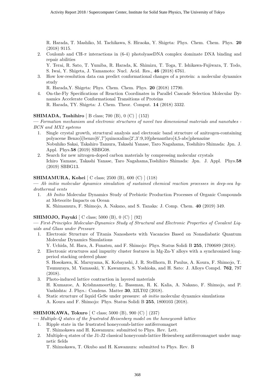R. Harada, T. Mashiko, M. Tachikawa, S. Hiraoka, Y. Shigeta: Phys. Chem. Chem. Phys. 20 (2018) 9115.

2. Coulomb and CH- $\pi$  interactions in (6-4) photolyaseDNA complex dominate DNA binding and repair abilities

Y. Terai, R. Sato, T. Yumiba, R. Harada, K. Shimizu, T. Toga, T. Ishikawa-Fujiwara, T. Todo, S. Iwai, Y. Shigeta, J. Yamamoto: Nucl. Acid. Res., 46 (2018) 6761.

3. How low-resolution data can predict conformational changes of a protein: a molecular dynamics study

R. Harada,Y. Shigeta: Phys. Chem. Chem. Phys. 20 (2018) 17790.

4. On-the-Fly Specifications of Reaction Coordinates in Parallel Cascade Selection Molecular Dynamics Accelerate Conformational Transitions of Proteins R. Harada, TY. Shigeta: J. Chem. Theor. Comput. 14 (2018) 3332.

# SHIMADA, Toshihiro [ B class; 700 (B), 0 (C) ] (152)

— Formation mechanism and electronic structures of novel two dimensional materials and nanotubes - BCN and MX2 systems

- 1. Single crystal growth, structural analysis and electronic band structure of anitrogen-containing polyacene Benzo[i]benzo[6',7']quinoxalino[2',3':9,10]phenanthro[4,5-abc]phenazine Nobuhiko Sakai, Takahiro Tamura, Takashi Yanase, Taro Nagahama, Toshihiro Shimada: Jpn. J. Appl. Phys.58 (2019) SBBG08.
- 2. Search for new nitrogen-doped carbon materials by compressing molecular crystals Ichiro Yamane, Takashi Yanase, Taro Nagahama,Toshihiro Shimada: Jpn. J. Appl. Phys.58 (2019) SBBG13.

#### SHIMAMURA, Kohei [ C class; 2500 (B), 600 (C) ] (118)

— Ab initio molecular dynamics simulation of sustained chemical reaction processes in deep-sea hydrothermal vents

1. Ab Initio Molecular Dynamics Study of Prebiotic Production Processes of Organic Compounds at Meteorite Impacts on Ocean

K. Shimamura, F. Shimojo, A. Nakano, and S. Tanaka: J. Comp. Chem. 40 (2019) 349.

# SHIMOJO, Fuyuki [ C class; 5000 (B), 0 (C) ] (92)

— First-Principles Molecular-Dynamics Study of Structural and Electronic Properties of Covalent Liquids and Glass under Pressure

1. Electronic Structure of Titania Nanosheets with Vacancies Based on Nonadiabatic Quantum Molecular Dynamics Simulations

Y. Uchida, M. Hara, A. Funatsu, and F. Shimojo: Phys. Status Solidi B 255, 1700689 (2018).

2. Electronic structures and impurity cluster features in Mg-Zn-Y alloys with a synchronized longperiod stacking ordered phase

S. Hosokawa, K. Maruyama, K. Kobayashi, J. R. Stellhorn, B. Paulus, A. Koura, F. Shimojo, T. Tsumuraya, M. Yamasaki, Y. Kawamura, S. Yoshioka, and H. Sato: J. Alloys Compd. 762, 797 (2018).

- 3. Photo-induced lattice contraction in layered materials H. Kumazoe, A. Krishnamoorthy, L. Bassman, R. K. Kalia, A. Nakano, F. Shimojo, and P. Vashishta: J. Phys.: Condens. Matter 30, 32LT02 (2018).
- 4. Static structure of liquid GeSe under pressure: ab initio molecular dynamics simulations A. Koura and F. Shimojo: Phys. Status Solidi B 255, 1800103 (2018).

# SHIMOKAWA, Tokuro [ C class; 5000 (B), 900 (C) ] (237)

— Multiple-Q states of the frustrated Heisenberg model on the honeycomb lattice

- 1. Ripple state in the frustrated honeycomb-lattice antiferromagnet T. Shimokawa and H. Kawamura: submitted to Phys. Rev. Lett.
- 2. Multiple-q states of the J1-J2 classical honeycomb-lattice Heisenberg antiferromagnet under magnetic fields

T. Shimokawa, T. Okubo and H. Kawamura: submitted to Phys. Rev. B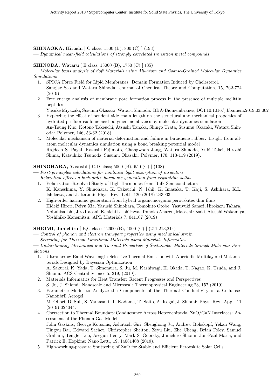#### SHINAOKA, Hiroshi [ C class; 1500 (B), 800 (C) ] (193)

— Dynamical mean-field calculations of strongly correlated transition metal compounds

#### SHINODA, Wataru [ E class; 13000 (B), 1750 (C) ] (35)

— Molecular basis analysis of Soft Materials using All-Atom and Coarse-Grained Molecular Dynamics Simulations

- 1. SPICA Force Field for Lipid Membranes: Domain Formation Induced by Cholesterol. Sangjae Seo and Wataru Shinoda: Journal of Chemical Theory and Computation, 15, 762-774 (2019).
- 2. Free energy analysis of membrane pore formation process in the presence of multiple melittin peptides

Yusuke Miyazaki, Susumu Okazaki, Wataru Shinoda: BBA-Biomembranes, DOI:10.1016/j.bbamem.2019.03.002

- 3. Exploring the effect of pendent side chain length on the structural and mechanical properties of hydrated perfluorosulfonic acid polymer membranes by molecular dynamics simulation An-Tsung Kuo, Kotono Takeuchi, Atsushi Tanaka, Shingo Urata, Susumu Okazaki, Wataru Shinoda: Polymer, 146, 53-62 (2018).
- 4. Molecular mechanism of material deformation and failure in butadiene rubber: Insight from allatom molecular dynamics simulation using a bond breaking potential model Rajdeep S. Payal, Kazushi Fujimoto, Changwoon Jang, Wataru Shinoda, Yuki Takei, Hiroshi Shima, Katsuhiko Tsunoda, Susumu Okazaki: Polymer, 170, 113-119 (2019).

# SHINOHARA, Yasushi [ C,D class; 5000 (B), 650 (C) ] (108)

- First-principles calculations for nonlinear light absorption of insulators
- Relaxation effect on high-order harmonic generation from crystalline solids
	- 1. Polarization-Resolved Study of High Harmonics from Bulk Semiconductors K. Kaneshima, Y. Shinohara, K. Takeuchi, N. Ishii, K. Imasaka, T. Kaji, S. Ashihara, K.L. Ishikawa, and J. Itatani: Phys. Rev. Lett. 120 (2018) 243903.
	- 2. High-order harmonic generation from hybrid organicinorganic perovskites thin films Hideki Hirori, Peiyu Xia, Yasushi Shinohara, Tomohito Otobe, Yasuyuki Sanari, Hirokazu Tahara, Nobuhisa Ishi, Jiro Itatani, Kenichi L. Ishikawa, Tomoko Aharen, Masashi Ozaki, Atsushi Wakamiya, Yoshihiko Kanemitsu: APL Materials 7, 041107 (2019)

# SHIOMI, Junichiro [ B,C class; 12600 (B), 1000 (C) ] (211,213,214)

- Control of phonon and electron transport properties using mechanical strain
- Screening for Thermal Functional Materials using Materials Informatics

— Understanding Mechanical and Thermal Properties of Sustainable Materials through Molecular Simulations

- 1. Ultranarrow-Band Wavelength-Selective Thermal Emission with Aperiodic Multilayered Metamaterials Designed by Bayesian Optimization A. Sakurai, K. Yada, T. Simomura, S. Ju, M. Kashiwagi, H. Okada, T. Nagao, K. Tsuda, and J. Shiomi: ACS Central Science 5, 319, (2019).
- 2. Materials Informatics for Heat Transfer: Recent Progresses and Perspectives S. Ju, J. Shiomi: Nanoscale and Microscale Thermophysical Engineering 23, 157 (2019).
- 3. Parametric Model to Analyze the Components of the Thermal Conductivity of a Cellulose-Nanofibril Aerogel M. Obori, D. Suh, S. Yamasaki, T. Kodama, T. Saito, A. Isogai, J. Shiomi: Phys. Rev. Appl. 11 (2019) 024044.
- 4. Corrrection to Thermal Boundary Conductance Across Heteroepitaxial ZnO/GaN Interfaces: Assessment of the Phonon Gas Model John Gaskins, George Kotsonis, Ashutosh Giri, Shenghong Ju, Andrew Rohskopf, Yekan Wang, Tingyu Bai, Edward Sachet, Christopher Shelton, Zeyu Liu, Zhe Cheng, Brian Foley, Samuel Graham, Tengfei Luo, Asegun Henry, Mark S. Goorsky, Junichiro Shiomi, Jon-Paul Maria, and Patrick E. Hopkins: Nano Lett., 19, 14081408 (2019).
- 5. High-working-pressure Sputtering of ZnO for Stable and Efficient Perovskite Solar Cells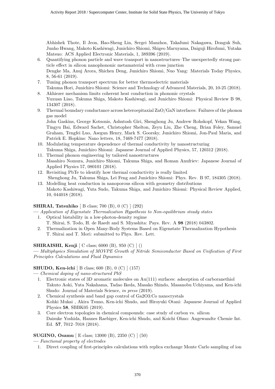Abhishek Thote, Il Jeon, Hao-Sheng Lin, Sergei Manzhos, Takafumi Nakagawa, Donguk Suh, Junho Hwang, Makoto Kashiwagi, Junichiro Shiomi, Shigeo Maruyama, Daiguji Hirofumi, Yutaka Matsuo: ACS Applied Electronic Materials, 1, 389396 (2019).

- 6. Quantifying phonon particle and wave transport in nanostructures–The unexpectedly strong particle effect in silicon nanophononic metamaterial with cross junction Dengke Ma, Anuj Arora, Shichen Deng, Junichiro Shiomi, Nuo Yang: Materials Today Physics, 8, 56-61 (2019).
- 7. Tuning phonon transport spectrum for better thermoelectric materials Takuma Hori, Junichiro Shiomi: Science and Technology of Advanced Materials, 20, 10-25 (2018).
- 8. Akhiezer mechanism limits coherent heat conduction in phononic crystals Yuxuan Liao, Takuma Shiga, Makoto Kashiwagi, and Junichiro Shiomi: Physical Review B 98, 134307 (2018).
- 9. Thermal boundary conductance across heteroepitaxial ZnO/GaN interfaces: Failures of the phonon gas model

John Gaskins, George Kotsonis, Ashutosh Giri, Shenghong Ju, Andrew Rohskopf, Yekan Wang, Tingyu Bai, Edward Sachet, Christopher Shelton, Zeyu Liu, Zhe Cheng, Brian Foley, Samuel Graham, Tengfei Luo, Asegun Henry, Mark S. Goorsky, Junichiro Shiomi, Jon-Paul Maria, and Patrick E. Hopkins: Nano letters, 18, 7469-7477 (2018).

- 10. Modulating temperature dependence of thermal conductivity by nanostructuring Takuma Shiga, Junichiro Shiomi: Japanese Journal of Applied Physics, 57, 120312 (2018).
- 11. Thermal phonon engineering by tailored nanostructures Masahiro Nomura, Junichiro Shiomi, Takuma Shiga, and Roman Anufriev: Japanese Journal of Applied Physics 57, 080101 (2018).
- 12. Revisiting PbTe to identify how thermal conductivity is really limited Shenghong Ju, Takuma Shiga, Lei Feng and Junichiro Shiomi: Phys. Rev. B 97, 184305 (2018).
- 13. Modelling heat conduction in nanoporous silicon with geometry distributions Makoto Kashiwagi, Yuta Sudo, Takuma Shiga, and Junichiro Shiomi: Physical Review Applied, 10, 044018 (2018).

# SHIRAI, Tatsuhiko [ B class; 700 (B), 0 (C) ] (292)

— Application of Eigenstate Thermalization Hypothesis to Non-equilibrium steady states 1. Optical bistability in a low-photon-density regime

- T. Shirai, S. Todo, H. de Raedt and S. Miyashita: Pays. Rev. A 98 (2018) 043802.
- 2. Thermalization in Open Many-Body Systems Based on Eigenstate Thermalization Hypothesis T. Shirai and T. Mori: submitted to Phys. Rev. Lett.

# SHIRAISHI, Kenji [ C class; 6000 (B), 950 (C) ] ()

— Multiphysics Simulation of MOVPE Growth of Nitride Semiconductor Based on Unification of First Principles Calculations and Fluid Dynamics

# SHUDO, Ken-ichi [ B class; 600 (B), 0 (C) ] (157)

- Chemical doping of nano-structured PbS
- 1. Electronic states of 3D aromatic molecules on Au(111) surfaces: adsorption of carboranethiol Takuto Aoki, Yuta Nakahama, Tadao Ikeda, Masako Shindo, Masanobu Uchiyama, and Ken-ichi Shudo: Journal of Materials Science, in press (2019).
- 2. Chemical synthesis and band gap control of Ga2O3:Co nanocrystals Kohki Mukai , Akira Tsuno, Ken-ichi Shudo, and Hiroyuki Otani: Japanese Journal of Applied Physics 58, SBBK05 (2019).
- 3. Core electron topologies in chemical compounds: case study of carbon vs. silicon Daisuke Yoshida, Hannes Raebiger, Ken-ichi Shudo, and Koichi Ohno: Angewandte Chemie Int. Ed. 57, 7012–7018 (2018).

# SUGINO, Osamu [ E class; 13000 (B), 2350 (C) ] (50)

— Functional property of electrodes

1. Direct coupling of first-principles calculations with replica exchange Monte Carlo sampling of ion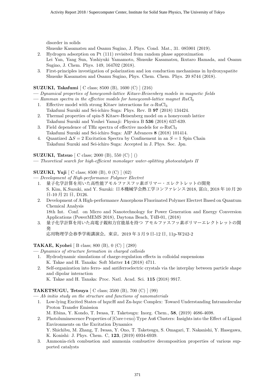disorder in solids

Shusuke Kasamatsu and Osamu Sugino, J. Phys. Cond. Mat., 31. 085901 (2019).

- 2. Hydrogen adsorption on Pt (111) revisited from random phase approximation Lei Yan, Yang Sun, Yoshiyuki Yamamoto, Shusuke Kasamatsu, Ikutaro Hamada, and Osamu Sugino, J. Chem. Phys. 149, 164702 (2018).
- 3. First-principles investigation of polarization and ion conduction mechanisms in hydroxyapatite Shusuke Kasamatsu and Osamu Sugino, Phys. Chem. Chem. Phys. 20 8744 (2018).

# SUZUKI, Takafumi [ C class; 8500 (B), 1600 (C) ] (216)

— Dynamical properties of honeycomb-lattice Kitaev-Heisenberg models in magnetic fields

- Ramman spectra in the effective models for honeycomb-lattice magnet  $RuCl<sub>3</sub>$ 
	- 1. Effective model with strong Kitaev interactions for  $\alpha$ -RuCl<sub>3</sub> Takafumi Suzuki and Sei-ichiro Suga: Phys. Rev. B 97 (2018) 134424.
	- 2. Thermal properties of spin-S Kitaev-Heisenberg model on a honeycomb lattice Takafumi Suzuki and Youhei Yamaji: Physica B 536 (2018) 637-639.
	- 3. Field dependence of THz spectra of effective models for  $\alpha$ -RuCl<sub>3</sub> Takafumi Suzuki and Sei-ichiro Suga: AIP Advances 8 (2018) 101414.
	- 4. Quantized  $\Delta S = 2$  Excitation Spectra by Confinement in an  $S = 1$  Spin Chain Takafumi Suzuki and Sei-ichiro Suga: Accepted in J. Phys. Soc. Jpn.

**SUZUKI, Tatsuo**  $\begin{bmatrix} C \ \text{class:} \ 2000 \ (B), \ 550 \ (C) \end{bmatrix}$ 

— Theoretical search for high-efficient monolayer water-splitting photocatalysts II

# SUZUKI, Yuji [ C class; 8500 (B), 0 (C) ] (62)

— Development of High-performance Polymer Electret

- 1. 量子化学計算を用いた高性能アモルファスフッ素ポリマー・エレクトレットの開発 S. Kim, K.Suzuki, and Y. Suzuki: 日本機械学会熱工学コンファレンス 2018, 富山, 2018 年 10 月 20 日-10 月 21 日, D126.
- 2. Development of A High-performance Amorphous Fluorinated Polymer Electret Based on Quantum Chemical Analysis 18th Int. Conf. on Micro and Nanotechnology for Power Generation and Energy Conversion
- Applications (PowerMEMS 2018), Daytona Beach, T4B-01, (2018) 3. 量子化学計算を用いた高電子親和力官能基を持つ アモルファスフッ素ポリマーエレクトレットの開 発

応用物理学会春季学術講演会,東京,2019 年 3 月 9 日-12 日, 11p-W242-2

TAKAE, Kyohei [ B class; 800 (B), 0 (C) ] (289)

- Dynamics of structure formation in charged colloids
	- 1. Hydrodynamic simulations of charge-regulation effects in colloidal suspensions K. Takae and H. Tanaka: Soft Matter 14 (2018) 4711.
	- 2. Self-organization into ferro- and antiferroelectric crystals via the interplay between particle shape and dipolar interaction

K. Takae and H. Tanaka: Proc. Natl. Acad. Sci. 115 (2018) 9917.

TAKETSUGU, Tetsuya [ C class; 3500 (B), 700 (C) ] (99)

— Ab initio study on the structure and functions of nanomaterials

1. Low-lying Excited States of hqxcH and Zn-hqxc Complex: Toward Understanding Intramolecular Proton Transfer Emission

M. Ebina, Y. Kondo, T. Iwasa, T. Taketsugu: Inorg. Chem., 58, (2019) 4686-4698.

2. Photoluminescence Properties of [Core+exo]-Type Au6 Clusters: Insights into the Effect of Ligand Environments on the Excitation Dynamics

Y. Shichibu, M. Zhang, T. Iwasa, Y. Ono, T. Taketsugu, S. Omagari, T. Nakanishi, Y. Hasegawa, K. Konishi: J. Phys. Chem. C, 123, (2019) 6934-6939.

3. Ammonia-rich combustion and ammonia combustive decomposition properties of various supported catalysts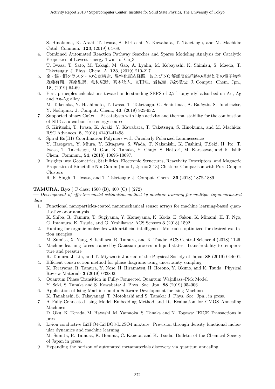S. Hinokuma, K. Araki, T. Iwasa, S. Kiritoshi, Y. Kawabata, T. Taketsugu, and M. Machida: Catal. Commun., 123, (2019) 64-68.

- 4. Combined Automated Reaction Pathway Searches and Sparse Modeling Analysis for Catalytic Properties of Lowest Energy Twins of  $Cu<sub>1</sub>3$ T. Iwasa, T. Sato, M. Takagi, M. Gao, A. Lyalin, M. Kobayashi, K. Shimizu, S. Maeda, T. Taketsugu: J. Phys. Chem. A, 123, (2019) 210-217.
- 5. 金・銀・銅クラスターの安定構造,異性化反応経路,および NO 解離反応経路の探索とその電子物性 近藤有輔,高原里奈,毛利広野,高木牧人,前田理,岩佐豪, 武次徹也: J. Comput. Chem. Jpn., 18, (2019) 64-69.
- 6. First principles calculations toward understanding SERS of 2,2 ′ -bipyridyl adsorbed on Au, Ag and Au-Ag alloy M. Takenaka, Y. Hashimoto, T. Iwasa, T. Taketsugu, G. Seniutinas, A. Balčytis, S. Juodkazise,
- Y. Nishijima: J. Comput. Chem., 40, (2019) 925-932. 7. Supported binary  $CuOx - Pt$  catalysts with high activity and thermal stability for the combustion of NH3 as a carbon-free energy source S. Kiritoshi, T. Iwasa, K. Araki, Y. Kawabata, T. Taketsugu, S. Hinokuma, and M. Machida: RSC Advances, 8, (2018) 41491-41498.
- 8. Spiral Eu(III) Coordination Polymers with Circularly Polarized Luminescence Y. Hasegawa, Y. Miura, Y. Kitagawa, S. Wada, T. Nakanishi, K. Fushimi, T.Seki, H. Ito, T. Iwasa, T. Taketsugu, M. Gon, K. Tanaka, Y. Chujo, S. Hattori, M. Karasawa, and K. Ishii: Chem. Commun., 54, (2018) 10695-10697.
- 9. Insights into Geometries, Stabilities, Electronic Structures, Reactivity Descriptors, and Magnetic Properties of Bimetallic NimCun-m ( $m = 1, 2; n = 3-13$ ) Clusters: Comparison with Pure Copper Clusters

R. K. Singh, T. Iwasa, and T. Taketsugu: J. Comput. Chem., 39,(2018) 1878-1889 .

#### TAMURA, Ryo [ C class; 1500 (B), 400 (C) ] (272)

- Development of effective model estimation method by machine learning for multiple input measured data
	- 1. Functional nanoparticles-coated nanomechanical sensor arrays for machine learning-based quantitative odor analysis

K. Shiba, R. Tamura, T. Sugiyama, Y. Kameyama, K. Koda, E. Sakon, K. Minami, H. T. Ngo, G. Imamura, K. Tsuda, and G. Yoshikawa: ACS Sensors 3 (2018) 1592.

2. Hunting for organic molecules with artificial intelligence: Molecules optimized for desired excitation energies

M. Sumita, X. Yang, S. Ishihara, R. Tamura, and K. Tsuda: ACS Central Science 4 (2018) 1126.

3. Machine learning forces trained by Gaussian process in liquid states: Transferability to temperature and pressure

R. Tamura, J. Lin, and T. Miyazaki: Journal of the Physical Society of Japan 88 (2019) 044601.

- 4. Efficient construction method for phase diagrams using uncertainty sampling K. Terayama, R. Tamura, Y. Nose, H. Hiramatsu, H. Hosono, Y. Okuno, and K. Tsuda: Physical Review Materials 3 (2019) 033802.
- 5. Quantum Phase Transition in Fully-Connected Quantum Wajnflasz–Pick Model Y. Seki, S. Tanaka and S. Kawabata: J. Phys. Soc. Jpn. 88 (2019) 054006.
- 6. Application of Ising Machines and a Software Development for Ising Machines K. Tanahashi, S. Takayanagi, T. Motohashi and S. Tanaka: J. Phys. Soc. Jpn., in press.
- 7. A Fully-Connected Ising Model Embedding Method and Its Evaluation for CMOS Annealing Machines

D. Oku, K. Terada, M. Hayashi, M. Yamaoka, S. Tanaka and N. Togawa: IEICE Transactions in press.

- 8. Li-ion conductive Li3PO4-Li3BO3-Li2SO4 mixture: Prevision through density functional molecular dynamics and machine learning M. Sumita, R. Tamura, K. Homma, C. Kaneta, and K. Tsuda: Bulletin of the Chemical Society of Japan in press.
- 9. Expanding the horizon of automated metamaterials discovery via quantum annealing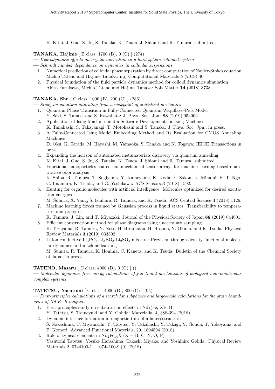K. Kitai, J. Guo, S. Ju, S. Tanaka, K. Tsuda, J. Shiomi and R. Tamura: submitted.

TANAKA, Hajime [ B class; 1700 (B), 0 (C) ] (274)

- Hydrodynamic effects on crystal nucleation in a hard-sphere colloidal system
- Schmidt number dependence on dynamics in colloidal suspensions
- 1. Numerical prediction of colloidal phase separation by direct computation of Navier-Stokes equation Michio Tateno and Hajime Tanaka: npj Computational Materials 5 (2019) 40
- 2. Physical foundation of the fluid particle dynamics method for colloid dynamics simulation Akira Furukawa, Michio Tateno and Hajime Tanaka: Soft Matter 14 (2018) 3738

# TANAKA, Shu [ C class; 1000 (B), 200 (C) ] (286)

— Study on quantum annealing from a viewpoint of statistical mechanics

- 1. Quantum Phase Transition in Fully-Connected Quantum Wajnflasz–Pick Model Y. Seki, S. Tanaka and S. Kawabata: J. Phys. Soc. Jpn. 88 (2019) 054006.
- 2. Application of Ising Machines and a Software Development for Ising Machines K. Tanahashi, S. Takayanagi, T. Motohashi and S. Tanaka: J. Phys. Soc. Jpn., in press.
- 3. A Fully-Connected Ising Model Embedding Method and Its Evaluation for CMOS Annealing Machines

D. Oku, K. Terada, M. Hayashi, M. Yamaoka, S. Tanaka and N. Togawa: IEICE Transactions in press.

- 4. Expanding the horizon of automated metamaterials discovery via quantum annealing K. Kitai, J. Guo, S. Ju, S. Tanaka, K. Tsuda, J. Shiomi and R. Tamura: submitted.
- 5. Functional nanoparticles-coated nanomechanical sensor arrays for machine learning-based quantitative odor analysis K. Shiba, R. Tamura, T. Sugiyama, Y. Kameyama, K. Koda, E. Sakon, K. Minami, H. T. Ngo,

G. Imamura, K. Tsuda, and G. Yoshikawa: ACS Sensors 3 (2018) 1592.

6. Hunting for organic molecules with artificial intelligence: Molecules optimized for desired excitation energies

M. Sumita, X. Yang, S. Ishihara, R. Tamura, and K. Tsuda: ACS Central Science 4 (2018) 1126.

7. Machine learning forces trained by Gaussian process in liquid states: Transferability to temperature and pressure

R. Tamura, J. Lin, and T. Miyazaki: Journal of the Physical Society of Japan 88 (2019) 044601. 8. Efficient construction method for phase diagrams using uncertainty sampling

- K. Terayama, R. Tamura, Y. Nose, H. Hiramatsu, H. Hosono, Y. Okuno, and K. Tsuda: Physical Review Materials 3 (2019) 033802.
- 9. Li-ion conductive  $Li_3PO_4$ - $Li_3BO_3$ - $Li_2SO_4$  mixture: Prevision through density functional molecular dynamics and machine learning

M. Sumita, R. Tamura, K. Homma, C. Kaneta, and K. Tsuda: Bulletin of the Chemical Society of Japan in press.

# TATENO, Masaru [ C class; 4000 (B), 0 (C) ] ()

— Molecular dynamics free energy calculations of functional mechanisms of biological macromolecular complex systems

# TATETSU, Yasutomi [ C class; 4000 (B), 800 (C) ] (95)

— First-principles calculations of a search for subphases and large-scale calculations for the grain boundaries of Nd-Fe-B magnets

- 1. First-principles study on substitution effects in  $Nd_2$ (Fe, X)<sub>14</sub>B Y. Tatetsu, S. Tsuneyuki, and Y. Gohda: Materialia, 4, 388-394 (2018).
- 2. Dynamic interface formation in magnetic thin film heterostructures
	- S. Nakashima, T. Miyamachi, Y. Tatetsu, Y. Takahashi, Y. Takagi, Y. Gohda, T. Yokoyama, and F. Komori: Advanced Functional Materials, 29, 1804594 (2018).
- 3. Role of typical elements in  $Nd_2Fe_{14}X$  (X = B, C, N, O, F) Yasutomi Tatetsu, Yosuke Harashima, Takashi Miyake, and Yoshihiro Gohda: Physical Review Materials 2, 0744100-1 - 0744100-9 (9) (2018).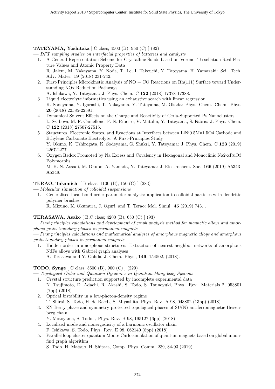# TATEYAMA, Yoshitaka [ C class; 4500 (B), 950 (C) ] (82)

— DFT sampling studies on interfacial properties of batteries and catalysts

- 1. A General Representation Scheme for Crystalline Solids based on Voronoi-Tessellation Real Feature Values and Atomic Property Data R. Jalem, M. Nakayama, Y. Noda, T. Le, I. Takeuchi, Y. Tateyama, H. Yamazaki: Sci. Tech. Adv. Mater. 19 (2018) 231-242.
- 2. First-Principles Microkinetic Analysis of  $NO + CO$  Reactions on Rh(111) Surface toward Understanding NOx Reduction Pathways

A. Ishikawa, Y. Tateyama: J. Phys. Chem. C 122 (2018) 17378-17388.

- 3. Liquid electrolyte informatics using an exhaustive search with linear regression K. Sodeyama, Y. Igarashi, T. Nakayama, Y. Tateyama, M. Okada: Phys. Chem. Chem. Phys. 20 (2018) 22585-22591.
- 4. Dynamical Solvent Effects on the Charge and Reactivity of Ceria-Supported Pt Nanoclusters L. Szabova, M. F. Camellone, F. N. Ribeiro, V. Matolin, Y. Tateyama, S. Fabris: J. Phys. Chem. C 122 (2018) 27507-27515.
- 5. Structures, Electronic States, and Reactions at Interfaces between LiNi0.5Mn1.5O4 Cathode and Ethylene Carbonate Electrolyte: A First-Principles Study Y. Okuno, K. Ushirogata, K. Sodeyama, G. Shukri, Y. Tateyama: J. Phys. Chem. C 123 (2019) 2267-2277.
- 6. Oxygen Redox Promoted by Na Excess and Covalency in Hexagonal and Monoclinic Na2-xRuO3 Polymorphs

M. H. N. Assadi, M. Okubo, A. Yamada, Y. Tateyama: J. Electrochem. Soc. 166 (2019) A5343- A5348.

#### TERAO, Takamichi [ B class; 1100 (B), 150 (C) ] (283)

- Molecular simulation of colloidal suspensions
	- 1. Generalised local bond order parameter analysis: application to colloidal particles with dendritic polymer brushes

R. Mizuno, K. Okumura, J. Oguri, and T. Terao: Mol. Simul. 45 (2019) 743. .

#### TERASAWA, Asako [ B,C class; 4200 (B), 650 (C) ] (93)

— First principles calculations and development of graph analysis method for magnetic alloys and amorphous grain boundary phases in permanent magnets

— First principles calculations and mathematical analyses of amorphous magnetic alloys and amorphous grain boundary phases in permanent magnets

1. Hidden order in amorphous structures: Extraction of nearest neighbor networks of amorphous NdFe alloys with Gabriel graph analyses

A. Terasawa and Y. Gohda, J. Chem. Phys., 149, 154502, (2018).

# TODO, Synge [ C class; 5500 (B), 900 (C) ] (229)

— Topological Order and Quantum Dynamics in Quantum Many-body Systems

- 1. Crystal structure prediction supported by incomplete experimental data N. Tsujimoto, D. Adachi, R. Akashi, S. Todo, S. Tsuneyuki, Phys. Rev. Materials 2, 053801 (7pp) (2018)
- 2. Optical bistability in a low-photon-density regime T. Shirai, S. Todo, H. de Raedt, S. Miyashita, Phys. Rev. A 98, 043802 (13pp) (2018)
- 3. ZN Berry phase and symmetry protected topological phases of SU(N) antiferromagnetic Heisenberg chain
	- Y. Motoyama, S. Todo, , Phys. Rev. B 98, 195127 (6pp) (2018)
- 4. Localized mode and nonergodicity of a harmonic oscillator chain F. Ishikawa, S. Todo, Phys. Rev. E 98, 062140 (8pp) (2018)
- 5. Parallel loop cluster quantum Monte Carlo simulation of quantum magnets based on global unionfind graph algorithm

S. Todo, H. Matsuo, H. Shitara, Comp. Phys. Comm. 239, 84-93 (2019)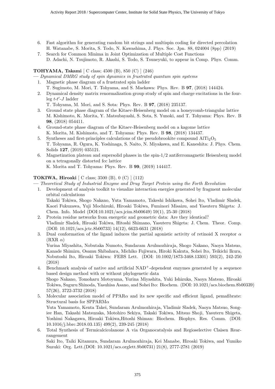- 6. Fast algorithm for generating random bit strings and multispin coding for directed percolation H. Watanabe, S. Morita, S. Todo, N. Kawashima, J. Phys. Soc. Jpn. 88, 024004 (8pp) (2019)
- 7. Search for Common Minima in Joint Optimization of Multiple Cost Functions D. Adachi, N. Tsujimoto, R. Akashi, S. Todo, S. Tsuneyuki, to appear in Comp. Phys. Comm.

# TOHYAMA, Takami [ C class; 4500 (B), 850 (C) ] (246)

— Dynamical DMRG study of spin dynamics in frustrated quantum spin systems

- 1. Magnetic phase diagram of a frustrated spin ladder
- T. Sugimoto, M. Mori, T. Tohyama, and S. Maekawa: Phys. Rev. B 97, (2018) 144424. 2. Dynamical density matrix renormalization group study of spin and charge excitations in the four-
	- $\text{leg } t-t'$ -J ladder T. Tohyama, M. Mori, and S. Sota: Phys. Rev. B 97, (2018) 235137.
- 3. Ground state phase diagram of the Kitaev-Heisenberg model on a honeycomb-triangular lattice M. Kishimoto, K. Morita, Y. Matsubayashi, S. Sota, S. Yunoki, and T. Tohyama: Phys. Rev. B 98, (2018) 054411.
- 4. Ground-state phase diagram of the Kitaev-Heisenberg model on a kagome lattice K. Morita, M. Kishimoto, and T. Tohyama: Phys. Rev. B 98, (2018) 134437.
- 5. Syntheses and first-principles calculations of the pseudobrookite compound  $\text{AITi}_2\text{O}_5$ T. Tohyama, R. Ogura, K. Yoshinaga, S. Naito, N. Miyakawa, and E. Kaneshita: J. Phys. Chem. Solids 127, (2019) 035121.
- 6. Magnetization plateau and supersolid phases in the spin-1/2 antiferromagnetic Heisenberg model on a tetragonally distorted fcc lattice
	- K. Morita and T. Tohyama: Phys. Rev. B 99, (2019) 144417.

# TOKIWA, Hiroaki [ C class; 3500 (B), 0 (C) ] (112)

— Theoretical Study of Industrial Enzyme and Drug Target Protein using the Forth Revolution

1. Development of analysis toolkit to visualize interaction energies generated by fragment molecular orbital calculations

Takaki Tokiwa, Shogo Nakano, Yuta Yamamoto, Takeshi Ishikawa, Sohei Ito, Vladimir Sladek, Kaori Fukuzawa, Yuji Mochizuki, Hiroaki Tokiwa, Fuminori Misaizu, and Yasuteru Shigeta: J. Chem. Info. Model (DOI:10.1021/acs.jcim.8b00649) 59(1), 25-30 (2018)

- 2. Protein residue networks from energetic and geometric data: Are they identical? Vladimir Sladek, Hiroaki Tokiwa, Hitoshi Shimano, Yasuteru Shigeta: J. Chem. Theor. Comp. (DOI: 10.1021/acs.jctc.8b00733) 14(12), 6623-6631 (2018)
- 3. Dual conformation of the ligand induces the partial agonistic activity of retinoid X receptor  $\alpha$  $(RXR \alpha)$ Yurina Miyashita, Nobutaka Numoto, Sundaram Arulmozhiraja, Shogo Nakano, Naoya Matsuo,

Kanade Shimizu, Osamu Shibahara, Michiko Fujiwara, Hiroki Kakuta, Sohei Ito, Teikichi Ikura, Nobutoshi Ito, Hiroaki Tokiwa: FEBS Lett. (DOI: 10.1002/1873-3468.13301) 593(2), 242-250 (2018)

- 4. Benchmark analysis of native and artificial NAD<sup>+</sup>-dependent enzymes generated by a sequence based design method with or without phylogenetic data Shogo Nakano, Tomoharu Motoyama, Yurina Miyashita, Yuki Ishizuka, Naoya Matsuo, Hiroaki Tokiwa, Suguru Shinoda, Yasuhisa Asano, and Sohei Ito: Biochem. (DOI: 10.1021/acs.biochem.8b00339) 57(26), 3722-3732 (2018)
- 5. Molecular association model of  $PPAR\alpha$  and its new specific and efficient ligand, pemafibrate: Structural basis for SPPARM $\alpha$ Yuta Yamamoto, Kenta Takei, Sundaram Arulmozhiraja, Vladimir Sladek, Naoya Matsuo, Songiee Han, Takashi Matsuzaka, Motohiro Sekiya, Takaki Tokiwa, Mitsuo Shoji, Yasuteru Shigeta, Yoshimi Nakagawa, Hiroaki Tokiwa,Hitoshi Shiman: Biochem. Biophys. Res. Comm. (DOI: 10.1016/j.bbrc.2018.03.135) 499(2), 239-245 (2018)
- 6. Total Synthesis of Termicalcicolanone A via Organocatalysis and Regioselective Claisen Rearrangement Saki Ito, Taiki Kitamura, Sundaram Arulmozhiraja, Kei Manabe, Hiroaki Tokiwa, and Yumiko Suzuki: Org. Lett.(DOI: 10.1021/acs.orglett.9b00731) 21(8), 2777-2781 (2019)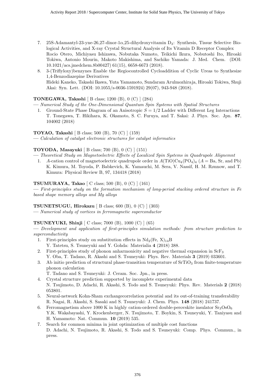- 7. 25S-Adamantyl-23-yne-26,27-dinor-1 $\alpha$ ,25-dihydroxyvitamin D<sub>3</sub>: Synthesis, Tissue Selective Biological Activities, and X-ray Crystal Structural Analysis of Its Vitamin D Receptor Complex Rocio Otero, Michiyasu Ishizawa, Nobutaka Numoto, Teikichi Ikura, Nobutoshi Ito, Hiroaki Tokiwa, Antonio Mourin, Makoto Makishima, and Sachiko Yamada: J. Med. Chem. (DOI: 10.1021/acs.jmedchem.8b00427) 61(15), 6658-6673 (2018).
- 8. 3-(Triflyloxy)benzynes Enable the Regiocontrolled Cycloaddition of Cyclic Ureas to Synthesize 1,4-Benzodiazepine Derivatives Hideki Kaneko, Takashi Ikawa, Yuta Yamamoto, Sundaram Arulmozhiraja, Hiroaki Tokiwa, Shuji Akai: Syn. Lett. (DOI: 10.1055/s-0036-1591924) 29(07), 943-948 (2018).

# TONEGAWA, Takashi [ B class; 1200 (B), 0 (C) ] (284)

- Numerical Study of the One-Dimensional Quantum Spin Systems with Spatial Structures
	- 1. Ground-State Phase Diagram of an Anisotropic  $S = 1/2$  Ladder with Different Leg Interactions T. Tonegawa, T. Hikihara, K. Okamoto, S. C. Furuya, and T. Sakai: J. Phys. Soc. Jpn. 87, 104002 (2018)

TOYAO, Takashi [ B class; 500 (B), 70 (C) ] (159)

— Calculation of catalyst electronic structures for catalyst informatics

# TOYODA, Masayuki [ B class; 700 (B), 0 (C) ] (151)

- Theoretical Study on Magnetoelectric Effects of Localized Spin Systems in Quadrupole Alignemnt
- 1. A-cation control of magnetoelectric quadrupole order in  $A(TiO)Cu_{4}(PO_{4})_{4}$  ( $A = Ba$ , Sr, and Pb) K. Kimura, M. Toyoda, P. Babkevich, K. Yamauchi, M. Sera, V. Nassif, H. M. Rønnow, and T. Kimura: Physical Review B, 97, 134418 (2018)

# TSUMURAYA, Takao [ C class; 500 (B), 0 (C) ] (161)

— First-principles study on the formation mechanism of long-period stacking ordered structure in Fe based shape memory alloys and Mg alloys

# TSUNETSUGU, Hirokazu [ B class; 600 (B),  $0$  (C) ] (303)

— Numerical study of vortices in ferromagnetic superconductor

# TSUNEYUKI, Shinji [ C class; 7000 (B), 1000 (C) ] (65)

— Development and application of first-principles simulation methods: from structure prediction to superconductivity

1. First-principles study on substitution effects in  $Nd_2$  (Fe, X)<sub>14</sub>B

Y. Tatetsu, S. Tsuneyuki and Y. Gohda: Materialia 4 (2018) 388.

- 2. First-principles study of phonon anharmonicity and negative thermal expansion in ScF<sup>3</sup> Y. Oba, T. Tadano, R. Akashi and S. Tsuneyuki: Phys. Rev. Materials 3 (2019) 033601.
- 3. Ab initio prediction of structural phase-transition temperature of  $SrTiO<sub>3</sub>$  from finite-temperature phonon calculation

T. Tadano and S. Tsuneyuki: J. Ceram. Soc. Jpn., in press.

- 4. Crystal structure prediction supported by incomplete experimental data N. Tsujimoto, D. Adachi, R. Akashi, S. Todo and S. Tsuneyuki: Phys. Rev. Materials 2 (2018) 053801.
- 5. Neural-network Kohn-Sham exchangecorrelation potential and its out-of-training transferability R. Nagai, R. Akashi, S. Sasaki and S. Tsuneyuki: J. Chem. Phys. 148 (2018) 241737.
- 6. Ferromagnetism above 1000 K in highly cation-ordered double-perovskite insulator  $Sr<sub>3</sub>OsO<sub>6</sub>$ Y.K. Wakabayashi, Y. Krockenberger, N. Tsujimoto, T. Boykin, S. Tsuneyuki, Y. Taniyasu and H. Yamamoto: Nat. Commun. 10 (2019) 535.
- 7. Search for common minima in joint optimization of multiple cost functions D. Adachi, N. Tsujimoto, R. Akashi, S. Todo and S. Tsuneyuki: Comp. Phys. Commun., in press.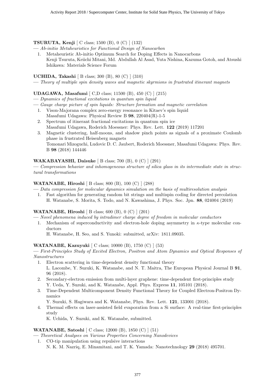#### TSURUTA, Kenji [ C class; 1500 (B), 0 (C) ] (132)

— Ab-initio Metaheuristics for Functional Design of Nanocarbon

1. Metaheuristic Ab-initio Optimum Search for Doping Effects in Nanocarbons Kenji Tsuruta, Keiichi Mitani, Md. Abdullah Al Asad, Yuta Nishina, Kazuma Gotoh, and Atsushi Ishikawa: Materials Science Forum

UCHIDA, Takashi [ B class; 300 (B), 80 (C) ] (310)

— Theory of multiple spin density waves and magnetic skyrmions in frustrated itinerant magnets

#### UDAGAWA, Masafumi [ C,D class; 11500 (B), 450 (C) ] (215)

- Dynamics of fractional excitations in quantum spin liquid
- Gauge charge picture of spin liquids: Structure formation and magnetic correlation
	- 1. Vison-Majorana complex zero-energy resonance in Kitaev's spin liquid Masafumi Udagawa: Physical Review B 98, 220404(R)-1-5
	- 2. Spectrum of itinerant fractional excitations in quantum spin ice Masafumi Udagawa, Roderich Moessner: Phys. Rev. Lett. 122 (2019) 117201
	- 3. Magnetic clustering, half-moons, and shadow pinch points as signals of a proximate Coulomb phase in frustrated Heisenberg magnets Tomonari Mizoguchi, Ludovic D. C. Jaubert, Roderich Moessner, Masafumi Udagawa: Phys. Rev. B 98 (2018) 144446

#### WAKABAYASHI, Daisuke [ B class; 700 (B), 0 (C) ] (291)

— Compression behavior and inhomogeneous structure of silica glass in its intermediate state in structural transformations

#### WATANABE, Hiroshi [ B class; 800 (B), 100 (C) ] (288)

— Data compression for molecular dynamics simulation on the basis of multiresolution analysis

1. Fast algorithm for generating random bit strings and multispin coding for directed percolation H. Watanabe, S. Morita, S. Todo, and N. Kawashima, J. Phys. Soc. Jpn. 88, 024004 (2019)

#### WATANABE, Hiroshi [ B class; 600 (B), 0 (C) ] (201)

- Novel phenomena induced by intradimer charge degree of freedom in molecular conductors
- 1. Mechanism of superconductivity and electron-hole doping asymmetry in  $\kappa$ -type molecular conductors
	- H. Watanabe, H. Seo, and S. Yunoki: submitted, arXiv: 1811.09035.

#### WATANABE, Kazuyuki [ C class; 10000 (B), 1750 (C) ] (53)

— First-Principles Study of Excited Electron, Positron and Atom Dynamics and Optical Responses of Nanostructures

- 1. Electron scattering in time-dependent density functional theory L. Lacombe, Y. Suzuki, K. Watanabe, and N. T. Maitra, The European Physical Journal B 91, 96 (2018).
- 2. Secondary-electron emission from multi-layer graphene: time-dependent first-principles study Y. Ueda, Y. Suzuki, and K. Watanabe, Appl. Phys. Express 11, 105101 (2018).
- 3. Time-Dependent Multicomponent Density Functional Theory for Coupled Electron-Positron Dynamics
	- Y. Suzuki, S. Hagiwara and K. Watanabe, Phys. Rev. Lett. 121, 133001 (2018).
- 4. Thermal effects on laser-assisted field evaporation from a Si surface: A real-time first-principles study

K. Uchida, Y. Suzuki, and K. Watanabe, submitted.

#### WATANABE, Satoshi [ C class; 12000 (B), 1850 (C) ] (51)

— Theoretical Analyses on Various Properties Concerning Nanodevices

- 1. CO-tip manipulation using repulsive interactions
	- N. K. M. Nazriq, E. Minamitani, and T. K. Yamada: Nanotechnology 29 (2018) 495701.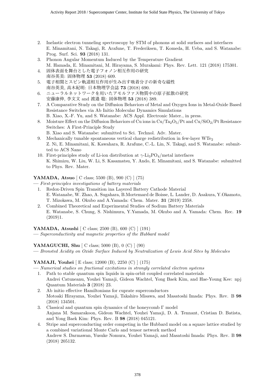- 2. Inelastic electron tunneling spectroscopy by STM of phonons at solid surfaces and interfaces E. Minamitani, N. Takagi, R. Arafune, T. Frederiksen, T. Komeda, H. Ueba, and S. Watanabe: Prog. Surf. Sci. 93 (2018) 131.
- 3. Phonon Angular Momentum Induced by the Temperature Gradient M. Hamada, E. Minamitani, M. Hirayama, S. Murakami: Phys. Rev. Lett. 121 (2018) 175301.
- 4. 固体表面を舞台とした電子フォノン相互作用の研究 南谷英美: 固体物理 53 (2018) 609.
- 5. 電子相関とスピン軌道相互作用が生み出す吸着分子の新奇な磁性 南谷英美, 高木紀明: 日本物理学会誌 73 (2018) 690.
- 6. ニューラルネットワークを用いたアモルファス物質中の原子拡散の研究 安藤康伸, 李文文 and 渡邉 聡: 固体物理 53 (2018) 389.
- 7. A Comparative Study on the Diffusion Behaviors of Metal and Oxygen Ions in Metal-Oxide Based Resistance Switches via Ab Initio Molecular Dynamics Simulations B. Xiao, X.-F. Yu, and S. Watanabe: ACS Appl. Electronic Mater., in press.
- 8. Moisture Effect on the Diffusion Behaviors of Cu ions in  $Cu/Ta_2O_5/Pt$  and  $Cu/SiO_2/Pt$  Resistance Switches: A First-Principle Study
	- B. Xiao and S. Watanabe: submitted to Sci. Technol. Adv. Mater.
- 9. Mechanically tunable spontaneous vertical charge redistribution in few-layer WTe<sup>2</sup> Z. Ni, E. Minamitani, K. Kawahara, R. Arafune, C.-L. Lin, N. Takagi, and S. Watanabe: submitted to ACS Nano
- 10. First-principles study of Li-ion distribution at  $\gamma$ -Li<sub>3</sub>PO<sub>4</sub>/metal interfaces K. Shimizu, W. Liu, W. Li, S. Kasamatsu, Y. Ando, E. Minamitani, and S. Watanabe: submitted to Phys. Rev. Mater.

# YAMADA, Atsuo [ C class; 5500 (B), 900 (C) ] (75)

- First-principles investigations of battery materials
	- 1. Redox-Driven Spin Transition ina Layered Battery Cathode Material E. Watanabe, W. Zhao, A. Sugahara, B.Mortemard de Boisse, L. Lander, D. Asakura, Y.Okamoto, T. Mizokawa, M. Okubo and A.Yamada: Chem. Mater. 31 (2019) 2358.
	- 2. Combined Theoretical and Experimental Studies of Sodium Battery Materials E. Watanabe, S. Chung, S. Nishimura, Y.Yamada, M. Okubo and A. Yamada: Chem. Rec. 19 (2019)1.

YAMADA, Atsushi [ C class; 2500 (B), 600 (C) ] (191)

— Superconductivity and magnetic properties of the Hubbard model

YAMAGUCHI, Shu [ C class; 5000 (B), 0 (C) ] (90)

— Bronsted Acidity on Oxide Surface Induced by Neutralization of Lewis Acid Sites by Molecules

YAMAJI, Youhei [ E class; 12000 (B), 2250 (C) ] (175)

- Numerical studies on fractional excitations in strongly correlated electron systems
- 1. Path to stable quantum spin liquids in spin-orbit coupled correlated materials Andrei Catuneanu, Youhei Yamaji, Gideon Wachtel, Yong Baek Kim, and Hae-Young Kee: npj Quantum Materials 3 (2018) 23.
- 2. Ab initio effective Hamiltonians for cuprate superconductors Motoaki Hirayama, Youhei Yamaji, Takahiro Misawa, and Masatoshi Imada: Phys. Rev. B 98 (2018) 134501.
- 3. Classical and quantum spin dynamics of the honeycomb Γ model Anjana M. Samarakoon, Gideon Wachtel, Youhei Yamaji, D. A. Tennant, Cristian D. Batista, and Yong Baek Kim: Phys. Rev. B 98 (2018) 045121.
- 4. Stripe and superconducting order competing in the Hubbard model on a square lattice studied by a combined variational Monte Carlo and tensor network method Andrew S. Darmawan, Yusuke Nomura, Youhei Yamaji, and Masatoshi Imada: Phys. Rev. B 98 (2018) 205132.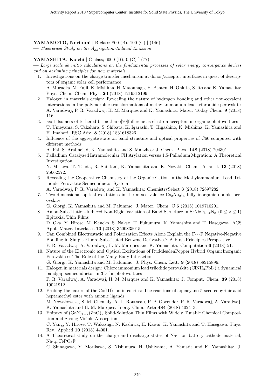# YAMAMOTO, Norifumi [ B class; 800 (B), 100 (C) ] (146)

— Theoretical Study on the Aggregation-Induced Emission

#### YAMASHITA, Koichi [ C class; 6000 (B), 0 (C) ] (77)

— Large scale ab initio calculations on the fundamental processes of solar energy convergence devices and on designing principles for new materials

- 1. Investigations on the charge transfer mechanism at donor/acceptor interfaces in quest of descriptors of organic solar cell performance A. Muraoka, M. Fujii, K. Mishima, H. Matsunaga, H. Benten, H. Ohkita, S. Ito and K. Yamashita: Phys. Chem. Chem. Phys. 20 (2018) 1219312199.
- 2. Halogen in materials design: Revealing the nature of hydrogen bonding and other non-covalent interactions in the polymorphic transformations of methylammonium lead tribromide perovskite A. Varadwaj, P. R. Varadwaj, H. M. Marques and K. Yamashita: Mater. Today Chem. 9 (2018) 116.
- 3. cis-1 Isomers of tethered bismethano[70]fullerene as electron acceptors in organic photovoltaics T. Umeyama, S. Takahara, S. Shibata, K. Igarashi, T. Higashino, K. Mishima, K. Yamashita and H. Imahori: RSC Adv. 8 (2018) 1831618326.
- 4. Influence of the aggregate state on band structure and optical properties of C60 computed with different methods

A. Pal, S. Arabnejad, K. Yamashita and S. Manzhos: J. Chem. Phys. 148 (2018) 204301.

5. Palladium‐ Catalyzed Intramolecular CH Arylation versus 1,5-Palladium Migration: A Theoretical Investigation

N. Misawa, T. Tsuda, R. Shintani, K. Yamashita and K. Nozaki: Chem. Asian J. 13 (2018) 25662572.

6. Revealing the Cooperative Chemistry of the Organic Cation in the Methylammonium Lead Triiodide Perovskite Semiconductor System

A. Varadwaj, P. R. Varadwaj and K. Yamashita: ChemistrySelect 3 (2018) 72697282.

7. Two-dimensional optical excitations in the mixed-valence  $Cs_2Au_2I_6$  fully inorganic double perovskite

G. Giorgi, K. Yamashita and M. Palummo: J. Mater. Chem. C 6 (2018) 1019710201.

- 8. Anion-Substitution-Induced Non-Rigid Variation of Band Structure in  $SrNbO_{3-x}N_x$  ( $0 \le x \le 1$ ) Epitaxial Thin Films D. Oka, Y. Hirose, M. Kaneko, S. Nakao, T. Fukumura, K. Yamashita and T. Hasegawa: ACS
- Appl. Mater. Interfaces 10 (2018) 3500835015. 9. Can Combined Electrostatic and Polarization Effects Alone Explain the  $F \cdots F$  Negative-Negative Bonding in Simple Fluoro-Substituted Benzene Derivatives? A First-Principles Perspective

P. R. Varadwaj, A. Varadwaj, H. M. Marques and K. Yamashita: Computation 6 (2018) 51.

10. Nature of the Electronic and Optical Excitations of RuddlesdenPopper Hybrid OrganicInorganic Perovskites: The Role of the Many-Body Interactions

G. Giorgi, K. Yamashita and M. Palummo: J. Phys. Chem. Lett. 9 (2018) 58915896.

11. Halogen in materials design: Chloroammonium lead triiodide perovskite (ClNH3PbI3) a dynamical bandgap semiconductor in 3D for photovoltaics

P. R. Varadwaj, A. Varadwaj, H. M. Marques and K. Yamashita: J. Comput. Chem. 39 (2018) 19021912.

- 12. Probing the nature of the Co(III) ion in corrins: The reactions of aquacyano-5-seco-cobyrinic acid heptamethyl ester with anionic ligands M. Nowakowska, S. M. Chemaly, A. L. Rousseau, P. P. Govender, P. R. Varadwaj, A. Varadwaj,
- K. Yamashita and H. M. Marques: Inorg. Chim. Acta 484 (2018) 402413. 13. Epitaxy of  $(GaN)_{1-x}(ZnO)_x$  Solid-Solution Thin Films with Widely Tunable Chemical Composition and Strong Visible Absorption

C. Yang, Y. Hirose, T. Wakasugi, N. Kashiwa, H. Kawai, K. Yamashita and T. Hasegawa: Phys. Rev. Applied 10 (2018) 44001.

14. A Theoretical study on the charge and discharge states of Na‐ ion battery cathode material,  $Na_{1+x}FePO_4F$ 

C. Shinagawa, Y. Morikawa, S. Nishimura, H. Ushiyama, A. Yamada and K. Yamashita: J.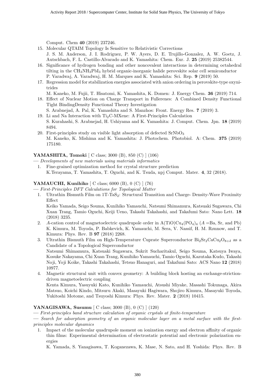Comput. Chem 40 (2019) 237246.

- 15. Molecular QTAIM Topology Is Sensitive to Relativistic Corrections J. S. M. Anderson, J. I. Rodriguez, P. W. Ayers, D. E. Trujillo-Gonzalez, A. W. Goetz, J. Autschbach, F. L. Castillo-Alvarado and K. Yamashita: Chem. Eur. J. 25 (2019) 25382544.
- 16. Significance of hydrogen bonding and other noncovalent interactions in determining octahedral tilting in the CH3NH3PbI<sup>3</sup> hybrid organic-inorganic halide perovskite solar cell semiconductor P. Varadwaj, A. Varadwaj, H. M. Marques and K. Yamashita: Sci. Rep. 9 (2019) 50.
- 17. Regression model for stabilization energies associated with anion ordering in perovskite-type oxynitrides

M. Kaneko, M. Fujii, T. Hisatomi, K. Yamashita, K. Domen: J. Energy Chem. 36 (2019) 714.

- 18. Effect of Nuclear Motion on Charge Transport in Fullerenes: A Combined Density Functional Tight BindingDensity Functional Theory Investigation S. Arabnejad, A. Pal, K. Yamashita and S. Manzhos: Front. Energy Res. 7 (2019) 3.
- 19. Li and Na Interaction with  $Ti<sub>2</sub>C-MXene:$  A First-Principles Calculation S. Kurahashi, S. Arabnejad, H. Ushiyama and K. Yamashita: J. Comput. Chem. Jpn. 18 (2019) 8494.
- 20. First-principles study on visible light absorption of defected  $SrNbO<sub>3</sub>$ M. Kaneko, K. Mishima and K. Yamashita: J. Photochem. Photobiol. A: Chem. 375 (2019) 175180.

# YAMASHITA, Tomoki [ C class; 3000 (B), 850 (C) ] (106)

- Developments of new materials using materials informatics
	- 1. Fine-grained optimization method for crystal structure prediction K.Terayama, T. Yamashita, T. Oguchi, and K. Tsuda, npj Comput. Mater. 4, 32 (2018).

# **YAMAUCHI, Kunihiko**  $\begin{bmatrix} C \ \text{class}; 6000 \ (B), 0 \ (C) \end{bmatrix}$  (76)

— First-Principles DFT Calculations for Topological Matter

1. Ultrathin Bismuth Film on 1T-TaS<sub>2</sub>: Structural Transition and Charge- Density-Wave Proximity Effect

Keiko Yamada, Seigo Souma, Kunihiko Yamauchi, Natsumi Shimamura, Katsuaki Sugawara, Chi Xuan Trang, Tamio Oguchi, Keiji Ueno, Takashi Takahashi, and Takafumi Sato: Nano Lett. 18 (2018) 3235.

- 2. A-cation control of magnetoelectric quadrupole order in  $A(TiO)Cu_4(PO_4)_4$  ( $A = Ba$ , Sr, and Pb) K. Kimura, M. Toyoda, P. Babkevich, K. Yamauchi, M. Sera, V. Nassif, H. M. Rønnow, and T. Kimura: Phys. Rev. B 97 (2018) 2268.
- 3. Ultrathin Bismuth Film on High-Temperature Cuprate Superconductor  $Bi_2Sr_2CaCu_2O_{8+\delta}$  as a Candidate of a Topological Superconductor Natsumi Shimamura, Katsuaki Sugawara, Sukrit Sucharitakul, Seigo Souma, Katsuya Iwaya, Kosuke Nakayama, Chi Xuan Trang, Kunihiko Yamauchi, Tamio Oguchi, Kazutaka Kudo, Takashi Noji, Yoji Koike, Takashi Takahashi, Tetsuo Hanaguri, and Takafumi Sato: ACS Nano 12 (2018) 10977.
- 4. Magnetic structural unit with convex geometry: A building block hosting an exchange-strictiondriven magnetoelectric coupling Kenta Kimura, Yasuyuki Kato, Kunihiko Yamauchi, Atsushi Miyake, Masashi Tokunaga, Akira Matsuo, Koichi Kindo, Mitsuru Akaki, Masayuki Hagiwara, Shojiro Kimura, Masayuki Toyoda, Yukitoshi Motome, and Tsuyoshi Kimura: Phys. Rev. Mater. 2 (2018) 10415.

# YANAGISAWA, Susumu [ C class; 3000 (B), 0 (C) ] (120)

— First-principles band structure calculation of organic crystals at finite-temperature

— Search for adsorption geometry of an organic molecular layer on a metal surface with the firstprinciples molecular dynamics

1. Impact of the molecular quadrupole moment on ionization energy and electron affinity of organic thin films: Experimental determination of electrostatic potential and electronic polarization energies

K. Yamada, S. Yanagisawa, T. Koganezawa, K. Mase, N. Sato, and H. Yoshida: Phys. Rev. B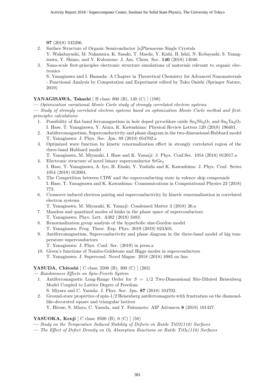97 (2018) 245206.

- 2. Surface Structure of Organic Semiconductor [n]Phenacene Single Crystals
- Y. Wakabayashi, M. Nakamura, K. Sasaki, T. Maeda, Y. Kishi, H. Ishii, N. Kobayashi, S. Yanagisawa, Y. Shimo, and Y. Kubozono: J. Am. Chem. Soc. 140 (2018) 14046.
- 3. Nano-scale first-principles electronic structure simulations of materials relevant to organic electronics

S. Yanagisawa and I. Hamada: A Chapter in Theoretical Chemistry for Advanced Nanomaterials - Functional Analysis by Computation and Experiment edited by Taku Onishi (Springer Nature, 2019)

# YANAGISAWA, Takashi [ B class; 800 (B), 130 (C) ] (198)

— Optimization variational Monte Carlo study of strongly correlated electron systems

— Study of strongly correlated electron systems based on optimization Monte Carlo method and firstprinciples calculations

- 1. Possibility of flat-band ferromagnetism in hole doped pyrochlore oxide  $Sn_2Nb_2O_7$  and  $Sn_2Ta_2O_7$ I. Hase, T. Yanagisawa, Y. Aiura, K. Kawashima: Physical Review Letters 120 (2018) 196401.
- 2. Antiferromagnetism, Superconductivity and phase diagram in the two-dimensional Hubbard model T. Yanagisawa: J. Phys. Soc. Jpn. 88 (2019) 054702.a
- 3. Optimized wave function by kinetic renormalization effect in strongly correlated region of the three-band Hubbard model
- T. Yanagisawa, M. Miyazaki, I. Hase and K. Yamaji: J. Phys. Conf.Ser. 1054 (2018) 012017.a 4. Electronic structure of novel binary superconductor  $SrGe<sub>2</sub>$
- I. Hase, T. Yanagisawa, A. Iyo, H. Eisaki, Y. Yoshida and K. Kawashima: J. Phys. Conf. Series 1054 (2018) 012004.
- 5. The Competition between CDW and the superconducting state in valence skip compounds I. Hase, T. Yanagisawa and K. Kawashima: Communications in Computational Physics 23 (2018) 773.
- 6. Crossover induced electron pairing and superconductivity by kinetic renormalization in correlated electron systems

T. Yanagisawa, M. Miyazaki, K. Yamaji: Condensed Matter 3 (2018) 26.a

- 7. Massless and quantized modes of kinks in the phase space of superconductors T. Yanagisawa: Phys. Lett. A382 (2018) 3483.
- 8. Renormalization group analysis of the hyperbolic sine-Gordon model T. Yanagisawa: Prog. Theor. Exp. Phys. 2019 (2019) 023A01.
- 9. Antiferromagnetism, Superconductivity and phase diagram in the three-band model of hig temperature superconductors
	- T. Yanagisawa: J. Phys. Conf. Ser. (2019) in press.a
- 10. Green's functions of Nambu-Goldstone and Higgs modes in superconductors T. Yanagisawa: J. Supercond. Novel Magne. 2018 (2018) 4983 on line.

# YASUDA, Chitoshi [ C class; 2500 (B), 300 (C) ] (263)

— Randomness Effects on Spin-Peierls System

- 1. Antiferromagnetic Long-Range Order for  $S = 1/2$  Two-Dimensional Site-Diluted Heisenberg Model Coupled to Lattice Degree of Freedom S. Miyara and C. Yasuda: J. Phys. Soc. Jpn. 87 (2018) 104702.
- 2. Ground-state properties of spin-1/2 Heisenberg antiferromagnets with frustration on the diamondlike-decorated square and triangular lattices Y. Hirose, S. Miura, C. Yasuda, and Y. Fukumoto: AIP Advances 8 (2018) 101427.

# YASUOKA, Kenji [ C class; 9500 (B), 0 (C) ] (58)

- Study on the Temperature Induced Stability of Defects on Rutile TiO2(110) Surfaces
- The Effect of Defect Density on  $O_2$  Absorption Reactions on Rutile TiO<sub>2</sub>(110) Surfaces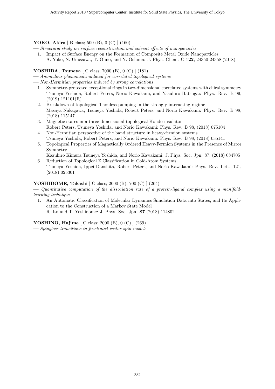YOKO, Akira [ B class; 500 (B), 0 (C) ] (160)

- Structural study on surface reconstruction and solvent effects of nanoparticles
- 1. Impact of Surface Energy on the Formation of Composite Metal Oxide Nanoparticles A. Yoko, N. Umezawa, T. Ohno, and Y. Oshima: J. Phys. Chem. C 122, 24350-24358 (2018).

#### YOSHIDA, Tsuneya [ C class; 7000 (B), 0 (C) ] (181)

— Anomalous phenomena induced for correlated topological systems

- Non-Hermitian properties induced by strong correlations
	- 1. Symmetry-protected exceptional rings in two-dimensional correlated systems with chiral symmetry Tsuneya Yoshida, Robert Peters, Norio Kawakami, and Yasuhiro Hatsugai: Phys. Rev. B 99, (2019) 121101(R)
	- 2. Breakdown of topological Thouless pumping in the strongly interacting regime Masaya Nakagawa, Tsuneya Yoshida, Robert Peters, and Norio Kawakami: Phys. Rev. B 98, (2018) 115147
	- 3. Magnetic states in a three-dimensional topological Kondo insulator Robert Peters, Tsuneya Yoshida, and Norio Kawakami: Phys. Rev. B 98, (2018) 075104
	- 4. Non-Hermitian perspective of the band structure in heavy-fermion systems Tsuneya Yoshida, Robert Peters, and Norio Kawakami: Phys. Rev. B 98, (2018) 035141
	- 5. Topological Properties of Magnetically Ordered Heavy-Fermion Systems in the Presence of Mirror Symmetry
	- Kazuhiro Kimura Tsuneya Yoshida, and Norio Kawakami: J. Phys. Soc. Jpn. 87, (2018) 084705 6. Reduction of Topological Z Classification in Cold-Atom Systems
	- Tsuneya Yoshida, Ippei Danshita, Robert Peters, and Norio Kawakami: Phys. Rev. Lett. 121, (2018) 025301

#### YOSHIDOME, Takashi [ C class; 2000 (B), 700 (C) ] (264)

 $\overline{\phantom{C}}$  Quantitative computation of the dissociation rate of a protein-ligand complex using a manifoldlearning technique

1. An Automatic Classification of Molecular Dynamics Simulation Data into States, and Its Application to the Construction of a Markov State Model R. Ito and T. Yoshidome: J. Phys. Soc. Jpn. 87 (2018) 114802.

YOSHINO, Hajime [ C class; 2000 (B), 0 (C) ] (269)

— Spinglass transitions in frustrated vector spin models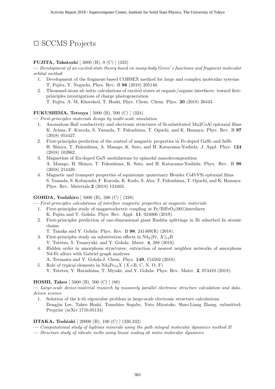# □ SCCMS Projects

# FUJITA, Takatoshi [ 3000 (B), 0 (C) ] (323)

— Development of an excited-state theory based on many-body Green's functions and fragment molecular orbital method

- 1. Development of the fragment-based COHSEX method for large and complex molecular systems T. Fujita, Y. Noguchi, Phys. Rev. B 98 (2018) 205140.
- 2. Thousand-atom ab initio calculations of excited states at organic/organic interfaces: toward firstprinciples investigations of charge photogeneration
	- T. Fujita, A. M, Khorshed, T. Hoshi, Phys. Chem. Chem. Phys. 20 (2018) 26443.

# FUKUSHIMA, Tetsuya [ 5000 (B), 500 (C) ] (324)

— First-principles materials design by multi-scale simulation

- 1. Anomalous Hall conductivity and electronic structures of Si-substituted Mn2CoAl epitaxial films K. Arima, F. Kuroda, S. Yamada, T. Fukushima, T. Oguchi, and K. Hamaya: Phys. Rev. B 97 (2018) 054427.
- 2. First-principles prediction of the control of magnetic properties in Fe-doped GaSb and InSb H. Shinya, T. Fukushima, A. Masago, K. Sato, and H. Katayama-Yoshida: J. Appl. Phys. 124 (2018) 103962.
- 3. Magnetism of Eu-doped GaN modulations by spinodal nanodecomposition A. Masago, H. Shinya, T. Fukushima, K. Sato, and H. Katayama-Yoshida: Phys. Rev. B 98 (2018) 214426.
- 4. Magnetic and transport properties of equiatomic quaternary Heusler CoFeVSi epitaxial films S. Yamada, S. Kobayashi, F. Kuroda, K. Kudo, S. Abo, T. Fukushima, T. Oguchi, and K. Hamaya: Phys. Rev. Materials 2 (2018) 124403.

# GOHDA, Yoshihiro [ 5000 (B), 500 (C) ] (328)

— First-principles calculations of interface magnetic properties at magnetic materials

- 1. First-principles study of magnetoelectric coupling at  $Fe/BiFeO<sub>3</sub>(001)$  interfaces K. Fujita and Y. Gohda: Phys. Rev. Appl. 11, 024006 (2019).
- 2. First-principles prediction of one-dimensional giant Rashba splittings in Bi adsorbed In atomic chains

T. Tanaka and Y. Gohda: Phys. Rev. B 98, 241409(R) (2018).

- 3. First-principles study on substitution effects in  $Nd_2$  (Fe,  $X)_{14}B$ ) Y. Tatetsu, S. Tsuneyuki, and Y. Gohda: Mater. 4, 388 (2018).
- 4. Hidden order in amorphous structures: extraction of nearest neighbor networks of amorphous Nd-Fe alloys with Gabriel graph analyses
	- A. Terasawa and Y. Gohda:J. Chem. Phys. 149, 154502 (2018).
- 5. Role of typical elements in  $Nd_2Fe_{14}X$  (X=B, C, N, O, F)
	- Y. Tatetsu, Y. Harashima, T. Miyake, and Y. Gohda: Phys. Rev. Mater. 2, 074410 (2018).

# HOSHI, Takeo [ 5000 (B), 500 (C) ] (80)

— Large-scale device-material research by massively parallel electronic structure calculation and datadriven science

1. Solution of the k-th eigenvalue problem in large-scale electronic structure calculations Dongjin Lee, Takeo Hoshi, Tomohiro Sogabe, Yuto Miyatake, Shao-Liang Zhang, submitted; Preprint (arXiv.1710.05134)

# IITAKA, Toshiaki [ 20000 (B), 100 (C) ] (330,332)

- Computational study of hydrous minerals using the path integral molecular dynamics method II
- Structure study of silicate melts using linear scaling ab initio molecular dynamics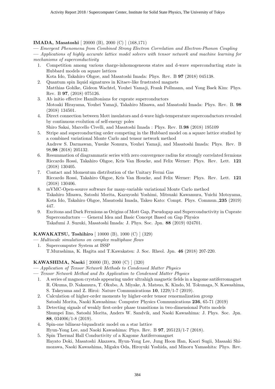# IMADA, Masatoshi [ 20000 (B), 2000 (C) ] (168,171)

— Emergent Phenomena from Combined Strong Electron Correlation and Electron-Phonon Coupling

— Applications of highly accurate lattice model solvers with tensor network and machine learning for mechanisms of superconductivity

1. Competition among various charge-inhomogeneous states and d-wave superconducting state in Hubbard models on square lattices

Kota Ido, Takahiro Ohgoe, and Masatoshi Imada: Phys. Rev. B 97 (2018) 045138.

- 2. Quantum spin liquid signatures in Kitaev-like frustrated magnets Matthias Gohlke, Gideon Wachtel, Youhei Yamaji, Frank Pollmann, and Yong Baek Kim: Phys. Rev. B 97, (2018) 075126.
- 3. Ab initio effective Hamiltonians for cuprate superconductors Motoaki Hirayama, Youhei Yamaji, Takahiro Misawa, and Masatoshi Imada: Phys. Rev. B. 98 (2018) 134501.
- 4. Direct connection between Mott insulators and d-wave high-temperature superconductors revealed by continuous evolution of self-energy poles

Shiro Sakai, Marcello Civelli, and Masatoshi Imada : Phys. Rev. B.98 (2018) 195109

- 5. Stripe and superconducting order competing in the Hubbard model on a square lattice studied by a combined variational Monte Carlo and tensor network method Andrew S. Darmawan, Yusuke Nomura, Youhei Yamaji, and Masatoshi Imada: Phys. Rev. B 98,98 (2018) 205132.
- 6. Resummation of diagrammatic series with zero convergence radius for strongly correlated fermions Riccardo Rossi, Takahiro Ohgoe, Kris Van Houcke, and Felix Werner: Phys. Rev. Lett. 121 (2018) 130405.
- 7. Contact and Momentum distribution of the Unitary Fermi Gas Riccardo Rossi, Takahiro Ohgoe, Kris Van Houcke, and Felix Werner: Phys. Rev. Lett. 121 (2018) 130406.
- 8. mVMC-Open-source software for many-variable variational Monte Carlo method Takahiro Misawa, Satoshi Morita, Kazuyoshi Yoshimi, Mitsuaki Kawamura, Yuichi Motoyama, Kota Ido, Takahiro Ohgoe, Masatoshi Imada, Takeo Kato: Compt. Phys. Commun.,235 (2019) 447.
- 9. Excitons and Dark Fermions as Origins of Mott Gap, Pseudogap and Superconductivity in Cuprate Superconductors — General Idea and Basic Concept Based on Gap Physics Takafumi J. Suzuki, Masatoshi Imada: J. Phys. Soc. Jpn. 88 (2019) 024701.

# KAWAKATSU, Toshihiro [ 10000 (B), 1000 (C) ] (329)

- Multiscale simulations on complex multiphase flows
	- 1. Supercomputer System at ISSP T.Murashima, K. Hagita and T.Kawakatsu: J. Soc. Rheol. Jpn. 46 (2018) 207-220.

# KAWASHIMA, Naoki [ 20000 (B), 2000 (C) ] (320)

- Application of Tensor Network Methods to Condensed Matter Physics
- Tensor Network Method and Its Application to Condensed Matter Physics
- 1. A series of magnon crystals appearing under ultrahigh magnetic fields in a kagome antiferromagnet R. Okuma, D. Nakamura, T. Okubo, A. Miyake, A. Matsuo, K. Kindo, M. Tokunaga, N. Kawashima, S. Takeyama and Z. Hiroi: Nature Communications 10, 1229/1-7 (2019).
- 2. Calculation of higher-order moments by higher-order tensor renormalization group Satoshi Morita, Naoki Kawashima: Computer Physics Communications 236, 65-71 (2019)
- 3. Detecting signals of weakly first-order phase transitions in two-dimensional Potts models Shumpei Iino, Satoshi Morita, Anders W. Sandvik, and Naoki Kawashima: J. Phys. Soc. Jpn. 88, 034006/1-8 (2019).
- 4. Spin-one bilinear-biquadratic model on a star lattice Hyun-Yong Lee, and Naoki Kawashima: Phys. Rev. B 97, 205123/1-7 (2018).
- 5. Spin Thermal Hall Conductivity of a Kagome Antiferromagnet Hayato Doki, Masatoshi Akazawa, Hyun-Yong Lee, Jung Hoon Han, Kaori Sugii, Masaaki Shimozawa, Naoki Kawashima, Migaku Oda, Hiroyuki Yoshida, and Minoru Yamashita: Phys. Rev.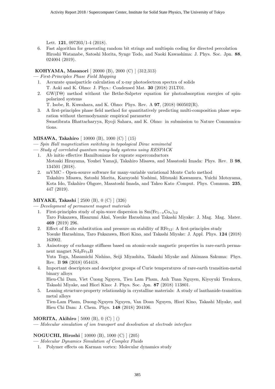Lett. 121, 097203/1-4 (2018).

6. Fast algorithm for generating random bit strings and multispin coding for directed percolation Hiroshi Watanabe, Satoshi Morita, Synge Todo, and Naoki Kawashima: J. Phys. Soc. Jpn. 88, 024004 (2019).

# KOHYAMA, Masanori [ 20000 (B), 2000 (C) ] (312,313)

— First-Principles Phase Field Mapping

- 1. Accurate quasiparticle calculation of x-ray photoelectron spectra of solids T. Aoki and K. Ohno: J. Phys.: Condensed Mat. 30 (2018) 21LT01.
- 2. GW(ΓΘ) method without the Bethe-Salpeter equation for photoabsorption energies of spinpolarized systems
	- T. Isobe, R. Kuwahara, and K. Ohno: Phys. Rev. A 97, (2018) 060502(R).
- 3. A first-principles phase field method for quantitatively predicting multi-composition phase separation without thermodynamic empirical parameter Swastibrata Bhattacharyya, Ryoji Sahara, and K. Ohno: in submission to Nature Communications.

# MISAWA, Takahiro [ 10000 (B), 1000 (C) ] (15)

— Spin Hall magnetization switching in topological Dirac semimetal

- Study of correlated quantum many-body systems using RESPACK
	- 1. Ab initio effective Hamiltonians for cuprate superconductors Motoaki Hirayama, Youhei Yamaji, Takahiro Misawa, and Masatoshi Imada: Phys. Rev. B 98, 134501 (2018).
	- 2. mVMC Open-source software for many-variable variational Monte Carlo method Takahiro Misawa, Satoshi Morita, Kazuyoshi Yoshimi, Mitsuaki Kawamura, Yuichi Motoyama, Kota Ido, Takahiro Ohgore, Masatoshi Imada, and Takeo Kato :Comput. Phys. Commun. 235, 447 (2019).

# MIYAKE, Takashi [ 2500 (B), 0 (C) ] (326)

— Development of permanent magnet materials

- 1. First-principles study of spin-wave dispersion in  $Sm(Fe_{1-x}Co_x)_{12}$ Taro Fukazawa, Hisazumi Akai, Yosuke Harashima and Takashi Miyake: J. Mag. Mag. Mater. 469 (2019) 296.
- 2. Effect of R-site substitution and pressure on stability of  $\text{RFe}_{12}$ : A first-principles study Yosuke Harashima, Taro Fukazawa, Hiori Kino, and Takashi Miyake: J. Appl. Phys. 124 (2018) 163902.
- 3. Anisotropy of exchange stiffness based on atomic-scale magnetic properties in rare-earth permanent magnet  $Nd_2Fe_{14}B$

Yuta Toga, Masamichi Nishino, Seiji Miyashita, Takashi Miyake and Akimasa Sakuma: Phys. Rev. B 98 (2018) 054418.

- 4. Important descriptors and descriptor groups of Curie temperatures of rare-earth transition-metal binary alloys Hieu-Chi Dam, Viet Cuong Nguyen, Tien Lam Pham, Anh Tuan Nguyen, Kiyoyuki Terakura,
- Takashi Miyake, and Hiori Kino: J. Phys. Soc. Jpn. 87 (2018) 113801. 5. Leaning structure-property relationship in crystalline materials: A study of lanthanide-transition metal alloys

Tien-Lam Pham, Duong-Nguyen Nguyen, Van Doan Nguyen, Hiori Kino, Takashi Miyake, and Hieu Chi Dam: J. Chem. Phys. 148 (2018) 204106.

# MORITA, Akihiro [ 5000 (B), 0 (C) ] ()

— Molecular simulation of ion transport and desolvation at electrode interface

# NOGUCHI, Hiroshi [ 10000 (B), 1000 (C) ] (205)

— Molecular Dynamics Simulation of Complex Fluids

1. Polymer effects on Karman vortex: Molecular dynamics study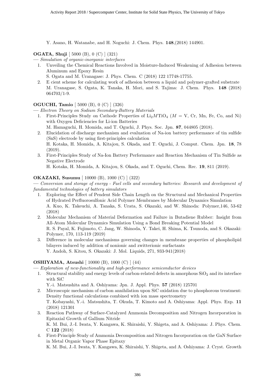Y. Asano, H. Watanabe, and H. Noguchi: J. Chem. Phys. 148,(2018) 144901.

# OGATA, Shuji [ 5000 (B), 0 (C) ] (321)

- Simulation of organic-inorganic interfaces
	- 1. Unveiling the Chemical Reactions Involved in Moisture-Induced Weakening of Adhesion between Aluminum and Epoxy Resin
		- S. Ogata and M. Uranagase: J. Phys. Chem. C (2018) 122 17748-17755.
	- 2. E cient scheme for calculating work of adhesion between a liquid and polymer-grafted substrate M. Uranagase, S. Ogata, K. Tanaka, H. Mori, and S. Tajima: J. Chem. Phys. 148 (2018) 064703/1-9.

# OGUCHI, Tamio [ 5000 (B), 0 (C) ] (326)

— Electron Theory on Sodium Secondary-Battery Materials

- 1. First-Principles Study on Cathode Properties of  $Li<sub>2</sub>MTiO<sub>4</sub>$  ( $M = V$ , Cr, Mn, Fe, Co, and Ni) with Oxygen Deficiencies for Li-ion Batteries
	- M. Hamaguchi, H. Momida, and T. Oguchi, J. Phys. Soc. Jpn. 87, 044805 (2018).
- 2. Elucidation of discharge mechanism and evaluation of Na-ion battery performance of tin sulfide (SnS) electrode by using first-principles calculation H. Kotaka, H. Momida, A. Kitajou, S. Okada, and T. Oguchi, J. Comput. Chem. Jpn. 18, 78 (2019).
- 3. First-Principles Study of Na-Ion Battery Performance and Reaction Mechanism of Tin Sulfide as Negative Electrode

H. Kotaka, H. Momida, A. Kitajou, S. Okada, and T. Oguchi, Chem. Rec. 19, 811 (2019).

# OKAZAKI, Susumu [ 10000 (B), 1000 (C) ] (322)

— Conversion and storage of energy - Fuel cells and secondary batteries: Research and development of fundamental technologies of battery simulators

- 1. Exploring the Effect of Pendent Side Chain Length on the Structural and Mechanical Properties of Hydrated Perfluorosulfonic Acid Polymer Membranes by Molecular Dynamics Simulation A. Kuo, K. Takeuchi, A. Tanaka, S. Urata, S. Okazaki, and W. Shinoda: Polymer,146, 53-62 (2018)
- 2. Molecular Mechanism of Material Deformation and Failure in Butadiene Rubber: Insight from All-Atom Molecular Dynamics Simulation Using a Bond Breaking Potential Model R. S. Payal, K. Fujimoto, C. Jang, W. Shinoda, Y. Takei, H. Shima, K. Tsunoda, and S. Okazaki: Polymer, 170, 113-119 (2019)
- 3. Difference in molecular mechanisms governing changes in membrane properties of phospholipid bilayers induced by addition of nonionic and zwitterionic surfactants Y. Andoh, S. Kitou, S. Okazaki: J. Mol. Liquids, 271, 933-941(2018)

# OSHIYAMA, Atsushi [ 10000 (B), 1000 (C) ] (44)

— Exploration of new-functionality and high-performance semiconductor devices

- 1. Structural stability and energy levels of carbon-related defects in amorphous  $SiO<sub>2</sub>$  and its interface with SiC
	- Y.-i. Matsushita and A. Oshiyama: Jpn. J. Appl. Phys. 57 (2018) 125701
- 2. Microscopic mechanism of carbon annihilation upon SiC oxidation due to phosphorous treatment: Density functional calculations combined with ion mass spectrometry T. Kobayashi, Y.-i. Matsushita, T. Okuda, T. Kimoto and A. Oshiyama: Appl. Phys. Exp. 11 (2018) 121301
- 3. Reaction Pathway of Surface-Catalyzed Ammonia Decomposition and Nitrogen Incorporation in Epitaxial Growth of Gallium Nitride K. M. Bui, J.-I. Iwata, Y. Kangawa, K. Shiraishi, Y. Shigeta, and A. Oshiyama: J. Phys. Chem. C 122 (2018)
- 4. First-Principle Study of Ammonia Decomposition and Nitrogen Incorporation on the GaN Surface in Metal Organic Vapor Phase Epitaxy

K. M. Bui, J.-I. Iwata, Y. Kangawa, K. Shiraishi, Y. Shigeta, and A. Oshiyama: J. Cryst. Growth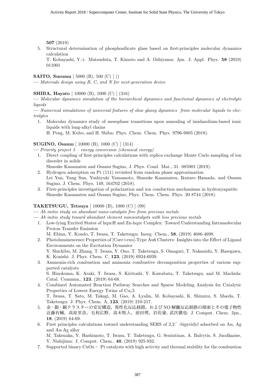507 (2019)

5. Structural determination of phosphosilicate glass based on first-principles molecular dynamics calculation

T. Kobayashi, Y.-i. Matsushita, T. Kimoto and A. Oshiyama: Jpn. J. Appl. Phys. 58 (2019) 011001

# SAITO, Susumu [ 5000 (B), 500 (C) ] ()

— Materials design using B, C, and N for next-generation device

# SHIBA, Hayato [ 10000 (B), 1000 (C) ] (316)

— Molecular dynamics simulation of the hierarchical dynamics and functional dynamics of electrolyte liquids

— Numerical simulations of universal features of slow glassy dynamics from molecular liquids to electrolytes

- 1. Molecular dynamics study of mesophase transitions upon annealing of imidazolium-based ionic liquids with long-alkyl chains
	- H. Peng, M. Kubo, and H. Shiba: Phys. Chem. Chem. Phys. 9796-9805 (2018).

#### SUGINO, Osamu [ 10000 (B), 1000 (C) ] (314)

- Priority project 5 energy conversion (chemical energy)
- 1. Direct coupling of first-principles calculations with replica exchange Monte Carlo sampling of ion disorder in solids

Shusuke Kasamatsu and Osamu Sugino, J. Phys. Cond. Mat., 31. 085901 (2019).

- 2. Hydrogen adsorption on Pt (111) revisited from random phase approximation Lei Yan, Yang Sun, Yoshiyuki Yamamoto, Shusuke Kasamatsu, Ikutaro Hamada, and Osamu Sugino, J. Chem. Phys. 149, 164702 (2018).
- 3. First-principles investigation of polarization and ion conduction mechanisms in hydroxyapatite Shusuke Kasamatsu and Osamu Sugino, Phys. Chem. Chem. Phys. 20 8744 (2018).

# TAKETSUGU, Tetsuya [ 10000 (B), 1000 (C) ] (99)

- Ab initio study on abundant nano-catalysts free from precious metals
- $-$  Ab initio study toward abundant element nanocatalysts with less precious metals
	- 1. Low-lying Excited States of hqxcH and Zn-hqxc Complex: Toward Understanding Intramolecular Proton Transfer Emission
		- M. Ebina, Y. Kondo, T. Iwasa, T. Taketsugu: Inorg. Chem., 58, (2019) 4686-4698.
	- 2. Photoluminescence Properties of [Core+exo]-Type Au6 Clusters: Insights into the Effect of Ligand Environments on the Excitation Dynamics Y. Shichibu, M. Zhang, T. Iwasa, Y. Ono, T. Taketsugu, S. Omagari, T. Nakanishi, Y. Hasegawa, K. Konishi: J. Phys. Chem. C, 123, (2019) 6934-6939.
	- 3. Ammonia-rich combustion and ammonia combustive decomposition properties of various supported catalysts

S. Hinokuma, K. Araki, T. Iwasa, S. Kiritoshi, Y. Kawabata, T. Taketsugu, and M. Machida: Catal. Commun., 123, (2019) 64-68.

4. Combined Automated Reaction Pathway Searches and Sparse Modeling Analysis for Catalytic Properties of Lowest Energy Twins of  $Cu<sub>1</sub>3$ T. Iwasa, T. Sato, M. Takagi, M. Gao, A. Lyalin, M. Kobayashi, K. Shimizu, S. Maeda, T.

Taketsugu: J. Phys. Chem. A, 123, (2019) 210-217.

- 5. 金・銀・銅クラスターの安定構造,異性化反応経路,および NO 解離反応経路の探索とその電子物性 近藤有輔,高原里奈,毛利広野,高木牧人,前田理,岩佐豪, 武次徹也: J. Comput. Chem. Jpn., 18, (2019) 64-69.
- 6. First principles calculations toward understanding SERS of 2,2 ′ -bipyridyl adsorbed on Au, Ag and Au-Ag alloy M. Takenaka, Y. Hashimoto, T. Iwasa, T. Taketsugu, G. Seniutinas, A. Balčytis, S. Juodkazise, Y. Nishijima: J. Comput. Chem., 40, (2019) 925-932.
- 7. Supported binary  $CuOx Pt$  catalysts with high activity and thermal stability for the combustion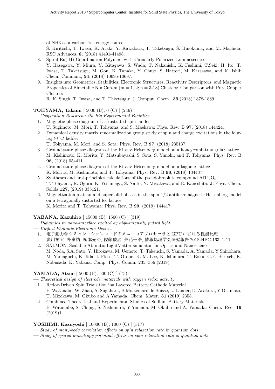of NH3 as a carbon-free energy source

S. Kiritoshi, T. Iwasa, K. Araki, Y. Kawabata, T. Taketsugu, S. Hinokuma, and M. Machida: RSC Advances, 8, (2018) 41491-41498.

- 8. Spiral Eu(III) Coordination Polymers with Circularly Polarized Luminescence Y. Hasegawa, Y. Miura, Y. Kitagawa, S. Wada, T. Nakanishi, K. Fushimi, T.Seki, H. Ito, T. Iwasa, T. Taketsugu, M. Gon, K. Tanaka, Y. Chujo, S. Hattori, M. Karasawa, and K. Ishii: Chem. Commun., 54, (2018) 10695-10697.
- 9. Insights into Geometries, Stabilities, Electronic Structures, Reactivity Descriptors, and Magnetic Properties of Bimetallic NimCun-m ( $m = 1, 2; n = 3-13$ ) Clusters: Comparison with Pure Copper Clusters

R. K. Singh, T. Iwasa, and T. Taketsugu: J. Comput. Chem., 39,(2018) 1878-1889 .

# TOHYAMA, Takami [ 5000 (B), 0 (C) ] (246)

— Cooperation Research with Big Experimental Facilities

- 1. Magnetic phase diagram of a frustrated spin ladder
- T. Sugimoto, M. Mori, T. Tohyama, and S. Maekawa: Phys. Rev. B 97, (2018) 144424.
- 2. Dynamical density matrix renormalization group study of spin and charge excitations in the four- $\mathop{\rm leg} t-t'$ -J ladder

T. Tohyama, M. Mori, and S. Sota: Phys. Rev. B 97, (2018) 235137.

- 3. Ground state phase diagram of the Kitaev-Heisenberg model on a honeycomb-triangular lattice M. Kishimoto, K. Morita, Y. Matsubayashi, S. Sota, S. Yunoki, and T. Tohyama: Phys. Rev. B 98, (2018) 054411.
- 4. Ground-state phase diagram of the Kitaev-Heisenberg model on a kagome lattice K. Morita, M. Kishimoto, and T. Tohyama: Phys. Rev. B 98, (2018) 134437.
- 5. Syntheses and first-principles calculations of the pseudobrookite compound  $\text{AITi}_2\text{O}_5$ T. Tohyama, R. Ogura, K. Yoshinaga, S. Naito, N. Miyakawa, and E. Kaneshita: J. Phys. Chem. Solids 127, (2019) 035121.
- 6. Magnetization plateau and supersolid phases in the spin-1/2 antiferromagnetic Heisenberg model on a tetragonally distorted fcc lattice K. Morita and T. Tohyama: Phys. Rev. B 99, (2019) 144417.

# YABANA, Kazuhiro [ 15000 (B), 1500 (C) ] (319)

- Dynamics in nano-interface excited by high-intensity pulsed light
- Unified Photonic-Electronic Devices
	- 1. 電子動力学シミュレーションコードのメニーコアプロセッサと GPU における性能比較 廣川祐太, 朴泰祐, 植本光治, 佐藤駿丞, 矢花一浩, 情報処理学会研究報告 2018-HPC-163, 1-11
	- 2. SALMON: Scalable Ab-initio LightMatter simulator for Optics and Nanoscience M. Noda, S.A. Sato, Y. Hirokawa, M. Uemoto, T. Takeuchi, S. Yamada, A. Yamada, Y Shinohara, M. Yamaguchi, K. Iida, I. Floss, T. Otobe, K.-M. Lee, K. Ishimura, T. Boku, G.F. Bertsch, K. Nobusada, K. Yabana, Comp. Phys. Comm. 235, 356 (2019)

# YAMADA, Atsuo [ 5000 (B), 500 (C) ] (75)

- Theoretical design of electrode materials with oxygen redox activity
- 1. Redox-Driven Spin Transition ina Layered Battery Cathode Material E. Watanabe, W. Zhao, A. Sugahara, B.Mortemard de Boisse, L. Lander, D. Asakura, Y.Okamoto, T. Mizokawa, M. Okubo and A.Yamada: Chem. Mater. 31 (2019) 2358.
- 2. Combined Theoretical and Experimental Studies of Sodium Battery Materials E. Watanabe, S. Chung, S. Nishimura, Y.Yamada, M. Okubo and A. Yamada: Chem. Rec. 19  $(2019)1.$

# YOSHIMI, Kazuyoshi [ 10000 (B), 1000 (C) ] (317)

- Study of many-body correlation effects on spin relaxation rate in quantum dots
- Study of spatial anisotropy potential effects on spin relaxation rate in quantum dots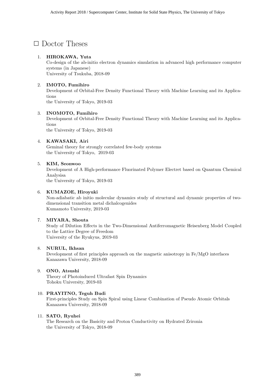# □ Doctor Theses

# 1. HIROKAWA, Yuta

Co-design of the ab-initio electron dynamics simulation in advanced high performance computer systems (in Japanese) University of Tsukuba, 2018-09

# 2. IMOTO, Fumihiro

Development of Orbital-Free Density Functional Theory with Machine Learning and its Applications

the University of Tokyo, 2019-03

# 3. INOMOTO, Fumihiro

Development of Orbital-Free Density Functional Theory with Machine Learning and its Applications

the University of Tokyo, 2019-03

# 4. KAWASAKI, Airi

Geminal theory for strongly correlated few-body systems the University of Tokyo, 2019-03

# 5. KIM, Seonwoo

Development of A High-performance Fluorinated Polymer Electret based on Quantum Chemical Analysisa

the University of Tokyo, 2019-03

# 6. KUMAZOE, Hiroyuki

Non-adiabatic ab initio molecular dynamics study of structural and dynamic properties of twodimensional transition metal dichalcogenides Kumamoto University, 2019-03

# 7. MIYARA, Shouta

Study of Dilution Effects in the Two-Dimensional Antiferromagnetic Heisenberg Model Coupled to the Lattice Degree of Freedom University of the Ryukyus, 2019-03

# 8. NURUL, Ikhsan

Development of first principles approach on the magnetic anisotropy in Fe/MgO interfaces Kanazawa University, 2018-09

# 9. ONO, Atsushi

Theory of Photoinduced Ultrafast Spin Dynamics Tohoku University, 2019-03

# 10. PRAYITNO, Teguh Budi

First-principles Study on Spin Spiral using Linear Combination of Pseudo Atomic Orbitals Kanazawa University, 2018-09

# 11. SATO, Ryuhei

The Research on the Basicity and Proton Conductivity on Hydrated Zrironia the University of Tokyo, 2018-09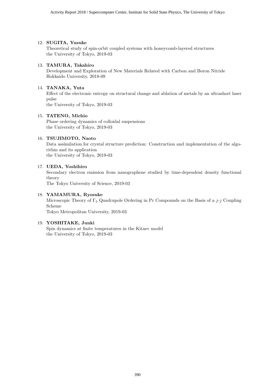#### 12. SUGITA, Yusuke

Theoretical study of spin-orbit coupled systems with honeycomb-layered structures the University of Tokyo, 2019-03

#### 13. TAMURA, Takahiro

Development and Exploration of New Materials Related with Carbon and Boron Nitride Hokkaido University, 2018-09

#### 14. TANAKA, Yuta

Effect of the electronic entropy on structural change and ablation of metals by an ultrashort laser pulse

the University of Tokyo, 2019-03

#### 15. TATENO, Michio

Phase ordering dynamics of colloidal suspensions the University of Tokyo, 2019-03

#### 16. TSUJIMOTO, Naoto

Data assimilation for crystal structure prediction: Construction and implementation of the algorithm and its application the University of Tokyo, 2019-03

#### 17. UEDA, Yoshihiro

Secondary electron emission from nanographene studied by time-dependent density functional theory

The Tokyo University of Science, 2019-03

#### 18. YAMAMURA, Ryosuke

Microscopic Theory of  $\Gamma_3$  Quadrupole Ordering in Pr Compounds on the Basis of a j-j Coupling Scheme

Tokyo Metropolitan University, 2019-03

#### 19. YOSHITAKE, Junki

Spin dynamics at finite temperatures in the Kitaev model the University of Tokyo, 2019-03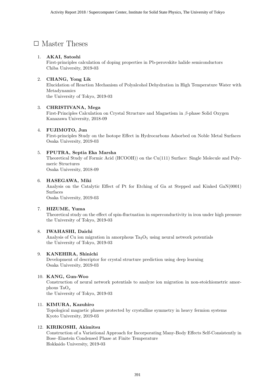# □ Master Theses

# 1. AKAI, Satoshi

First-principles calculation of doping properties in Pb-perovskite halide semiconductors Chiba University, 2019-03

# 2. CHANG, Yong Lik

Elucidation of Reaction Mechanism of Polyalcohol Dehydration in High Temperature Water with Metadynamics the University of Tokyo, 2019-03

# 3. CHRISTIVANA, Mega

First-Principles Calculation on Crystal Structure and Magnetism in β-phase Solid Oxygen Kanazawa University, 2018-09

# 4. FUJIMOTO, Jun

First-principles Study on the Isotope Effect in Hydrocarbons Adsorbed on Noble Metal Surfaces Osaka University, 2019-03

# 5. FPUTRA, Septia Eka Marsha

Theoretical Study of Formic Acid (HCOOH)) on the Cu(111) Surface: Single Molecule and Polymeric Structures

Osaka University, 2018-09

# 6. HASEGAWA, Miki

Analysis on the Catalytic Effect of Pt for Etching of Ga at Stepped and Kinked GaN(0001) Surfaces

Osaka University, 2019-03

# 7. HIZUME, Yuma

Theoretical study on the effect of spin-fluctuation in superconductivity in iron under high pressure the University of Tokyo, 2019-03

# 8. IWAHASHI, Daichi

Analysis of Cu ion migration in amorphous  $Ta_2O_5$  using neural network potentials the University of Tokyo, 2019-03

# 9. KANEHIRA, Shinichi

Development of descriptor for crystal structure prediction using deep learning Osaka University, 2019-03

# 10. KANG, Gun-Woo

Construction of neural network potentials to analyze ion migration in non-stoichiometric amorphous  $TaO_r$ 

the University of Tokyo, 2019-03

# 11. KIMURA, Kazuhiro

Topological magnetic phases protected by crystalline symmetry in heavy fermion systems Kyoto University, 2019-03

# 12. KIRIKOSHI, Akimitsu

Construction of a Variational Approach for Incorporating Many-Body Effects Self-Consistently in Bose–Einstein Condensed Phase at Finite Temperature Hokkaido University, 2019-03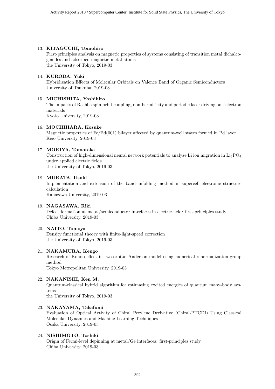#### 13. KITAGUCHI, Tomohiro

First-principles analysis on magnetic properties of systems consisting of transition metal dichalcogenides and adsorbed magnetic metal atoms the University of Tokyo, 2019-03

#### 14. KURODA, Yuki

Hybridization Effects of Molecular Orbitals on Valence Band of Organic Semiconductors University of Tsukuba, 2019-03

#### 15. MICHISHITA, Yoshihiro

The impacts of Rashba spin-orbit coupling, non-hermiticity and periodic laser driving on f-electron materials

Kyoto University, 2019-03

#### 16. MOCHIHARA, Kosuke

Magnetic properties of Fe/Pd(001) bilayer affected by quantum-well states formed in Pd layer Keio University, 2019-03

#### 17. MORIYA, Tomotaka

Construction of high-dimensional neural network potentials to analyze Li ion migration in  $Li_3PO_4$ under applied electric fields the University of Tokyo, 2019-03

#### 18. MURATA, Itsuki

Implementation and extension of the band-unfolding method in supercell electronic structure calculation

Kanazawa University, 2019-03

# 19. NAGASAWA, Riki

Defect formation at metal/semiconductor interfaces in electric field: first-principles study Chiba University, 2019-03

#### 20. NAITO, Tomoya

Density functional theory with finite-light-speed correction the University of Tokyo, 2019-03

# 21. NAKAMURA, Kengo

Research of Kondo effect in two-orbital Anderson model using numerical renormalization group method

Tokyo Metropolitan University, 2019-03

# 22. NAKANISHI, Ken M.

Quantum-classical hybrid algorithm for estimating excited energies of quantum many-body systems

the University of Tokyo, 2019-03

# 23. NAKAYAMA, Takafumi

Evaluation of Optical Activity of Chiral Perylene Derivative (Chiral-PTCDI) Using Classical Molecular Dynamics and Machine Learning Techniques Osaka University, 2019-03

# 24. NISHIMOTO, Toshiki

Origin of Fermi-level depinning at metal/Ge interfaces: first-principles study Chiba University, 2019-03